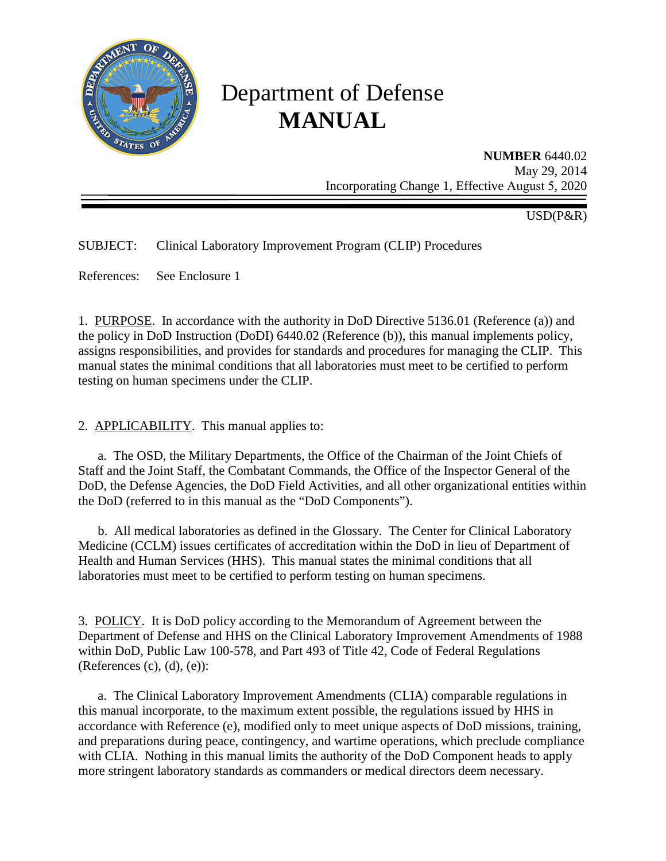

# Department of Defense **MANUAL**

**NUMBER** 6440.02 May 29, 2014 Incorporating Change 1, Effective August 5, 2020

USD(P&R)

SUBJECT: Clinical Laboratory Improvement Program (CLIP) Procedures

References: See Enclosure 1

1. PURPOSE. In accordance with the authority in DoD Directive 5136.01 (Reference (a)) and the policy in DoD Instruction (DoDI) 6440.02 (Reference (b)), this manual implements policy, assigns responsibilities, and provides for standards and procedures for managing the CLIP. This manual states the minimal conditions that all laboratories must meet to be certified to perform testing on human specimens under the CLIP.

2. APPLICABILITY. This manual applies to:

a. The OSD, the Military Departments, the Office of the Chairman of the Joint Chiefs of Staff and the Joint Staff, the Combatant Commands, the Office of the Inspector General of the DoD, the Defense Agencies, the DoD Field Activities, and all other organizational entities within the DoD (referred to in this manual as the "DoD Components").

b. All medical laboratories as defined in the Glossary. The Center for Clinical Laboratory Medicine (CCLM) issues certificates of accreditation within the DoD in lieu of Department of Health and Human Services (HHS). This manual states the minimal conditions that all laboratories must meet to be certified to perform testing on human specimens.

3. POLICY. It is DoD policy according to the Memorandum of Agreement between the Department of Defense and HHS on the Clinical Laboratory Improvement Amendments of 1988 within DoD, Public Law 100-578, and Part 493 of Title 42, Code of Federal Regulations (References  $(c)$ ,  $(d)$ ,  $(e)$ ):

a. The Clinical Laboratory Improvement Amendments (CLIA) comparable regulations in this manual incorporate, to the maximum extent possible, the regulations issued by HHS in accordance with Reference (e), modified only to meet unique aspects of DoD missions, training, and preparations during peace, contingency, and wartime operations, which preclude compliance with CLIA. Nothing in this manual limits the authority of the DoD Component heads to apply more stringent laboratory standards as commanders or medical directors deem necessary.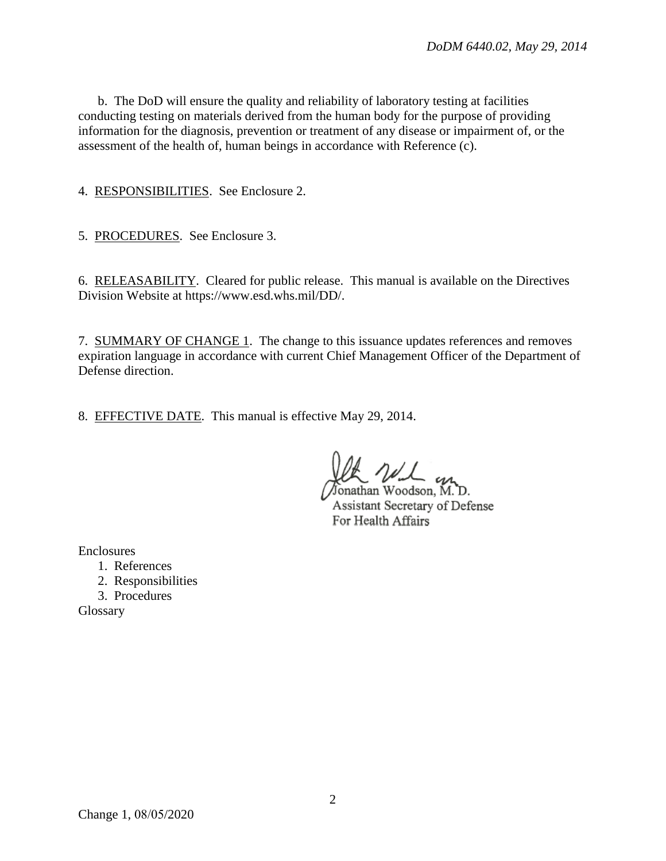b. The DoD will ensure the quality and reliability of laboratory testing at facilities conducting testing on materials derived from the human body for the purpose of providing information for the diagnosis, prevention or treatment of any disease or impairment of, or the assessment of the health of, human beings in accordance with Reference (c).

4. RESPONSIBILITIES. See Enclosure 2.

5. PROCEDURES. See Enclosure 3.

6. RELEASABILITY. Cleared for public release. This manual is available on the Directives Division Website at https://www.esd.whs.mil/DD/.

7. SUMMARY OF CHANGE 1. The change to this issuance updates references and removes expiration language in accordance with current Chief Management Officer of the Department of Defense direction.

8. EFFECTIVE DATE. This manual is effective May 29, 2014.

Jonathan Woodson, M.D. Assistant Secretary of Defense For Health Affairs

Enclosures

- 1. References
- 2. Responsibilities
- 3. Procedures

Glossary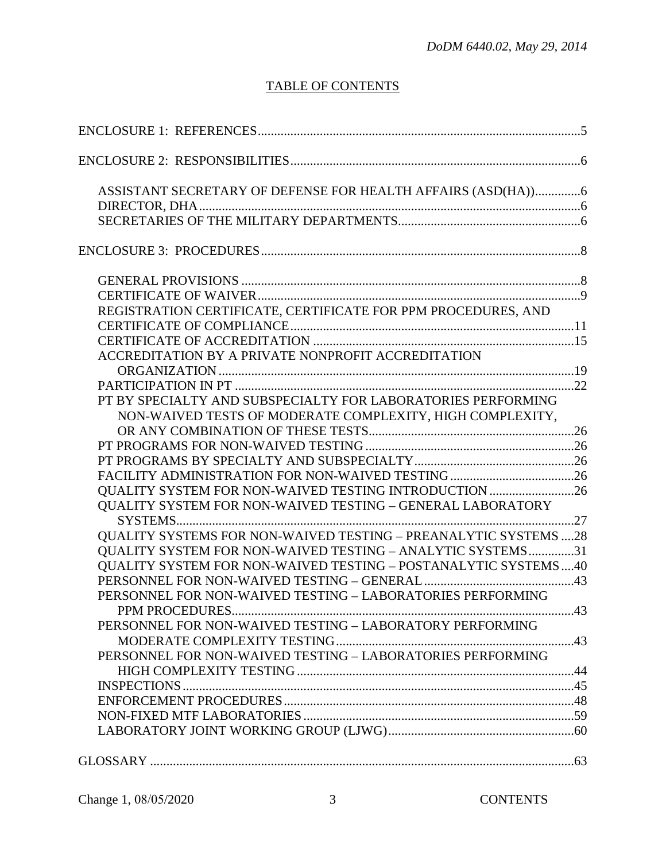# TABLE OF CONTENTS

| ASSISTANT SECRETARY OF DEFENSE FOR HEALTH AFFAIRS (ASD(HA))6          |    |
|-----------------------------------------------------------------------|----|
|                                                                       |    |
|                                                                       |    |
|                                                                       |    |
|                                                                       |    |
|                                                                       |    |
| REGISTRATION CERTIFICATE, CERTIFICATE FOR PPM PROCEDURES, AND         |    |
|                                                                       |    |
|                                                                       |    |
| ACCREDITATION BY A PRIVATE NONPROFIT ACCREDITATION                    |    |
|                                                                       |    |
|                                                                       |    |
| PT BY SPECIALTY AND SUBSPECIALTY FOR LABORATORIES PERFORMING          |    |
| NON-WAIVED TESTS OF MODERATE COMPLEXITY, HIGH COMPLEXITY,             |    |
|                                                                       |    |
|                                                                       |    |
|                                                                       |    |
|                                                                       |    |
| QUALITY SYSTEM FOR NON-WAIVED TESTING INTRODUCTION 26                 |    |
| <b>OUALITY SYSTEM FOR NON-WAIVED TESTING - GENERAL LABORATORY</b>     |    |
|                                                                       |    |
| QUALITY SYSTEMS FOR NON-WAIVED TESTING - PREANALYTIC SYSTEMS 28       |    |
| QUALITY SYSTEM FOR NON-WAIVED TESTING - ANALYTIC SYSTEMS31            |    |
| <b>QUALITY SYSTEM FOR NON-WAIVED TESTING - POSTANALYTIC SYSTEMS40</b> |    |
|                                                                       |    |
| PERSONNEL FOR NON-WAIVED TESTING - LABORATORIES PERFORMING            |    |
|                                                                       | 43 |
| PERSONNEL FOR NON-WAIVED TESTING - LABORATORY PERFORMING              |    |
|                                                                       |    |
| PERSONNEL FOR NON-WAIVED TESTING - LABORATORIES PERFORMING            |    |
|                                                                       |    |
|                                                                       |    |
|                                                                       |    |
|                                                                       |    |
|                                                                       |    |
|                                                                       |    |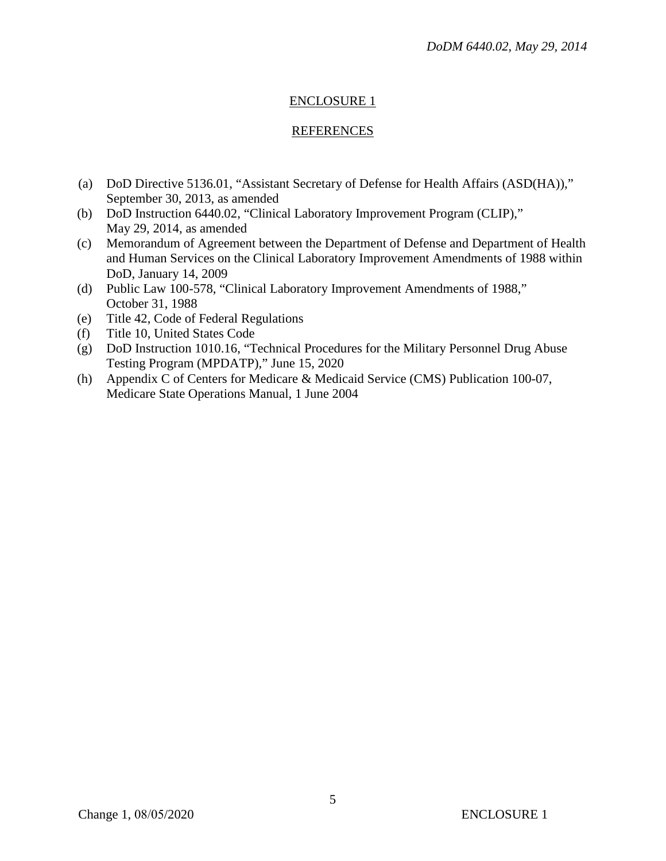# ENCLOSURE 1

## REFERENCES

- (a) DoD Directive 5136.01, "Assistant Secretary of Defense for Health Affairs (ASD(HA))," September 30, 2013, as amended
- (b) DoD Instruction 6440.02, "Clinical Laboratory Improvement Program (CLIP)," May 29, 2014, as amended
- (c) Memorandum of Agreement between the Department of Defense and Department of Health and Human Services on the Clinical Laboratory Improvement Amendments of 1988 within DoD, January 14, 2009
- (d) Public Law 100-578, "Clinical Laboratory Improvement Amendments of 1988," October 31, 1988
- (e) Title 42, Code of Federal Regulations
- (f) Title 10, United States Code
- (g) DoD Instruction 1010.16, "Technical Procedures for the Military Personnel Drug Abuse Testing Program (MPDATP)," June 15, 2020
- (h) Appendix C of Centers for Medicare & Medicaid Service (CMS) Publication 100-07, Medicare State Operations Manual, 1 June 2004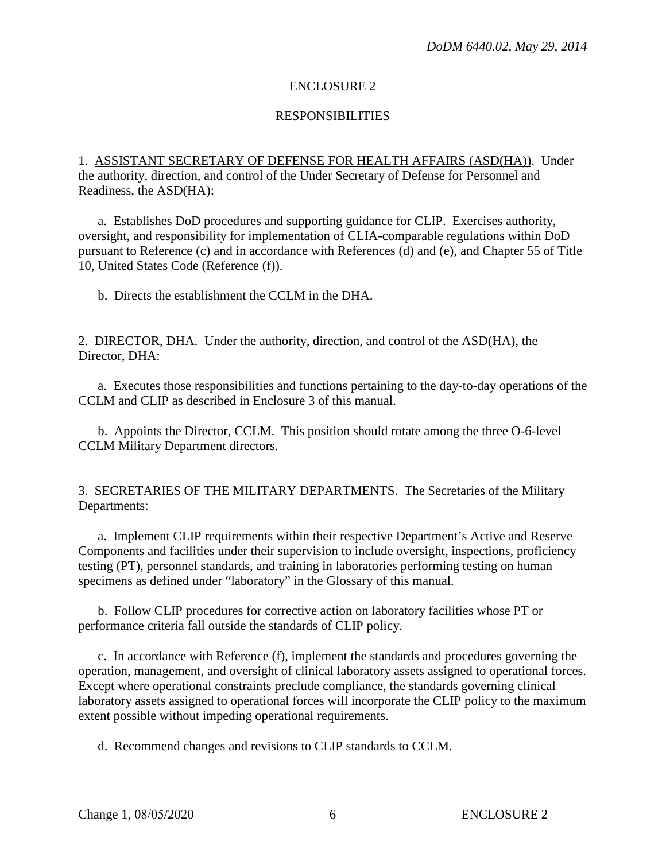## ENCLOSURE 2

## **RESPONSIBILITIES**

1. ASSISTANT SECRETARY OF DEFENSE FOR HEALTH AFFAIRS (ASD(HA)). Under the authority, direction, and control of the Under Secretary of Defense for Personnel and Readiness, the ASD(HA):

a. Establishes DoD procedures and supporting guidance for CLIP. Exercises authority, oversight, and responsibility for implementation of CLIA-comparable regulations within DoD pursuant to Reference (c) and in accordance with References (d) and (e), and Chapter 55 of Title 10, United States Code (Reference (f)).

b. Directs the establishment the CCLM in the DHA.

2. DIRECTOR, DHA. Under the authority, direction, and control of the ASD(HA), the Director, DHA:

a. Executes those responsibilities and functions pertaining to the day-to-day operations of the CCLM and CLIP as described in Enclosure 3 of this manual.

b. Appoints the Director, CCLM. This position should rotate among the three O-6-level CCLM Military Department directors.

3. SECRETARIES OF THE MILITARY DEPARTMENTS. The Secretaries of the Military Departments:

a. Implement CLIP requirements within their respective Department's Active and Reserve Components and facilities under their supervision to include oversight, inspections, proficiency testing (PT), personnel standards, and training in laboratories performing testing on human specimens as defined under "laboratory" in the Glossary of this manual.

b. Follow CLIP procedures for corrective action on laboratory facilities whose PT or performance criteria fall outside the standards of CLIP policy.

c. In accordance with Reference (f), implement the standards and procedures governing the operation, management, and oversight of clinical laboratory assets assigned to operational forces. Except where operational constraints preclude compliance, the standards governing clinical laboratory assets assigned to operational forces will incorporate the CLIP policy to the maximum extent possible without impeding operational requirements.

d. Recommend changes and revisions to CLIP standards to CCLM.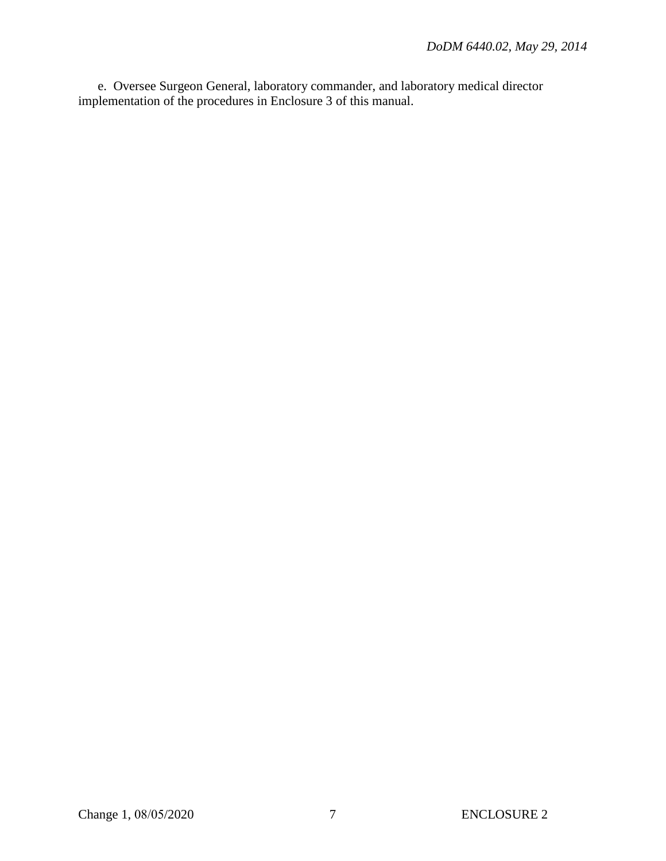e. Oversee Surgeon General, laboratory commander, and laboratory medical director implementation of the procedures in Enclosure 3 of this manual.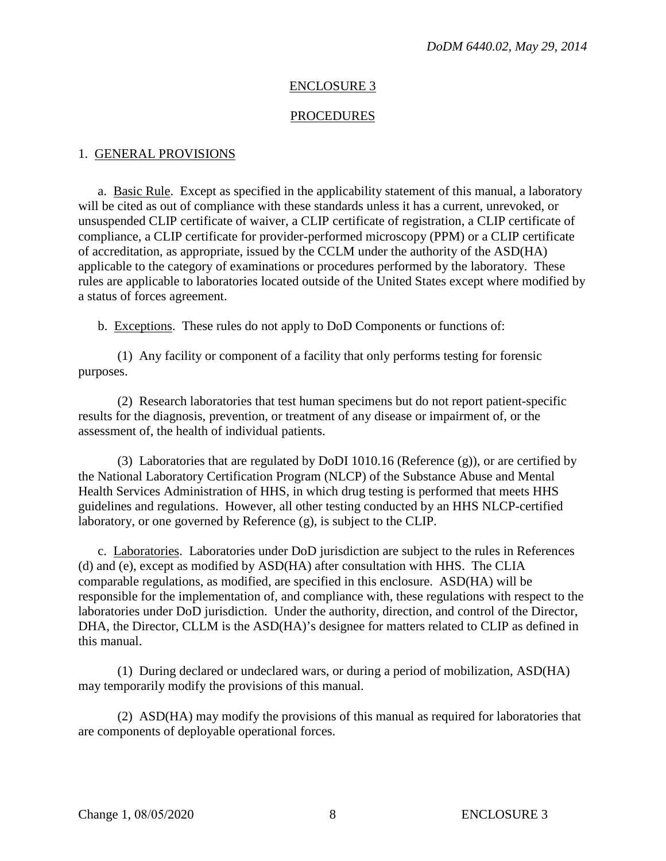## ENCLOSURE 3

#### PROCEDURES

#### 1. GENERAL PROVISIONS

a. Basic Rule. Except as specified in the applicability statement of this manual, a laboratory will be cited as out of compliance with these standards unless it has a current, unrevoked, or unsuspended CLIP certificate of waiver, a CLIP certificate of registration, a CLIP certificate of compliance, a CLIP certificate for provider-performed microscopy (PPM) or a CLIP certificate of accreditation, as appropriate, issued by the CCLM under the authority of the ASD(HA) applicable to the category of examinations or procedures performed by the laboratory. These rules are applicable to laboratories located outside of the United States except where modified by a status of forces agreement.

b. Exceptions. These rules do not apply to DoD Components or functions of:

(1) Any facility or component of a facility that only performs testing for forensic purposes.

(2) Research laboratories that test human specimens but do not report patient-specific results for the diagnosis, prevention, or treatment of any disease or impairment of, or the assessment of, the health of individual patients.

(3) Laboratories that are regulated by DoDI 1010.16 (Reference (g)), or are certified by the National Laboratory Certification Program (NLCP) of the Substance Abuse and Mental Health Services Administration of HHS, in which drug testing is performed that meets HHS guidelines and regulations. However, all other testing conducted by an HHS NLCP-certified laboratory, or one governed by Reference (g), is subject to the CLIP.

c. Laboratories. Laboratories under DoD jurisdiction are subject to the rules in References (d) and (e), except as modified by ASD(HA) after consultation with HHS. The CLIA comparable regulations, as modified, are specified in this enclosure. ASD(HA) will be responsible for the implementation of, and compliance with, these regulations with respect to the laboratories under DoD jurisdiction. Under the authority, direction, and control of the Director, DHA, the Director, CLLM is the ASD(HA)'s designee for matters related to CLIP as defined in this manual.

(1) During declared or undeclared wars, or during a period of mobilization, ASD(HA) may temporarily modify the provisions of this manual.

(2) ASD(HA) may modify the provisions of this manual as required for laboratories that are components of deployable operational forces.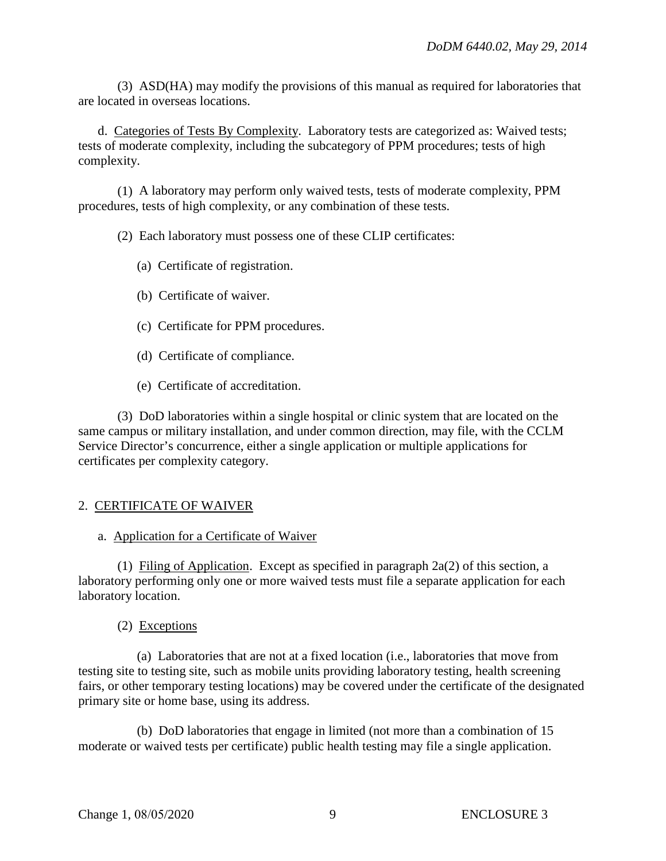(3) ASD(HA) may modify the provisions of this manual as required for laboratories that are located in overseas locations.

d. Categories of Tests By Complexity. Laboratory tests are categorized as: Waived tests; tests of moderate complexity, including the subcategory of PPM procedures; tests of high complexity.

(1) A laboratory may perform only waived tests, tests of moderate complexity, PPM procedures, tests of high complexity, or any combination of these tests.

(2) Each laboratory must possess one of these CLIP certificates:

- (a) Certificate of registration.
- (b) Certificate of waiver.
- (c) Certificate for PPM procedures.
- (d) Certificate of compliance.
- (e) Certificate of accreditation.

(3) DoD laboratories within a single hospital or clinic system that are located on the same campus or military installation, and under common direction, may file, with the CCLM Service Director's concurrence, either a single application or multiple applications for certificates per complexity category.

# 2. CERTIFICATE OF WAIVER

## a. Application for a Certificate of Waiver

(1) Filing of Application. Except as specified in paragraph 2a(2) of this section, a laboratory performing only one or more waived tests must file a separate application for each laboratory location.

## (2) Exceptions

(a) Laboratories that are not at a fixed location (i.e., laboratories that move from testing site to testing site, such as mobile units providing laboratory testing, health screening fairs, or other temporary testing locations) may be covered under the certificate of the designated primary site or home base, using its address.

(b) DoD laboratories that engage in limited (not more than a combination of 15 moderate or waived tests per certificate) public health testing may file a single application.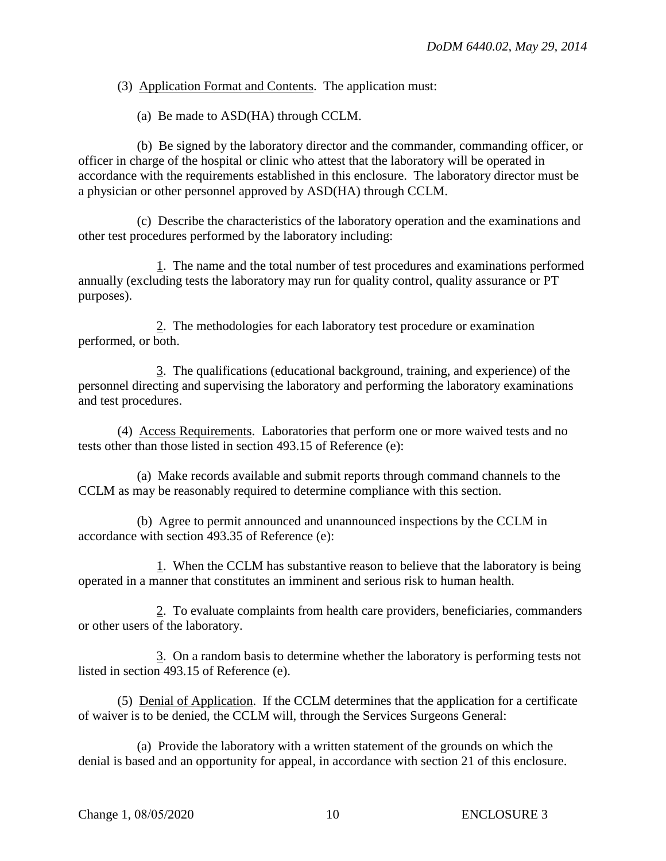(3) Application Format and Contents. The application must:

(a) Be made to ASD(HA) through CCLM.

(b) Be signed by the laboratory director and the commander, commanding officer, or officer in charge of the hospital or clinic who attest that the laboratory will be operated in accordance with the requirements established in this enclosure. The laboratory director must be a physician or other personnel approved by ASD(HA) through CCLM.

(c) Describe the characteristics of the laboratory operation and the examinations and other test procedures performed by the laboratory including:

1. The name and the total number of test procedures and examinations performed annually (excluding tests the laboratory may run for quality control, quality assurance or PT purposes).

2. The methodologies for each laboratory test procedure or examination performed, or both.

3. The qualifications (educational background, training, and experience) of the personnel directing and supervising the laboratory and performing the laboratory examinations and test procedures.

(4) Access Requirements. Laboratories that perform one or more waived tests and no tests other than those listed in section 493.15 of Reference (e):

(a) Make records available and submit reports through command channels to the CCLM as may be reasonably required to determine compliance with this section.

(b) Agree to permit announced and unannounced inspections by the CCLM in accordance with section 493.35 of Reference (e):

1. When the CCLM has substantive reason to believe that the laboratory is being operated in a manner that constitutes an imminent and serious risk to human health.

2. To evaluate complaints from health care providers, beneficiaries, commanders or other users of the laboratory.

3. On a random basis to determine whether the laboratory is performing tests not listed in section 493.15 of Reference (e).

(5) Denial of Application. If the CCLM determines that the application for a certificate of waiver is to be denied, the CCLM will, through the Services Surgeons General:

(a) Provide the laboratory with a written statement of the grounds on which the denial is based and an opportunity for appeal, in accordance with section 21 of this enclosure.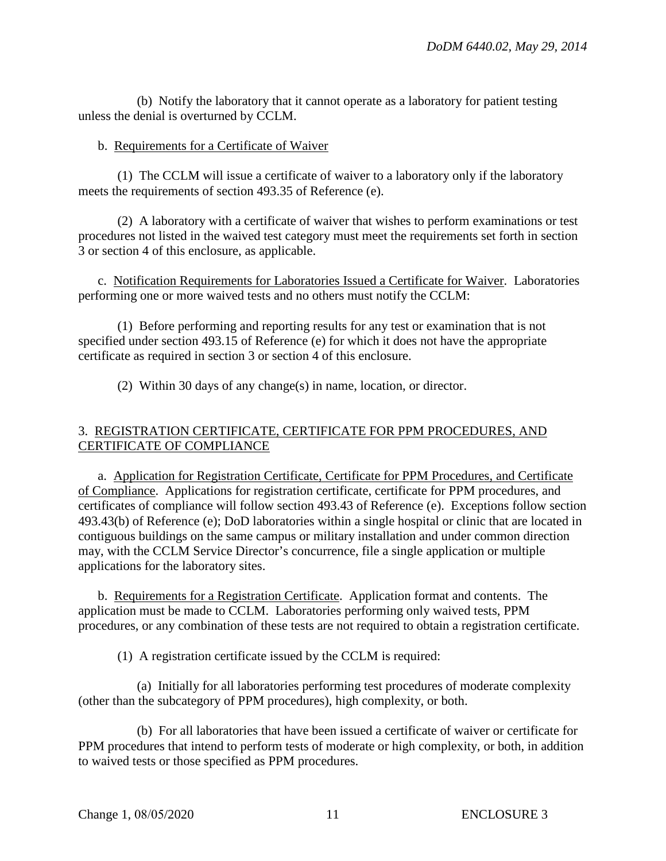(b) Notify the laboratory that it cannot operate as a laboratory for patient testing unless the denial is overturned by CCLM.

#### b. Requirements for a Certificate of Waiver

(1) The CCLM will issue a certificate of waiver to a laboratory only if the laboratory meets the requirements of section 493.35 of Reference (e).

(2) A laboratory with a certificate of waiver that wishes to perform examinations or test procedures not listed in the waived test category must meet the requirements set forth in section 3 or section 4 of this enclosure, as applicable.

c. Notification Requirements for Laboratories Issued a Certificate for Waiver. Laboratories performing one or more waived tests and no others must notify the CCLM:

(1) Before performing and reporting results for any test or examination that is not specified under section 493.15 of Reference (e) for which it does not have the appropriate certificate as required in section 3 or section 4 of this enclosure.

(2) Within 30 days of any change(s) in name, location, or director.

## 3. REGISTRATION CERTIFICATE, CERTIFICATE FOR PPM PROCEDURES, AND CERTIFICATE OF COMPLIANCE

a. Application for Registration Certificate, Certificate for PPM Procedures, and Certificate of Compliance. Applications for registration certificate, certificate for PPM procedures, and certificates of compliance will follow section 493.43 of Reference (e). Exceptions follow section 493.43(b) of Reference (e); DoD laboratories within a single hospital or clinic that are located in contiguous buildings on the same campus or military installation and under common direction may, with the CCLM Service Director's concurrence, file a single application or multiple applications for the laboratory sites.

b. Requirements for a Registration Certificate. Application format and contents. The application must be made to CCLM. Laboratories performing only waived tests, PPM procedures, or any combination of these tests are not required to obtain a registration certificate.

(1) A registration certificate issued by the CCLM is required:

(a) Initially for all laboratories performing test procedures of moderate complexity (other than the subcategory of PPM procedures), high complexity, or both.

(b) For all laboratories that have been issued a certificate of waiver or certificate for PPM procedures that intend to perform tests of moderate or high complexity, or both, in addition to waived tests or those specified as PPM procedures.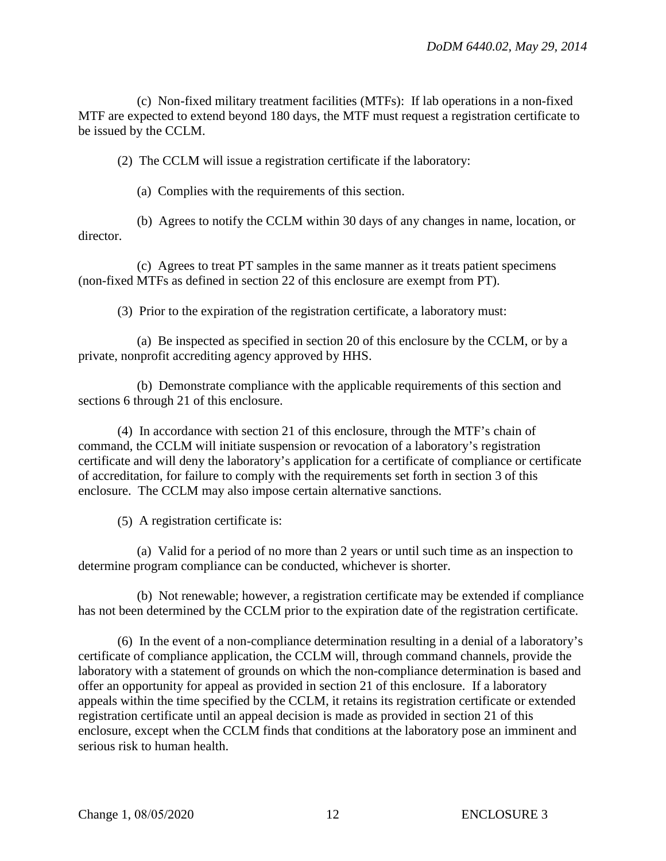(c) Non-fixed military treatment facilities (MTFs): If lab operations in a non-fixed MTF are expected to extend beyond 180 days, the MTF must request a registration certificate to be issued by the CCLM.

(2) The CCLM will issue a registration certificate if the laboratory:

(a) Complies with the requirements of this section.

(b) Agrees to notify the CCLM within 30 days of any changes in name, location, or director.

(c) Agrees to treat PT samples in the same manner as it treats patient specimens (non-fixed MTFs as defined in section 22 of this enclosure are exempt from PT).

(3) Prior to the expiration of the registration certificate, a laboratory must:

(a) Be inspected as specified in section 20 of this enclosure by the CCLM, or by a private, nonprofit accrediting agency approved by HHS.

(b) Demonstrate compliance with the applicable requirements of this section and sections 6 through 21 of this enclosure.

(4) In accordance with section 21 of this enclosure, through the MTF's chain of command, the CCLM will initiate suspension or revocation of a laboratory's registration certificate and will deny the laboratory's application for a certificate of compliance or certificate of accreditation, for failure to comply with the requirements set forth in section 3 of this enclosure. The CCLM may also impose certain alternative sanctions.

(5) A registration certificate is:

(a) Valid for a period of no more than 2 years or until such time as an inspection to determine program compliance can be conducted, whichever is shorter.

(b) Not renewable; however, a registration certificate may be extended if compliance has not been determined by the CCLM prior to the expiration date of the registration certificate.

(6) In the event of a non-compliance determination resulting in a denial of a laboratory's certificate of compliance application, the CCLM will, through command channels, provide the laboratory with a statement of grounds on which the non-compliance determination is based and offer an opportunity for appeal as provided in section 21 of this enclosure. If a laboratory appeals within the time specified by the CCLM, it retains its registration certificate or extended registration certificate until an appeal decision is made as provided in section 21 of this enclosure, except when the CCLM finds that conditions at the laboratory pose an imminent and serious risk to human health.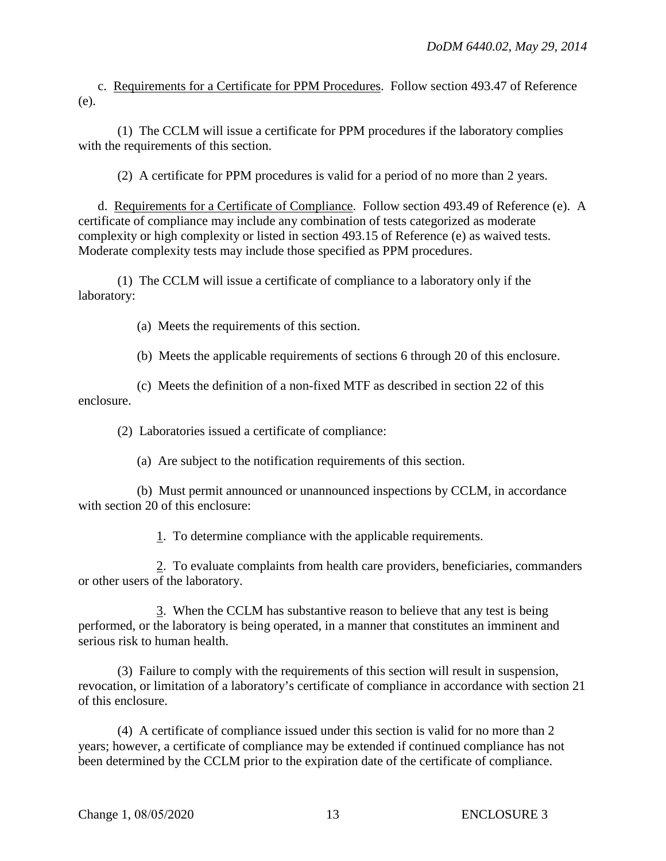c. Requirements for a Certificate for PPM Procedures. Follow section 493.47 of Reference (e).

(1) The CCLM will issue a certificate for PPM procedures if the laboratory complies with the requirements of this section.

(2) A certificate for PPM procedures is valid for a period of no more than 2 years.

d. Requirements for a Certificate of Compliance. Follow section 493.49 of Reference (e). A certificate of compliance may include any combination of tests categorized as moderate complexity or high complexity or listed in section 493.15 of Reference (e) as waived tests. Moderate complexity tests may include those specified as PPM procedures.

(1) The CCLM will issue a certificate of compliance to a laboratory only if the laboratory:

(a) Meets the requirements of this section.

(b) Meets the applicable requirements of sections 6 through 20 of this enclosure.

(c) Meets the definition of a non-fixed MTF as described in section 22 of this enclosure.

(2) Laboratories issued a certificate of compliance:

(a) Are subject to the notification requirements of this section.

(b) Must permit announced or unannounced inspections by CCLM, in accordance with section 20 of this enclosure:

1. To determine compliance with the applicable requirements.

2. To evaluate complaints from health care providers, beneficiaries, commanders or other users of the laboratory.

3. When the CCLM has substantive reason to believe that any test is being performed, or the laboratory is being operated, in a manner that constitutes an imminent and serious risk to human health.

(3) Failure to comply with the requirements of this section will result in suspension, revocation, or limitation of a laboratory's certificate of compliance in accordance with section 21 of this enclosure.

(4) A certificate of compliance issued under this section is valid for no more than 2 years; however, a certificate of compliance may be extended if continued compliance has not been determined by the CCLM prior to the expiration date of the certificate of compliance.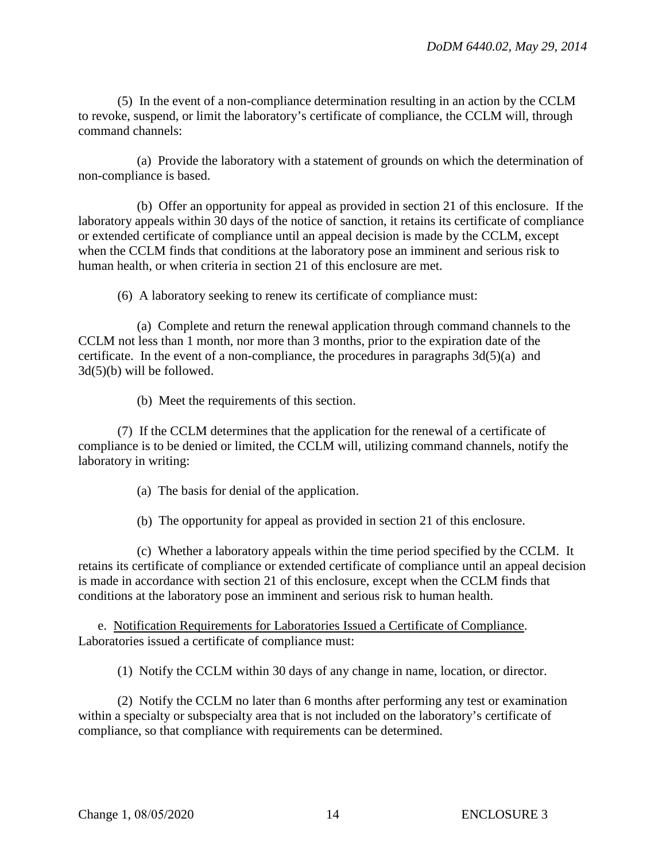(5) In the event of a non-compliance determination resulting in an action by the CCLM to revoke, suspend, or limit the laboratory's certificate of compliance, the CCLM will, through command channels:

(a) Provide the laboratory with a statement of grounds on which the determination of non-compliance is based.

(b) Offer an opportunity for appeal as provided in section 21 of this enclosure. If the laboratory appeals within 30 days of the notice of sanction, it retains its certificate of compliance or extended certificate of compliance until an appeal decision is made by the CCLM, except when the CCLM finds that conditions at the laboratory pose an imminent and serious risk to human health, or when criteria in section 21 of this enclosure are met.

(6) A laboratory seeking to renew its certificate of compliance must:

(a) Complete and return the renewal application through command channels to the CCLM not less than 1 month, nor more than 3 months, prior to the expiration date of the certificate. In the event of a non-compliance, the procedures in paragraphs  $3d(5)(a)$  and 3d(5)(b) will be followed.

(b) Meet the requirements of this section.

(7) If the CCLM determines that the application for the renewal of a certificate of compliance is to be denied or limited, the CCLM will, utilizing command channels, notify the laboratory in writing:

(a) The basis for denial of the application.

(b) The opportunity for appeal as provided in section 21 of this enclosure.

(c) Whether a laboratory appeals within the time period specified by the CCLM. It retains its certificate of compliance or extended certificate of compliance until an appeal decision is made in accordance with section 21 of this enclosure, except when the CCLM finds that conditions at the laboratory pose an imminent and serious risk to human health.

e. Notification Requirements for Laboratories Issued a Certificate of Compliance. Laboratories issued a certificate of compliance must:

(1) Notify the CCLM within 30 days of any change in name, location, or director.

(2) Notify the CCLM no later than 6 months after performing any test or examination within a specialty or subspecialty area that is not included on the laboratory's certificate of compliance, so that compliance with requirements can be determined.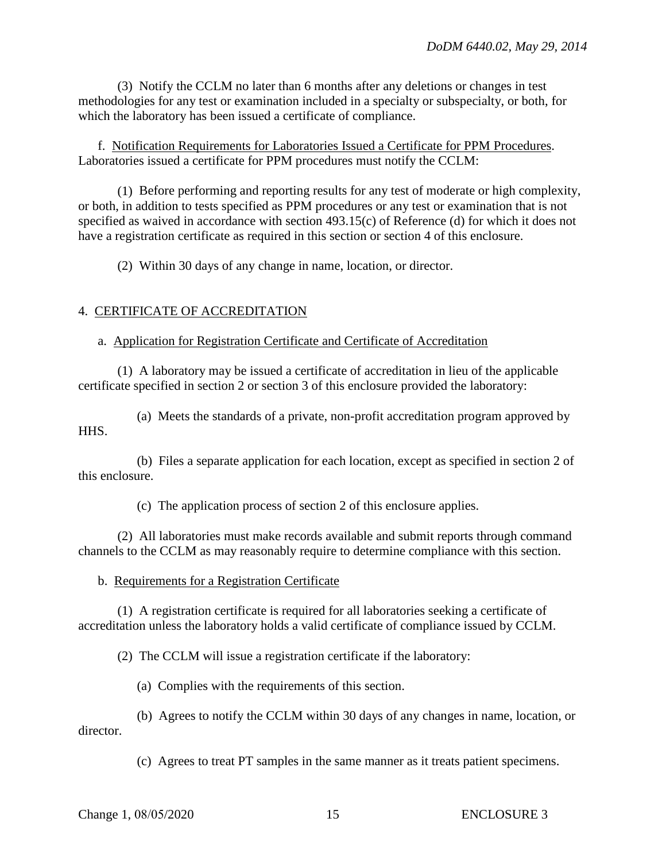(3) Notify the CCLM no later than 6 months after any deletions or changes in test methodologies for any test or examination included in a specialty or subspecialty, or both, for which the laboratory has been issued a certificate of compliance.

f. Notification Requirements for Laboratories Issued a Certificate for PPM Procedures. Laboratories issued a certificate for PPM procedures must notify the CCLM:

(1) Before performing and reporting results for any test of moderate or high complexity, or both, in addition to tests specified as PPM procedures or any test or examination that is not specified as waived in accordance with section 493.15(c) of Reference (d) for which it does not have a registration certificate as required in this section or section 4 of this enclosure.

(2) Within 30 days of any change in name, location, or director.

#### 4. CERTIFICATE OF ACCREDITATION

#### a. Application for Registration Certificate and Certificate of Accreditation

(1) A laboratory may be issued a certificate of accreditation in lieu of the applicable certificate specified in section 2 or section 3 of this enclosure provided the laboratory:

(a) Meets the standards of a private, non-profit accreditation program approved by HHS.

(b) Files a separate application for each location, except as specified in section 2 of this enclosure.

(c) The application process of section 2 of this enclosure applies.

(2) All laboratories must make records available and submit reports through command channels to the CCLM as may reasonably require to determine compliance with this section.

#### b. Requirements for a Registration Certificate

(1) A registration certificate is required for all laboratories seeking a certificate of accreditation unless the laboratory holds a valid certificate of compliance issued by CCLM.

(2) The CCLM will issue a registration certificate if the laboratory:

(a) Complies with the requirements of this section.

(b) Agrees to notify the CCLM within 30 days of any changes in name, location, or director.

(c) Agrees to treat PT samples in the same manner as it treats patient specimens.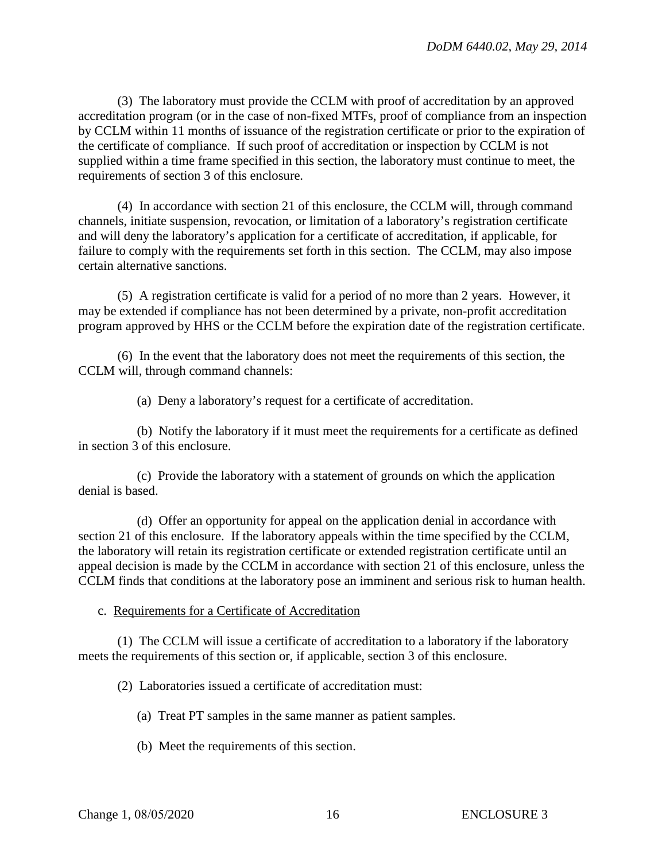(3) The laboratory must provide the CCLM with proof of accreditation by an approved accreditation program (or in the case of non-fixed MTFs, proof of compliance from an inspection by CCLM within 11 months of issuance of the registration certificate or prior to the expiration of the certificate of compliance. If such proof of accreditation or inspection by CCLM is not supplied within a time frame specified in this section, the laboratory must continue to meet, the requirements of section 3 of this enclosure.

(4) In accordance with section 21 of this enclosure, the CCLM will, through command channels, initiate suspension, revocation, or limitation of a laboratory's registration certificate and will deny the laboratory's application for a certificate of accreditation, if applicable, for failure to comply with the requirements set forth in this section. The CCLM, may also impose certain alternative sanctions.

(5) A registration certificate is valid for a period of no more than 2 years. However, it may be extended if compliance has not been determined by a private, non-profit accreditation program approved by HHS or the CCLM before the expiration date of the registration certificate.

(6) In the event that the laboratory does not meet the requirements of this section, the CCLM will, through command channels:

(a) Deny a laboratory's request for a certificate of accreditation.

(b) Notify the laboratory if it must meet the requirements for a certificate as defined in section 3 of this enclosure.

(c) Provide the laboratory with a statement of grounds on which the application denial is based.

(d) Offer an opportunity for appeal on the application denial in accordance with section 21 of this enclosure. If the laboratory appeals within the time specified by the CCLM, the laboratory will retain its registration certificate or extended registration certificate until an appeal decision is made by the CCLM in accordance with section 21 of this enclosure, unless the CCLM finds that conditions at the laboratory pose an imminent and serious risk to human health.

#### c. Requirements for a Certificate of Accreditation

(1) The CCLM will issue a certificate of accreditation to a laboratory if the laboratory meets the requirements of this section or, if applicable, section 3 of this enclosure.

(2) Laboratories issued a certificate of accreditation must:

(a) Treat PT samples in the same manner as patient samples.

(b) Meet the requirements of this section.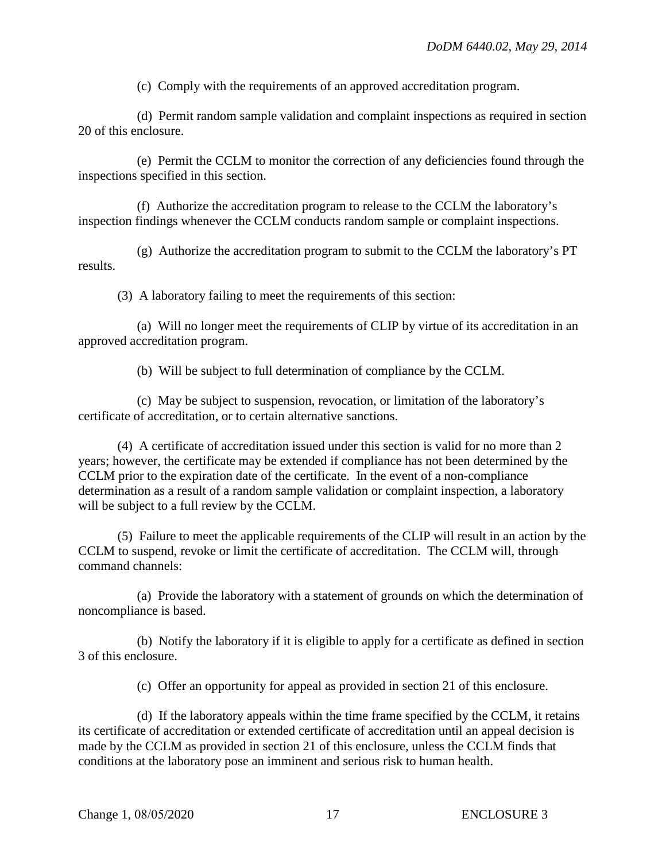(c) Comply with the requirements of an approved accreditation program.

(d) Permit random sample validation and complaint inspections as required in section 20 of this enclosure.

(e) Permit the CCLM to monitor the correction of any deficiencies found through the inspections specified in this section.

(f) Authorize the accreditation program to release to the CCLM the laboratory's inspection findings whenever the CCLM conducts random sample or complaint inspections.

(g) Authorize the accreditation program to submit to the CCLM the laboratory's PT results.

(3) A laboratory failing to meet the requirements of this section:

(a) Will no longer meet the requirements of CLIP by virtue of its accreditation in an approved accreditation program.

(b) Will be subject to full determination of compliance by the CCLM.

(c) May be subject to suspension, revocation, or limitation of the laboratory's certificate of accreditation, or to certain alternative sanctions.

(4) A certificate of accreditation issued under this section is valid for no more than 2 years; however, the certificate may be extended if compliance has not been determined by the CCLM prior to the expiration date of the certificate. In the event of a non-compliance determination as a result of a random sample validation or complaint inspection, a laboratory will be subject to a full review by the CCLM.

(5) Failure to meet the applicable requirements of the CLIP will result in an action by the CCLM to suspend, revoke or limit the certificate of accreditation. The CCLM will, through command channels:

(a) Provide the laboratory with a statement of grounds on which the determination of noncompliance is based.

(b) Notify the laboratory if it is eligible to apply for a certificate as defined in section 3 of this enclosure.

(c) Offer an opportunity for appeal as provided in section 21 of this enclosure.

(d) If the laboratory appeals within the time frame specified by the CCLM, it retains its certificate of accreditation or extended certificate of accreditation until an appeal decision is made by the CCLM as provided in section 21 of this enclosure, unless the CCLM finds that conditions at the laboratory pose an imminent and serious risk to human health.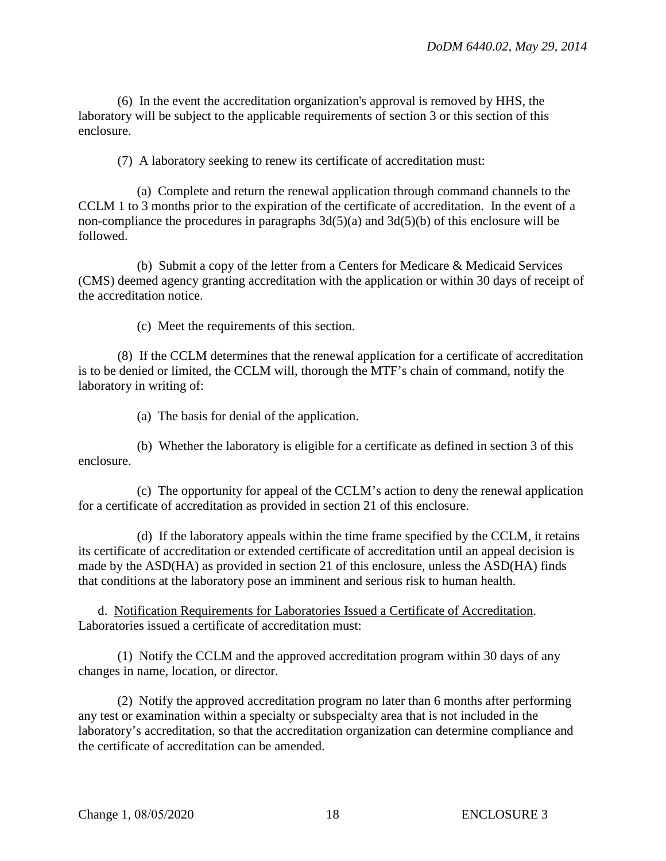(6) In the event the accreditation organization's approval is removed by HHS, the laboratory will be subject to the applicable requirements of section 3 or this section of this enclosure.

(7) A laboratory seeking to renew its certificate of accreditation must:

(a) Complete and return the renewal application through command channels to the CCLM 1 to 3 months prior to the expiration of the certificate of accreditation. In the event of a non-compliance the procedures in paragraphs  $3d(5)(a)$  and  $3d(5)(b)$  of this enclosure will be followed.

(b) Submit a copy of the letter from a Centers for Medicare & Medicaid Services (CMS) deemed agency granting accreditation with the application or within 30 days of receipt of the accreditation notice.

(c) Meet the requirements of this section.

(8) If the CCLM determines that the renewal application for a certificate of accreditation is to be denied or limited, the CCLM will, thorough the MTF's chain of command, notify the laboratory in writing of:

(a) The basis for denial of the application.

(b) Whether the laboratory is eligible for a certificate as defined in section 3 of this enclosure.

(c) The opportunity for appeal of the CCLM's action to deny the renewal application for a certificate of accreditation as provided in section 21 of this enclosure.

(d) If the laboratory appeals within the time frame specified by the CCLM, it retains its certificate of accreditation or extended certificate of accreditation until an appeal decision is made by the ASD(HA) as provided in section 21 of this enclosure, unless the ASD(HA) finds that conditions at the laboratory pose an imminent and serious risk to human health.

d. Notification Requirements for Laboratories Issued a Certificate of Accreditation. Laboratories issued a certificate of accreditation must:

(1) Notify the CCLM and the approved accreditation program within 30 days of any changes in name, location, or director.

(2) Notify the approved accreditation program no later than 6 months after performing any test or examination within a specialty or subspecialty area that is not included in the laboratory's accreditation, so that the accreditation organization can determine compliance and the certificate of accreditation can be amended.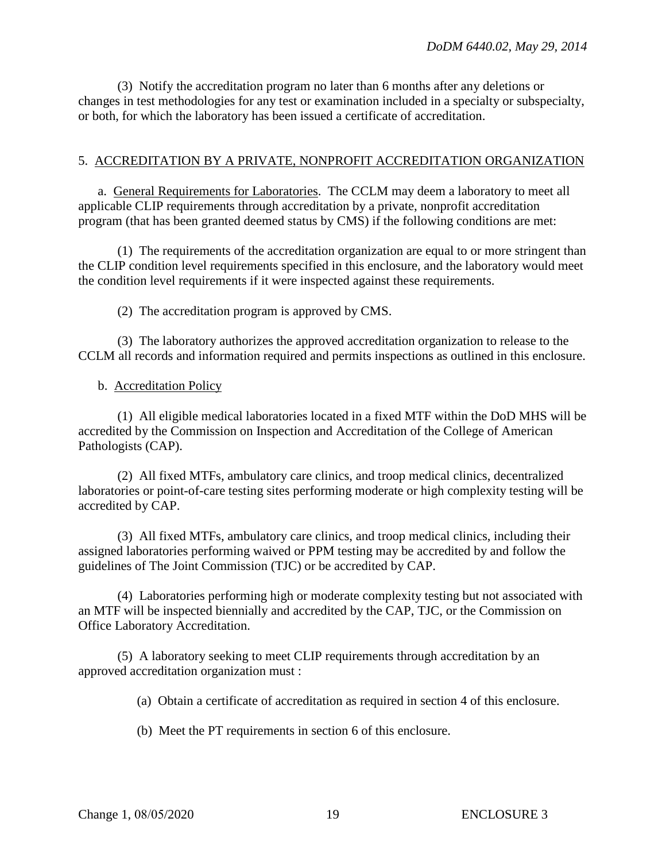(3) Notify the accreditation program no later than 6 months after any deletions or changes in test methodologies for any test or examination included in a specialty or subspecialty, or both, for which the laboratory has been issued a certificate of accreditation.

#### 5. ACCREDITATION BY A PRIVATE, NONPROFIT ACCREDITATION ORGANIZATION

a. General Requirements for Laboratories. The CCLM may deem a laboratory to meet all applicable CLIP requirements through accreditation by a private, nonprofit accreditation program (that has been granted deemed status by CMS) if the following conditions are met:

(1) The requirements of the accreditation organization are equal to or more stringent than the CLIP condition level requirements specified in this enclosure, and the laboratory would meet the condition level requirements if it were inspected against these requirements.

(2) The accreditation program is approved by CMS.

(3) The laboratory authorizes the approved accreditation organization to release to the CCLM all records and information required and permits inspections as outlined in this enclosure.

#### b. Accreditation Policy

(1) All eligible medical laboratories located in a fixed MTF within the DoD MHS will be accredited by the Commission on Inspection and Accreditation of the College of American Pathologists (CAP).

(2) All fixed MTFs, ambulatory care clinics, and troop medical clinics, decentralized laboratories or point-of-care testing sites performing moderate or high complexity testing will be accredited by CAP.

(3) All fixed MTFs, ambulatory care clinics, and troop medical clinics, including their assigned laboratories performing waived or PPM testing may be accredited by and follow the guidelines of The Joint Commission (TJC) or be accredited by CAP.

(4) Laboratories performing high or moderate complexity testing but not associated with an MTF will be inspected biennially and accredited by the CAP, TJC, or the Commission on Office Laboratory Accreditation.

(5) A laboratory seeking to meet CLIP requirements through accreditation by an approved accreditation organization must :

(a) Obtain a certificate of accreditation as required in section 4 of this enclosure.

(b) Meet the PT requirements in section 6 of this enclosure.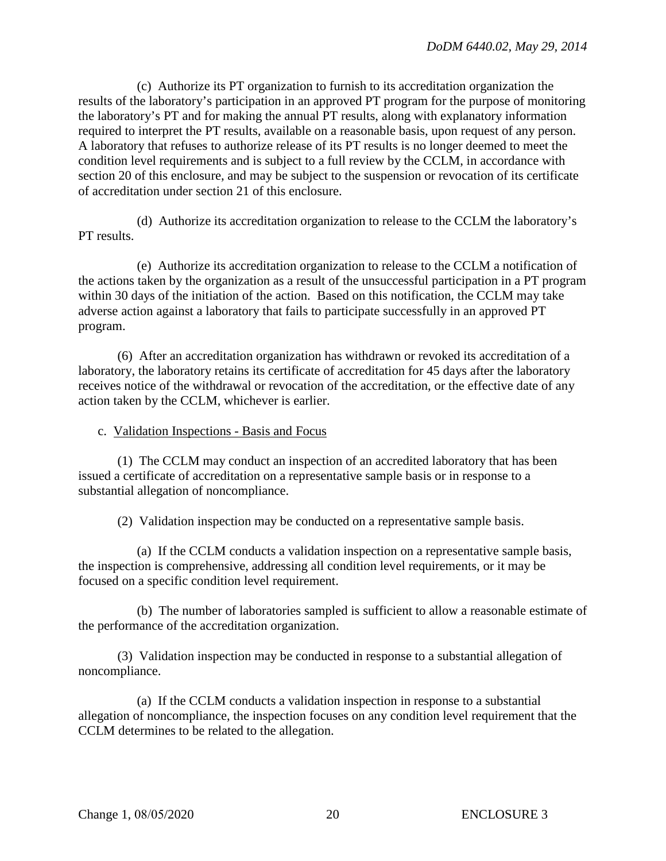(c) Authorize its PT organization to furnish to its accreditation organization the results of the laboratory's participation in an approved PT program for the purpose of monitoring the laboratory's PT and for making the annual PT results, along with explanatory information required to interpret the PT results, available on a reasonable basis, upon request of any person. A laboratory that refuses to authorize release of its PT results is no longer deemed to meet the condition level requirements and is subject to a full review by the CCLM, in accordance with section 20 of this enclosure, and may be subject to the suspension or revocation of its certificate of accreditation under section 21 of this enclosure.

(d) Authorize its accreditation organization to release to the CCLM the laboratory's PT results.

(e) Authorize its accreditation organization to release to the CCLM a notification of the actions taken by the organization as a result of the unsuccessful participation in a PT program within 30 days of the initiation of the action. Based on this notification, the CCLM may take adverse action against a laboratory that fails to participate successfully in an approved PT program.

(6) After an accreditation organization has withdrawn or revoked its accreditation of a laboratory, the laboratory retains its certificate of accreditation for 45 days after the laboratory receives notice of the withdrawal or revocation of the accreditation, or the effective date of any action taken by the CCLM, whichever is earlier.

c. Validation Inspections - Basis and Focus

(1) The CCLM may conduct an inspection of an accredited laboratory that has been issued a certificate of accreditation on a representative sample basis or in response to a substantial allegation of noncompliance.

(2) Validation inspection may be conducted on a representative sample basis.

(a) If the CCLM conducts a validation inspection on a representative sample basis, the inspection is comprehensive, addressing all condition level requirements, or it may be focused on a specific condition level requirement.

(b) The number of laboratories sampled is sufficient to allow a reasonable estimate of the performance of the accreditation organization.

(3) Validation inspection may be conducted in response to a substantial allegation of noncompliance.

(a) If the CCLM conducts a validation inspection in response to a substantial allegation of noncompliance, the inspection focuses on any condition level requirement that the CCLM determines to be related to the allegation.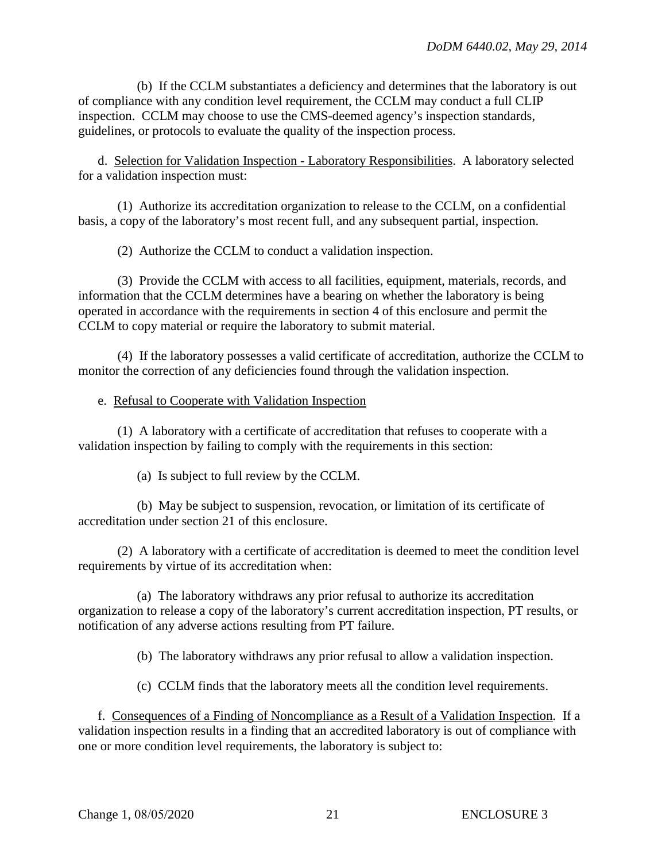(b) If the CCLM substantiates a deficiency and determines that the laboratory is out of compliance with any condition level requirement, the CCLM may conduct a full CLIP inspection. CCLM may choose to use the CMS-deemed agency's inspection standards, guidelines, or protocols to evaluate the quality of the inspection process.

d. Selection for Validation Inspection - Laboratory Responsibilities. A laboratory selected for a validation inspection must:

(1) Authorize its accreditation organization to release to the CCLM, on a confidential basis, a copy of the laboratory's most recent full, and any subsequent partial, inspection.

(2) Authorize the CCLM to conduct a validation inspection.

(3) Provide the CCLM with access to all facilities, equipment, materials, records, and information that the CCLM determines have a bearing on whether the laboratory is being operated in accordance with the requirements in section 4 of this enclosure and permit the CCLM to copy material or require the laboratory to submit material.

(4) If the laboratory possesses a valid certificate of accreditation, authorize the CCLM to monitor the correction of any deficiencies found through the validation inspection.

## e. Refusal to Cooperate with Validation Inspection

(1) A laboratory with a certificate of accreditation that refuses to cooperate with a validation inspection by failing to comply with the requirements in this section:

(a) Is subject to full review by the CCLM.

(b) May be subject to suspension, revocation, or limitation of its certificate of accreditation under section 21 of this enclosure.

(2) A laboratory with a certificate of accreditation is deemed to meet the condition level requirements by virtue of its accreditation when:

(a) The laboratory withdraws any prior refusal to authorize its accreditation organization to release a copy of the laboratory's current accreditation inspection, PT results, or notification of any adverse actions resulting from PT failure.

(b) The laboratory withdraws any prior refusal to allow a validation inspection.

(c) CCLM finds that the laboratory meets all the condition level requirements.

f. Consequences of a Finding of Noncompliance as a Result of a Validation Inspection. If a validation inspection results in a finding that an accredited laboratory is out of compliance with one or more condition level requirements, the laboratory is subject to: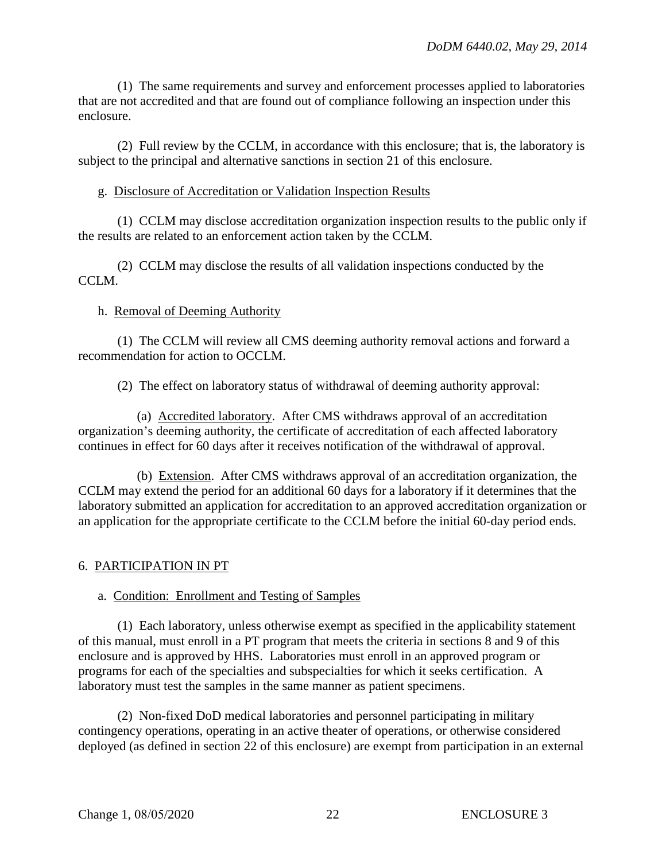(1) The same requirements and survey and enforcement processes applied to laboratories that are not accredited and that are found out of compliance following an inspection under this enclosure.

(2) Full review by the CCLM, in accordance with this enclosure; that is, the laboratory is subject to the principal and alternative sanctions in section 21 of this enclosure.

## g. Disclosure of Accreditation or Validation Inspection Results

(1) CCLM may disclose accreditation organization inspection results to the public only if the results are related to an enforcement action taken by the CCLM.

(2) CCLM may disclose the results of all validation inspections conducted by the CCLM.

# h. Removal of Deeming Authority

(1) The CCLM will review all CMS deeming authority removal actions and forward a recommendation for action to OCCLM.

(2) The effect on laboratory status of withdrawal of deeming authority approval:

(a) Accredited laboratory. After CMS withdraws approval of an accreditation organization's deeming authority, the certificate of accreditation of each affected laboratory continues in effect for 60 days after it receives notification of the withdrawal of approval.

(b) Extension. After CMS withdraws approval of an accreditation organization, the CCLM may extend the period for an additional 60 days for a laboratory if it determines that the laboratory submitted an application for accreditation to an approved accreditation organization or an application for the appropriate certificate to the CCLM before the initial 60-day period ends.

# 6. PARTICIPATION IN PT

# a. Condition: Enrollment and Testing of Samples

(1) Each laboratory, unless otherwise exempt as specified in the applicability statement of this manual, must enroll in a PT program that meets the criteria in sections 8 and 9 of this enclosure and is approved by HHS. Laboratories must enroll in an approved program or programs for each of the specialties and subspecialties for which it seeks certification. A laboratory must test the samples in the same manner as patient specimens.

(2) Non-fixed DoD medical laboratories and personnel participating in military contingency operations, operating in an active theater of operations, or otherwise considered deployed (as defined in section 22 of this enclosure) are exempt from participation in an external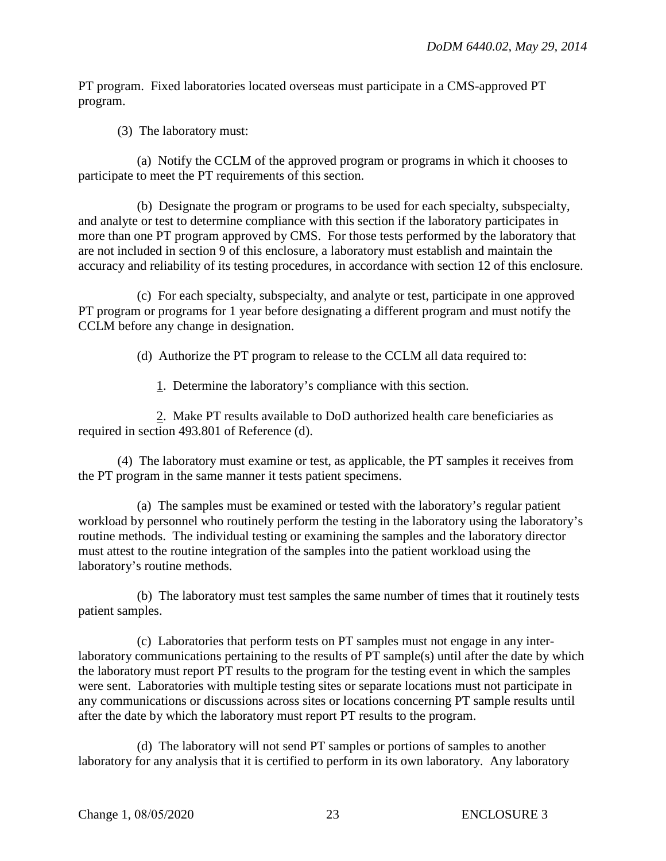PT program. Fixed laboratories located overseas must participate in a CMS-approved PT program.

(3) The laboratory must:

(a) Notify the CCLM of the approved program or programs in which it chooses to participate to meet the PT requirements of this section.

(b) Designate the program or programs to be used for each specialty, subspecialty, and analyte or test to determine compliance with this section if the laboratory participates in more than one PT program approved by CMS. For those tests performed by the laboratory that are not included in section 9 of this enclosure, a laboratory must establish and maintain the accuracy and reliability of its testing procedures, in accordance with section 12 of this enclosure.

(c) For each specialty, subspecialty, and analyte or test, participate in one approved PT program or programs for 1 year before designating a different program and must notify the CCLM before any change in designation.

(d) Authorize the PT program to release to the CCLM all data required to:

1. Determine the laboratory's compliance with this section.

2. Make PT results available to DoD authorized health care beneficiaries as required in section 493.801 of Reference (d).

(4) The laboratory must examine or test, as applicable, the PT samples it receives from the PT program in the same manner it tests patient specimens.

(a) The samples must be examined or tested with the laboratory's regular patient workload by personnel who routinely perform the testing in the laboratory using the laboratory's routine methods. The individual testing or examining the samples and the laboratory director must attest to the routine integration of the samples into the patient workload using the laboratory's routine methods.

(b) The laboratory must test samples the same number of times that it routinely tests patient samples.

(c) Laboratories that perform tests on PT samples must not engage in any interlaboratory communications pertaining to the results of PT sample(s) until after the date by which the laboratory must report PT results to the program for the testing event in which the samples were sent. Laboratories with multiple testing sites or separate locations must not participate in any communications or discussions across sites or locations concerning PT sample results until after the date by which the laboratory must report PT results to the program.

(d) The laboratory will not send PT samples or portions of samples to another laboratory for any analysis that it is certified to perform in its own laboratory. Any laboratory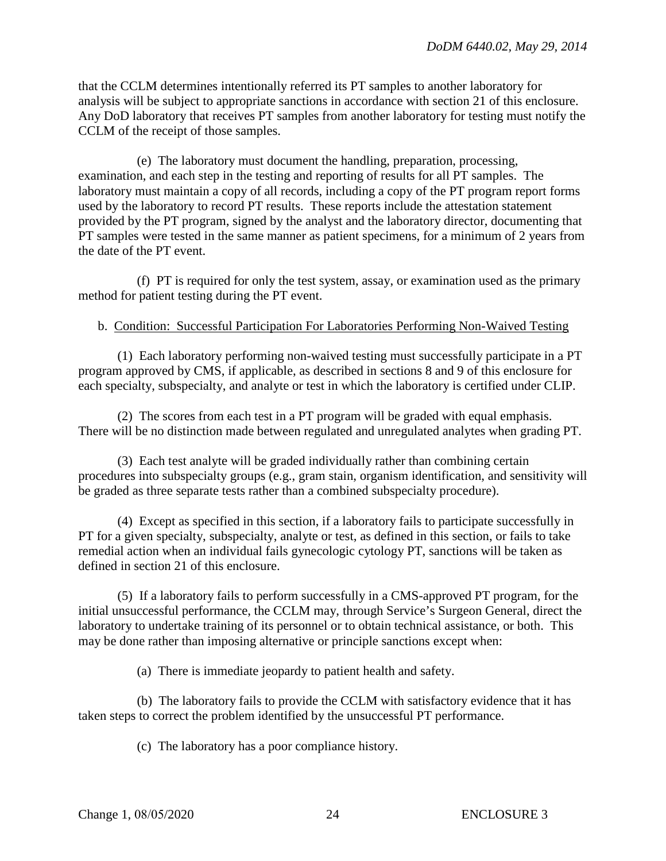that the CCLM determines intentionally referred its PT samples to another laboratory for analysis will be subject to appropriate sanctions in accordance with section 21 of this enclosure. Any DoD laboratory that receives PT samples from another laboratory for testing must notify the CCLM of the receipt of those samples.

(e) The laboratory must document the handling, preparation, processing, examination, and each step in the testing and reporting of results for all PT samples. The laboratory must maintain a copy of all records, including a copy of the PT program report forms used by the laboratory to record PT results. These reports include the attestation statement provided by the PT program, signed by the analyst and the laboratory director, documenting that PT samples were tested in the same manner as patient specimens, for a minimum of 2 years from the date of the PT event.

(f) PT is required for only the test system, assay, or examination used as the primary method for patient testing during the PT event.

## b. Condition: Successful Participation For Laboratories Performing Non-Waived Testing

(1) Each laboratory performing non-waived testing must successfully participate in a PT program approved by CMS, if applicable, as described in sections 8 and 9 of this enclosure for each specialty, subspecialty, and analyte or test in which the laboratory is certified under CLIP.

(2) The scores from each test in a PT program will be graded with equal emphasis. There will be no distinction made between regulated and unregulated analytes when grading PT.

(3) Each test analyte will be graded individually rather than combining certain procedures into subspecialty groups (e.g., gram stain, organism identification, and sensitivity will be graded as three separate tests rather than a combined subspecialty procedure).

(4) Except as specified in this section, if a laboratory fails to participate successfully in PT for a given specialty, subspecialty, analyte or test, as defined in this section, or fails to take remedial action when an individual fails gynecologic cytology PT, sanctions will be taken as defined in section 21 of this enclosure.

(5) If a laboratory fails to perform successfully in a CMS-approved PT program, for the initial unsuccessful performance, the CCLM may, through Service's Surgeon General, direct the laboratory to undertake training of its personnel or to obtain technical assistance, or both. This may be done rather than imposing alternative or principle sanctions except when:

(a) There is immediate jeopardy to patient health and safety.

(b) The laboratory fails to provide the CCLM with satisfactory evidence that it has taken steps to correct the problem identified by the unsuccessful PT performance.

(c) The laboratory has a poor compliance history.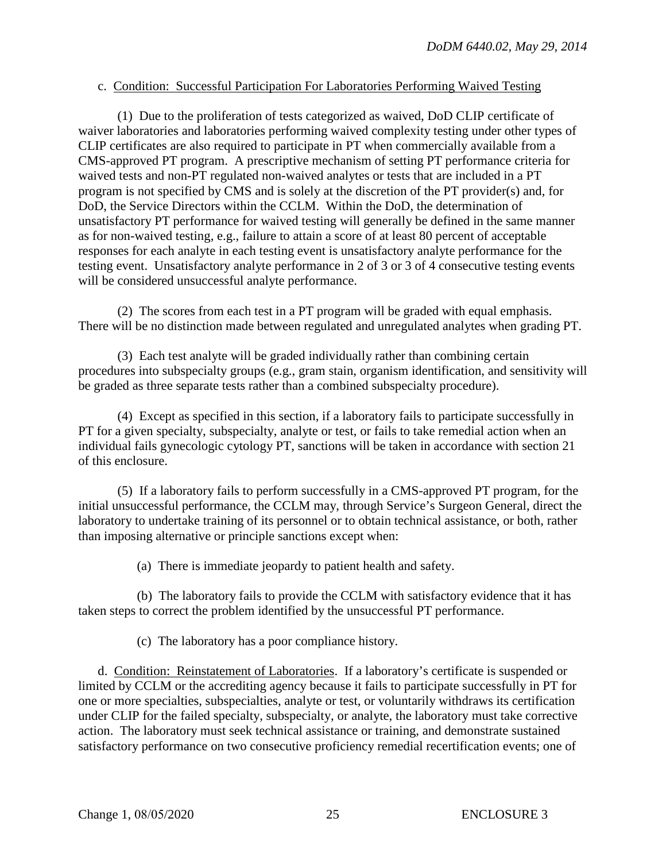## c. Condition: Successful Participation For Laboratories Performing Waived Testing

(1) Due to the proliferation of tests categorized as waived, DoD CLIP certificate of waiver laboratories and laboratories performing waived complexity testing under other types of CLIP certificates are also required to participate in PT when commercially available from a CMS-approved PT program. A prescriptive mechanism of setting PT performance criteria for waived tests and non-PT regulated non-waived analytes or tests that are included in a PT program is not specified by CMS and is solely at the discretion of the PT provider(s) and, for DoD, the Service Directors within the CCLM. Within the DoD, the determination of unsatisfactory PT performance for waived testing will generally be defined in the same manner as for non-waived testing, e.g., failure to attain a score of at least 80 percent of acceptable responses for each analyte in each testing event is unsatisfactory analyte performance for the testing event. Unsatisfactory analyte performance in 2 of 3 or 3 of 4 consecutive testing events will be considered unsuccessful analyte performance.

(2) The scores from each test in a PT program will be graded with equal emphasis. There will be no distinction made between regulated and unregulated analytes when grading PT.

(3) Each test analyte will be graded individually rather than combining certain procedures into subspecialty groups (e.g., gram stain, organism identification, and sensitivity will be graded as three separate tests rather than a combined subspecialty procedure).

(4) Except as specified in this section, if a laboratory fails to participate successfully in PT for a given specialty, subspecialty, analyte or test, or fails to take remedial action when an individual fails gynecologic cytology PT, sanctions will be taken in accordance with section 21 of this enclosure.

(5) If a laboratory fails to perform successfully in a CMS-approved PT program, for the initial unsuccessful performance, the CCLM may, through Service's Surgeon General, direct the laboratory to undertake training of its personnel or to obtain technical assistance, or both, rather than imposing alternative or principle sanctions except when:

(a) There is immediate jeopardy to patient health and safety.

(b) The laboratory fails to provide the CCLM with satisfactory evidence that it has taken steps to correct the problem identified by the unsuccessful PT performance.

(c) The laboratory has a poor compliance history.

d. Condition: Reinstatement of Laboratories. If a laboratory's certificate is suspended or limited by CCLM or the accrediting agency because it fails to participate successfully in PT for one or more specialties, subspecialties, analyte or test, or voluntarily withdraws its certification under CLIP for the failed specialty, subspecialty, or analyte, the laboratory must take corrective action. The laboratory must seek technical assistance or training, and demonstrate sustained satisfactory performance on two consecutive proficiency remedial recertification events; one of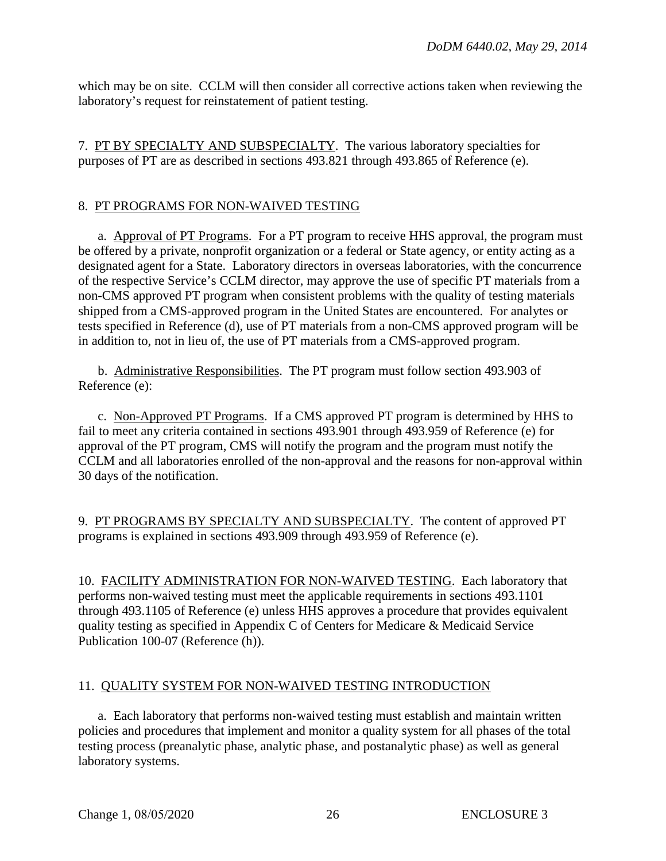which may be on site. CCLM will then consider all corrective actions taken when reviewing the laboratory's request for reinstatement of patient testing.

7. PT BY SPECIALTY AND SUBSPECIALTY. The various laboratory specialties for purposes of PT are as described in sections 493.821 through 493.865 of Reference (e).

## 8. PT PROGRAMS FOR NON-WAIVED TESTING

a. Approval of PT Programs. For a PT program to receive HHS approval, the program must be offered by a private, nonprofit organization or a federal or State agency, or entity acting as a designated agent for a State. Laboratory directors in overseas laboratories, with the concurrence of the respective Service's CCLM director, may approve the use of specific PT materials from a non-CMS approved PT program when consistent problems with the quality of testing materials shipped from a CMS-approved program in the United States are encountered. For analytes or tests specified in Reference (d), use of PT materials from a non-CMS approved program will be in addition to, not in lieu of, the use of PT materials from a CMS-approved program.

b. Administrative Responsibilities. The PT program must follow section 493.903 of Reference (e):

c. Non-Approved PT Programs. If a CMS approved PT program is determined by HHS to fail to meet any criteria contained in sections 493.901 through 493.959 of Reference (e) for approval of the PT program, CMS will notify the program and the program must notify the CCLM and all laboratories enrolled of the non-approval and the reasons for non-approval within 30 days of the notification.

9. PT PROGRAMS BY SPECIALTY AND SUBSPECIALTY. The content of approved PT programs is explained in sections 493.909 through 493.959 of Reference (e).

10. FACILITY ADMINISTRATION FOR NON-WAIVED TESTING. Each laboratory that performs non-waived testing must meet the applicable requirements in sections 493.1101 through 493.1105 of Reference (e) unless HHS approves a procedure that provides equivalent quality testing as specified in Appendix C of Centers for Medicare & Medicaid Service Publication 100-07 (Reference (h)).

## 11. QUALITY SYSTEM FOR NON-WAIVED TESTING INTRODUCTION

a. Each laboratory that performs non-waived testing must establish and maintain written policies and procedures that implement and monitor a quality system for all phases of the total testing process (preanalytic phase, analytic phase, and postanalytic phase) as well as general laboratory systems.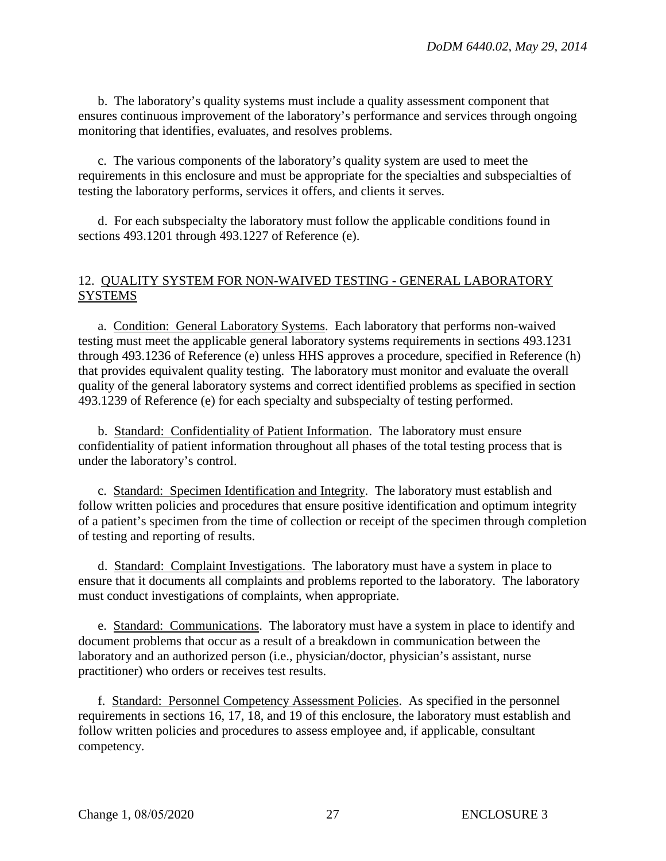b. The laboratory's quality systems must include a quality assessment component that ensures continuous improvement of the laboratory's performance and services through ongoing monitoring that identifies, evaluates, and resolves problems.

c. The various components of the laboratory's quality system are used to meet the requirements in this enclosure and must be appropriate for the specialties and subspecialties of testing the laboratory performs, services it offers, and clients it serves.

d. For each subspecialty the laboratory must follow the applicable conditions found in sections 493.1201 through 493.1227 of Reference (e).

## 12. QUALITY SYSTEM FOR NON-WAIVED TESTING - GENERAL LABORATORY SYSTEMS

a. Condition: General Laboratory Systems. Each laboratory that performs non-waived testing must meet the applicable general laboratory systems requirements in sections 493.1231 through 493.1236 of Reference (e) unless HHS approves a procedure, specified in Reference (h) that provides equivalent quality testing. The laboratory must monitor and evaluate the overall quality of the general laboratory systems and correct identified problems as specified in section 493.1239 of Reference (e) for each specialty and subspecialty of testing performed.

b. Standard: Confidentiality of Patient Information. The laboratory must ensure confidentiality of patient information throughout all phases of the total testing process that is under the laboratory's control.

c. Standard: Specimen Identification and Integrity. The laboratory must establish and follow written policies and procedures that ensure positive identification and optimum integrity of a patient's specimen from the time of collection or receipt of the specimen through completion of testing and reporting of results.

d. Standard: Complaint Investigations. The laboratory must have a system in place to ensure that it documents all complaints and problems reported to the laboratory. The laboratory must conduct investigations of complaints, when appropriate.

e. Standard: Communications. The laboratory must have a system in place to identify and document problems that occur as a result of a breakdown in communication between the laboratory and an authorized person (i.e., physician/doctor, physician's assistant, nurse practitioner) who orders or receives test results.

f. Standard: Personnel Competency Assessment Policies. As specified in the personnel requirements in sections 16, 17, 18, and 19 of this enclosure, the laboratory must establish and follow written policies and procedures to assess employee and, if applicable, consultant competency.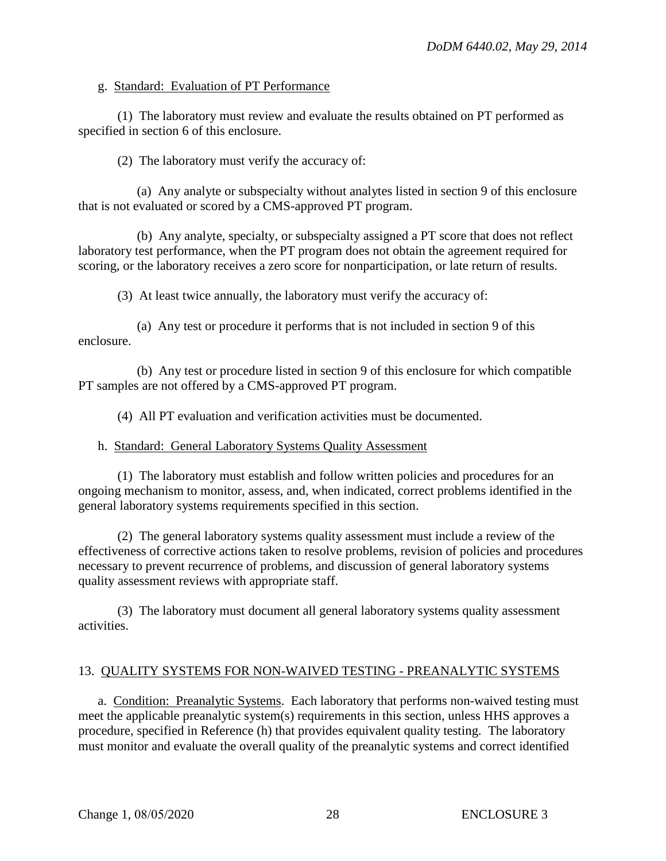## g. Standard: Evaluation of PT Performance

(1) The laboratory must review and evaluate the results obtained on PT performed as specified in section 6 of this enclosure.

(2) The laboratory must verify the accuracy of:

(a) Any analyte or subspecialty without analytes listed in section 9 of this enclosure that is not evaluated or scored by a CMS-approved PT program.

(b) Any analyte, specialty, or subspecialty assigned a PT score that does not reflect laboratory test performance, when the PT program does not obtain the agreement required for scoring, or the laboratory receives a zero score for nonparticipation, or late return of results.

(3) At least twice annually, the laboratory must verify the accuracy of:

(a) Any test or procedure it performs that is not included in section 9 of this enclosure.

(b) Any test or procedure listed in section 9 of this enclosure for which compatible PT samples are not offered by a CMS-approved PT program.

(4) All PT evaluation and verification activities must be documented.

## h. Standard: General Laboratory Systems Quality Assessment

(1) The laboratory must establish and follow written policies and procedures for an ongoing mechanism to monitor, assess, and, when indicated, correct problems identified in the general laboratory systems requirements specified in this section.

(2) The general laboratory systems quality assessment must include a review of the effectiveness of corrective actions taken to resolve problems, revision of policies and procedures necessary to prevent recurrence of problems, and discussion of general laboratory systems quality assessment reviews with appropriate staff.

(3) The laboratory must document all general laboratory systems quality assessment activities.

# 13. QUALITY SYSTEMS FOR NON-WAIVED TESTING - PREANALYTIC SYSTEMS

a. Condition: Preanalytic Systems. Each laboratory that performs non-waived testing must meet the applicable preanalytic system(s) requirements in this section, unless HHS approves a procedure, specified in Reference (h) that provides equivalent quality testing. The laboratory must monitor and evaluate the overall quality of the preanalytic systems and correct identified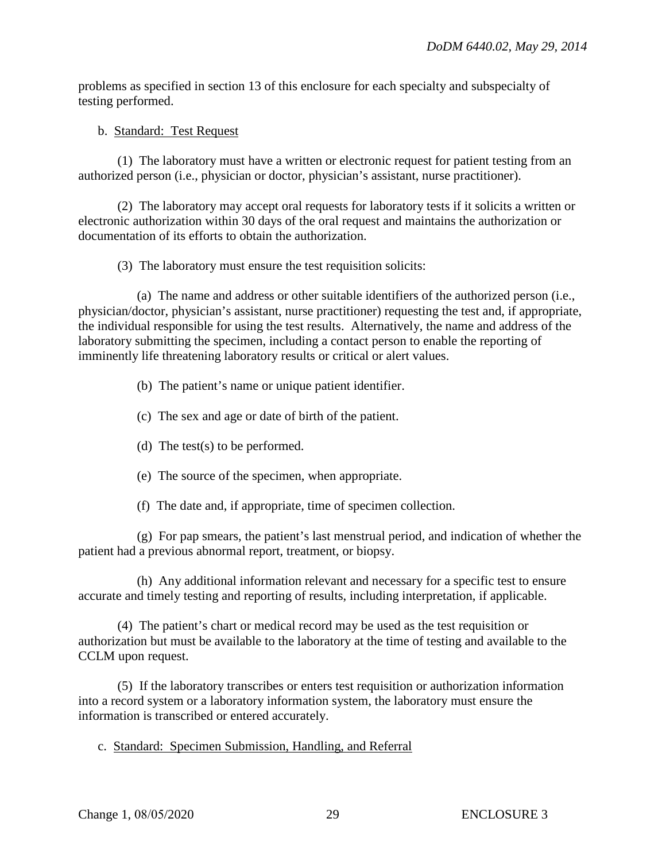problems as specified in section 13 of this enclosure for each specialty and subspecialty of testing performed.

#### b. Standard: Test Request

(1) The laboratory must have a written or electronic request for patient testing from an authorized person (i.e., physician or doctor, physician's assistant, nurse practitioner).

(2) The laboratory may accept oral requests for laboratory tests if it solicits a written or electronic authorization within 30 days of the oral request and maintains the authorization or documentation of its efforts to obtain the authorization.

(3) The laboratory must ensure the test requisition solicits:

(a) The name and address or other suitable identifiers of the authorized person (i.e., physician/doctor, physician's assistant, nurse practitioner) requesting the test and, if appropriate, the individual responsible for using the test results. Alternatively, the name and address of the laboratory submitting the specimen, including a contact person to enable the reporting of imminently life threatening laboratory results or critical or alert values.

- (b) The patient's name or unique patient identifier.
- (c) The sex and age or date of birth of the patient.
- (d) The test(s) to be performed.
- (e) The source of the specimen, when appropriate.
- (f) The date and, if appropriate, time of specimen collection.

(g) For pap smears, the patient's last menstrual period, and indication of whether the patient had a previous abnormal report, treatment, or biopsy.

(h) Any additional information relevant and necessary for a specific test to ensure accurate and timely testing and reporting of results, including interpretation, if applicable.

(4) The patient's chart or medical record may be used as the test requisition or authorization but must be available to the laboratory at the time of testing and available to the CCLM upon request.

(5) If the laboratory transcribes or enters test requisition or authorization information into a record system or a laboratory information system, the laboratory must ensure the information is transcribed or entered accurately.

c. Standard: Specimen Submission, Handling, and Referral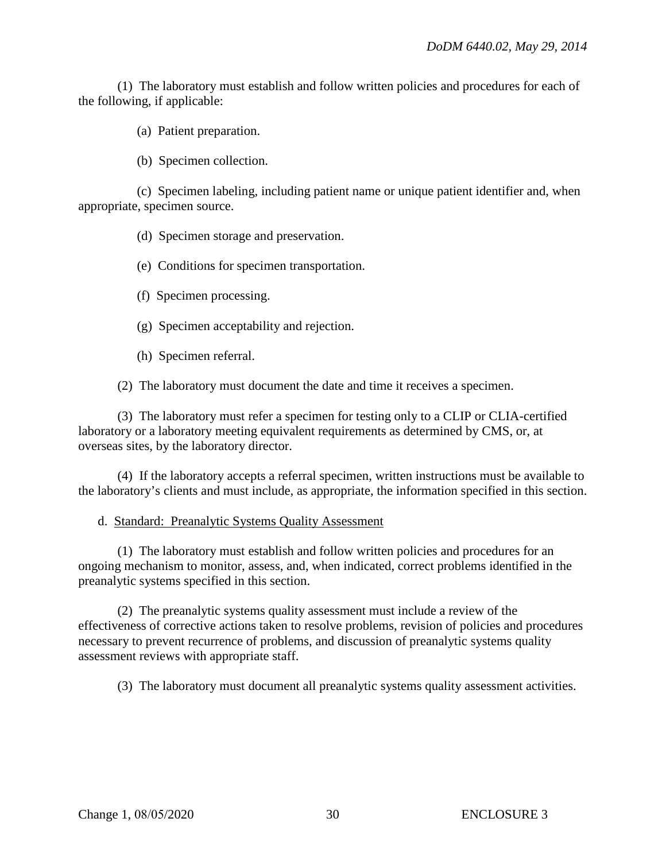(1) The laboratory must establish and follow written policies and procedures for each of the following, if applicable:

(a) Patient preparation.

(b) Specimen collection.

(c) Specimen labeling, including patient name or unique patient identifier and, when appropriate, specimen source.

(d) Specimen storage and preservation.

- (e) Conditions for specimen transportation.
- (f) Specimen processing.
- (g) Specimen acceptability and rejection.
- (h) Specimen referral.

(2) The laboratory must document the date and time it receives a specimen.

(3) The laboratory must refer a specimen for testing only to a CLIP or CLIA-certified laboratory or a laboratory meeting equivalent requirements as determined by CMS, or, at overseas sites, by the laboratory director.

(4) If the laboratory accepts a referral specimen, written instructions must be available to the laboratory's clients and must include, as appropriate, the information specified in this section.

## d. Standard: Preanalytic Systems Quality Assessment

(1) The laboratory must establish and follow written policies and procedures for an ongoing mechanism to monitor, assess, and, when indicated, correct problems identified in the preanalytic systems specified in this section.

(2) The preanalytic systems quality assessment must include a review of the effectiveness of corrective actions taken to resolve problems, revision of policies and procedures necessary to prevent recurrence of problems, and discussion of preanalytic systems quality assessment reviews with appropriate staff.

(3) The laboratory must document all preanalytic systems quality assessment activities.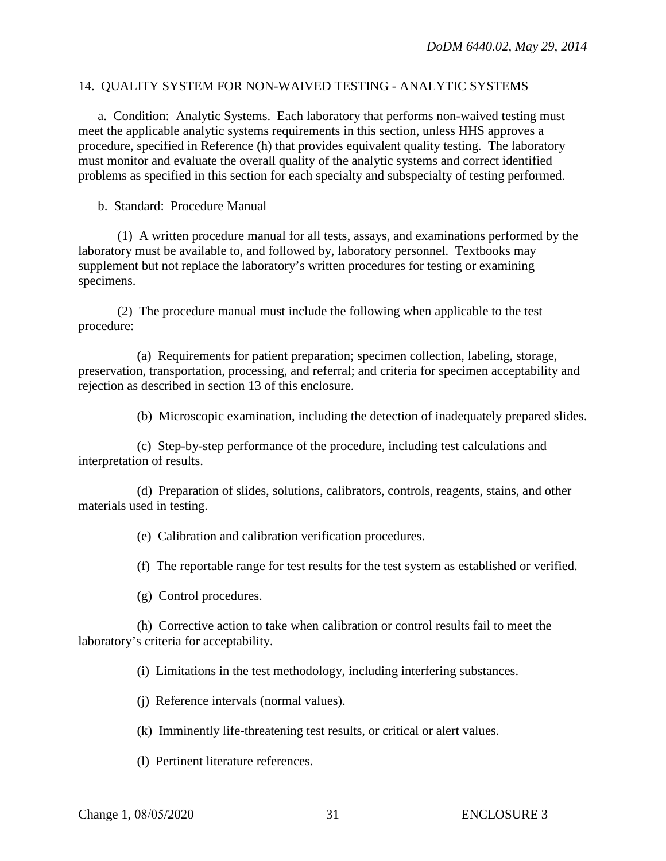#### 14. QUALITY SYSTEM FOR NON-WAIVED TESTING - ANALYTIC SYSTEMS

a. Condition: Analytic Systems. Each laboratory that performs non-waived testing must meet the applicable analytic systems requirements in this section, unless HHS approves a procedure, specified in Reference (h) that provides equivalent quality testing. The laboratory must monitor and evaluate the overall quality of the analytic systems and correct identified problems as specified in this section for each specialty and subspecialty of testing performed.

#### b. Standard: Procedure Manual

(1) A written procedure manual for all tests, assays, and examinations performed by the laboratory must be available to, and followed by, laboratory personnel. Textbooks may supplement but not replace the laboratory's written procedures for testing or examining specimens.

(2) The procedure manual must include the following when applicable to the test procedure:

(a) Requirements for patient preparation; specimen collection, labeling, storage, preservation, transportation, processing, and referral; and criteria for specimen acceptability and rejection as described in section 13 of this enclosure.

(b) Microscopic examination, including the detection of inadequately prepared slides.

(c) Step-by-step performance of the procedure, including test calculations and interpretation of results.

(d) Preparation of slides, solutions, calibrators, controls, reagents, stains, and other materials used in testing.

(e) Calibration and calibration verification procedures.

(f) The reportable range for test results for the test system as established or verified.

(g) Control procedures.

(h) Corrective action to take when calibration or control results fail to meet the laboratory's criteria for acceptability.

(i) Limitations in the test methodology, including interfering substances.

(j) Reference intervals (normal values).

(k) Imminently life-threatening test results, or critical or alert values.

(l) Pertinent literature references.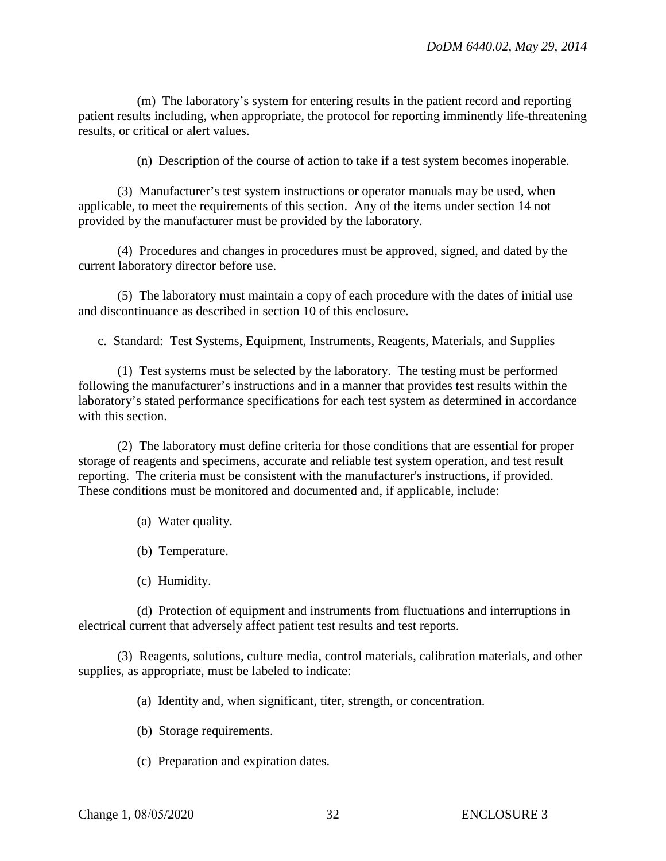(m) The laboratory's system for entering results in the patient record and reporting patient results including, when appropriate, the protocol for reporting imminently life-threatening results, or critical or alert values.

(n) Description of the course of action to take if a test system becomes inoperable.

(3) Manufacturer's test system instructions or operator manuals may be used, when applicable, to meet the requirements of this section. Any of the items under section 14 not provided by the manufacturer must be provided by the laboratory.

(4) Procedures and changes in procedures must be approved, signed, and dated by the current laboratory director before use.

(5) The laboratory must maintain a copy of each procedure with the dates of initial use and discontinuance as described in section 10 of this enclosure.

#### c. Standard: Test Systems, Equipment, Instruments, Reagents, Materials, and Supplies

(1) Test systems must be selected by the laboratory. The testing must be performed following the manufacturer's instructions and in a manner that provides test results within the laboratory's stated performance specifications for each test system as determined in accordance with this section.

(2) The laboratory must define criteria for those conditions that are essential for proper storage of reagents and specimens, accurate and reliable test system operation, and test result reporting. The criteria must be consistent with the manufacturer's instructions, if provided. These conditions must be monitored and documented and, if applicable, include:

- (a) Water quality.
- (b) Temperature.
- (c) Humidity.

(d) Protection of equipment and instruments from fluctuations and interruptions in electrical current that adversely affect patient test results and test reports.

(3) Reagents, solutions, culture media, control materials, calibration materials, and other supplies, as appropriate, must be labeled to indicate:

(a) Identity and, when significant, titer, strength, or concentration.

- (b) Storage requirements.
- (c) Preparation and expiration dates.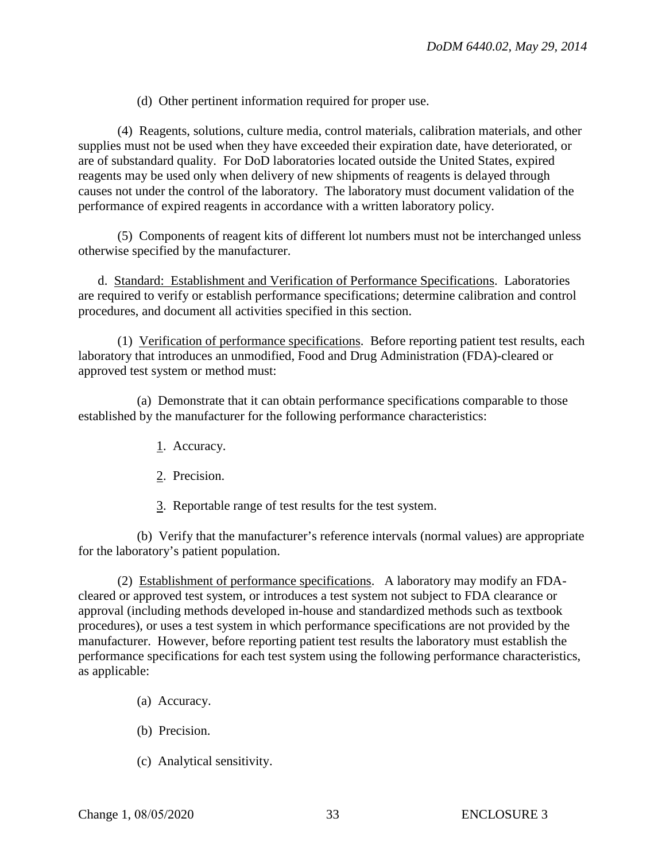(d) Other pertinent information required for proper use.

(4) Reagents, solutions, culture media, control materials, calibration materials, and other supplies must not be used when they have exceeded their expiration date, have deteriorated, or are of substandard quality. For DoD laboratories located outside the United States, expired reagents may be used only when delivery of new shipments of reagents is delayed through causes not under the control of the laboratory. The laboratory must document validation of the performance of expired reagents in accordance with a written laboratory policy.

(5) Components of reagent kits of different lot numbers must not be interchanged unless otherwise specified by the manufacturer.

d. Standard: Establishment and Verification of Performance Specifications. Laboratories are required to verify or establish performance specifications; determine calibration and control procedures, and document all activities specified in this section.

(1) Verification of performance specifications. Before reporting patient test results, each laboratory that introduces an unmodified, Food and Drug Administration (FDA)-cleared or approved test system or method must:

(a) Demonstrate that it can obtain performance specifications comparable to those established by the manufacturer for the following performance characteristics:

- 1. Accuracy.
- 2. Precision.
- 3. Reportable range of test results for the test system.

(b) Verify that the manufacturer's reference intervals (normal values) are appropriate for the laboratory's patient population.

(2) Establishment of performance specifications. A laboratory may modify an FDAcleared or approved test system, or introduces a test system not subject to FDA clearance or approval (including methods developed in-house and standardized methods such as textbook procedures), or uses a test system in which performance specifications are not provided by the manufacturer. However, before reporting patient test results the laboratory must establish the performance specifications for each test system using the following performance characteristics, as applicable:

- (a) Accuracy.
- (b) Precision.
- (c) Analytical sensitivity.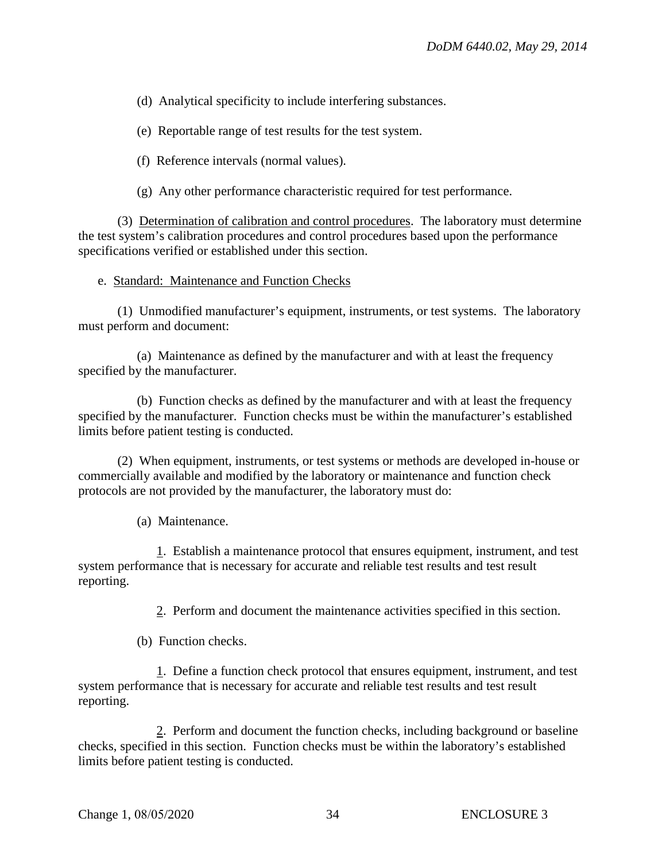(d) Analytical specificity to include interfering substances.

(e) Reportable range of test results for the test system.

(f) Reference intervals (normal values).

(g) Any other performance characteristic required for test performance.

(3) Determination of calibration and control procedures. The laboratory must determine the test system's calibration procedures and control procedures based upon the performance specifications verified or established under this section.

e. Standard: Maintenance and Function Checks

(1) Unmodified manufacturer's equipment, instruments, or test systems. The laboratory must perform and document:

(a) Maintenance as defined by the manufacturer and with at least the frequency specified by the manufacturer.

(b) Function checks as defined by the manufacturer and with at least the frequency specified by the manufacturer. Function checks must be within the manufacturer's established limits before patient testing is conducted.

(2) When equipment, instruments, or test systems or methods are developed in-house or commercially available and modified by the laboratory or maintenance and function check protocols are not provided by the manufacturer, the laboratory must do:

(a) Maintenance.

1. Establish a maintenance protocol that ensures equipment, instrument, and test system performance that is necessary for accurate and reliable test results and test result reporting.

2. Perform and document the maintenance activities specified in this section.

(b) Function checks.

1. Define a function check protocol that ensures equipment, instrument, and test system performance that is necessary for accurate and reliable test results and test result reporting.

2. Perform and document the function checks, including background or baseline checks, specified in this section. Function checks must be within the laboratory's established limits before patient testing is conducted.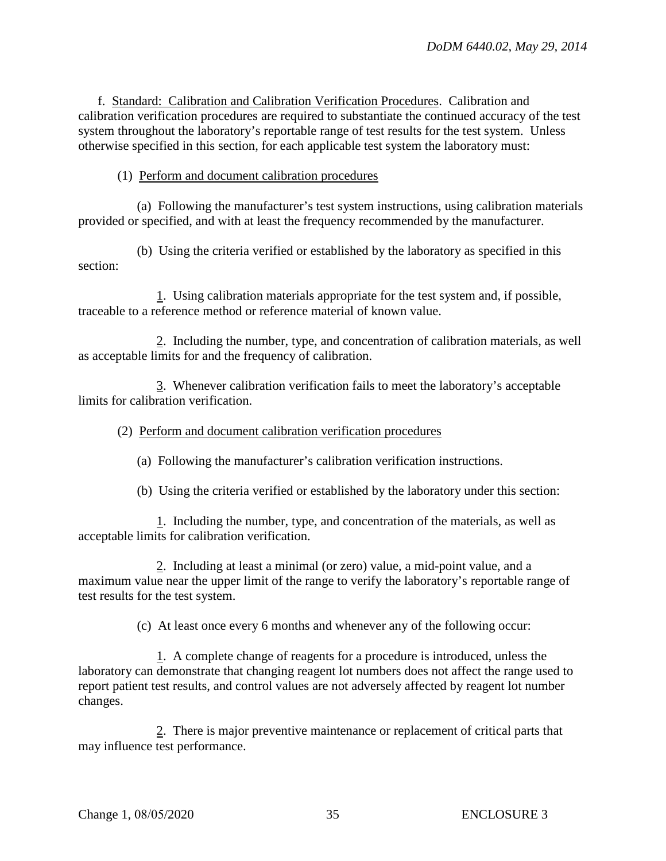f. Standard: Calibration and Calibration Verification Procedures. Calibration and calibration verification procedures are required to substantiate the continued accuracy of the test system throughout the laboratory's reportable range of test results for the test system. Unless otherwise specified in this section, for each applicable test system the laboratory must:

(1) Perform and document calibration procedures

(a) Following the manufacturer's test system instructions, using calibration materials provided or specified, and with at least the frequency recommended by the manufacturer.

(b) Using the criteria verified or established by the laboratory as specified in this section:

1. Using calibration materials appropriate for the test system and, if possible, traceable to a reference method or reference material of known value.

2. Including the number, type, and concentration of calibration materials, as well as acceptable limits for and the frequency of calibration.

3. Whenever calibration verification fails to meet the laboratory's acceptable limits for calibration verification.

(2) Perform and document calibration verification procedures

(a) Following the manufacturer's calibration verification instructions.

(b) Using the criteria verified or established by the laboratory under this section:

1. Including the number, type, and concentration of the materials, as well as acceptable limits for calibration verification.

2. Including at least a minimal (or zero) value, a mid-point value, and a maximum value near the upper limit of the range to verify the laboratory's reportable range of test results for the test system.

(c) At least once every 6 months and whenever any of the following occur:

1. A complete change of reagents for a procedure is introduced, unless the laboratory can demonstrate that changing reagent lot numbers does not affect the range used to report patient test results, and control values are not adversely affected by reagent lot number changes.

2. There is major preventive maintenance or replacement of critical parts that may influence test performance.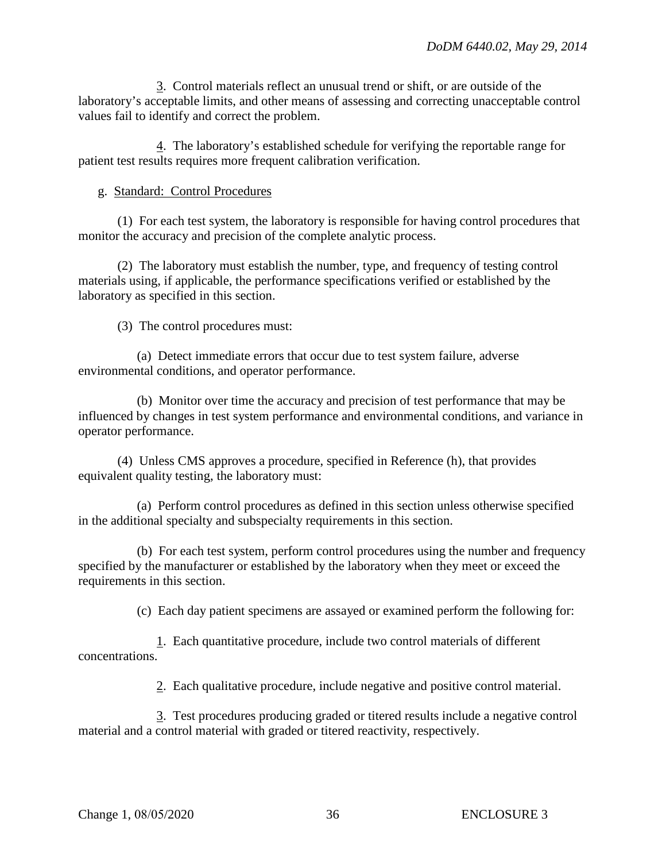3. Control materials reflect an unusual trend or shift, or are outside of the laboratory's acceptable limits, and other means of assessing and correcting unacceptable control values fail to identify and correct the problem.

4. The laboratory's established schedule for verifying the reportable range for patient test results requires more frequent calibration verification.

#### g. Standard: Control Procedures

(1) For each test system, the laboratory is responsible for having control procedures that monitor the accuracy and precision of the complete analytic process.

(2) The laboratory must establish the number, type, and frequency of testing control materials using, if applicable, the performance specifications verified or established by the laboratory as specified in this section.

(3) The control procedures must:

(a) Detect immediate errors that occur due to test system failure, adverse environmental conditions, and operator performance.

(b) Monitor over time the accuracy and precision of test performance that may be influenced by changes in test system performance and environmental conditions, and variance in operator performance.

(4) Unless CMS approves a procedure, specified in Reference (h), that provides equivalent quality testing, the laboratory must:

(a) Perform control procedures as defined in this section unless otherwise specified in the additional specialty and subspecialty requirements in this section.

(b) For each test system, perform control procedures using the number and frequency specified by the manufacturer or established by the laboratory when they meet or exceed the requirements in this section.

(c) Each day patient specimens are assayed or examined perform the following for:

1. Each quantitative procedure, include two control materials of different concentrations.

2. Each qualitative procedure, include negative and positive control material.

3. Test procedures producing graded or titered results include a negative control material and a control material with graded or titered reactivity, respectively.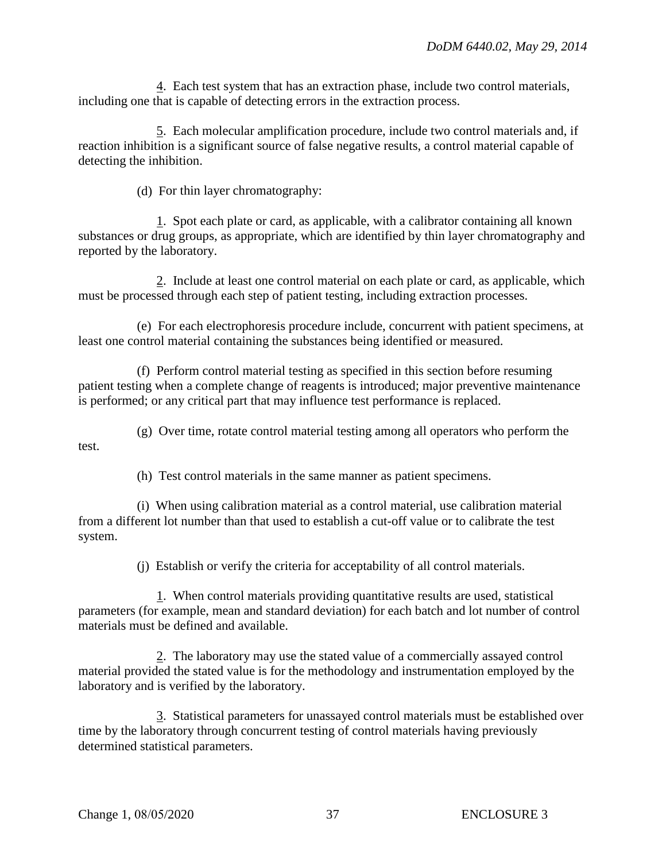4. Each test system that has an extraction phase, include two control materials, including one that is capable of detecting errors in the extraction process.

5. Each molecular amplification procedure, include two control materials and, if reaction inhibition is a significant source of false negative results, a control material capable of detecting the inhibition.

(d) For thin layer chromatography:

1. Spot each plate or card, as applicable, with a calibrator containing all known substances or drug groups, as appropriate, which are identified by thin layer chromatography and reported by the laboratory.

2. Include at least one control material on each plate or card, as applicable, which must be processed through each step of patient testing, including extraction processes.

(e) For each electrophoresis procedure include, concurrent with patient specimens, at least one control material containing the substances being identified or measured.

(f) Perform control material testing as specified in this section before resuming patient testing when a complete change of reagents is introduced; major preventive maintenance is performed; or any critical part that may influence test performance is replaced.

(g) Over time, rotate control material testing among all operators who perform the test.

(h) Test control materials in the same manner as patient specimens.

(i) When using calibration material as a control material, use calibration material from a different lot number than that used to establish a cut-off value or to calibrate the test system.

(j) Establish or verify the criteria for acceptability of all control materials.

1. When control materials providing quantitative results are used, statistical parameters (for example, mean and standard deviation) for each batch and lot number of control materials must be defined and available.

2. The laboratory may use the stated value of a commercially assayed control material provided the stated value is for the methodology and instrumentation employed by the laboratory and is verified by the laboratory.

3. Statistical parameters for unassayed control materials must be established over time by the laboratory through concurrent testing of control materials having previously determined statistical parameters.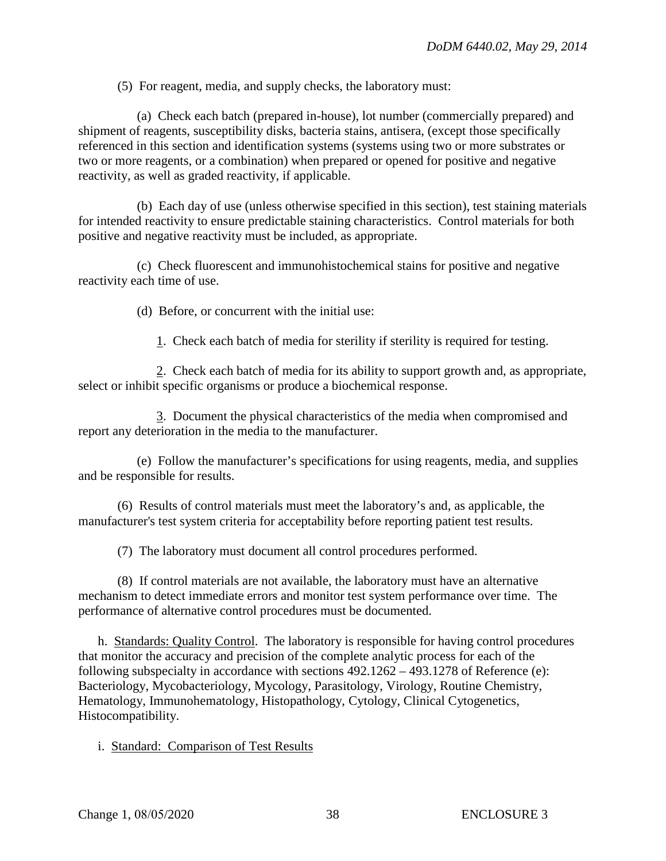(5) For reagent, media, and supply checks, the laboratory must:

(a) Check each batch (prepared in-house), lot number (commercially prepared) and shipment of reagents, susceptibility disks, bacteria stains, antisera, (except those specifically referenced in this section and identification systems (systems using two or more substrates or two or more reagents, or a combination) when prepared or opened for positive and negative reactivity, as well as graded reactivity, if applicable.

(b) Each day of use (unless otherwise specified in this section), test staining materials for intended reactivity to ensure predictable staining characteristics. Control materials for both positive and negative reactivity must be included, as appropriate.

(c) Check fluorescent and immunohistochemical stains for positive and negative reactivity each time of use.

(d) Before, or concurrent with the initial use:

1. Check each batch of media for sterility if sterility is required for testing.

2. Check each batch of media for its ability to support growth and, as appropriate, select or inhibit specific organisms or produce a biochemical response.

3. Document the physical characteristics of the media when compromised and report any deterioration in the media to the manufacturer.

(e) Follow the manufacturer's specifications for using reagents, media, and supplies and be responsible for results.

(6) Results of control materials must meet the laboratory's and, as applicable, the manufacturer's test system criteria for acceptability before reporting patient test results.

(7) The laboratory must document all control procedures performed.

(8) If control materials are not available, the laboratory must have an alternative mechanism to detect immediate errors and monitor test system performance over time. The performance of alternative control procedures must be documented.

h. Standards: Quality Control. The laboratory is responsible for having control procedures that monitor the accuracy and precision of the complete analytic process for each of the following subspecialty in accordance with sections 492.1262 – 493.1278 of Reference (e): Bacteriology, Mycobacteriology, Mycology, Parasitology, Virology, Routine Chemistry, Hematology, Immunohematology, Histopathology, Cytology, Clinical Cytogenetics, Histocompatibility.

i. Standard: Comparison of Test Results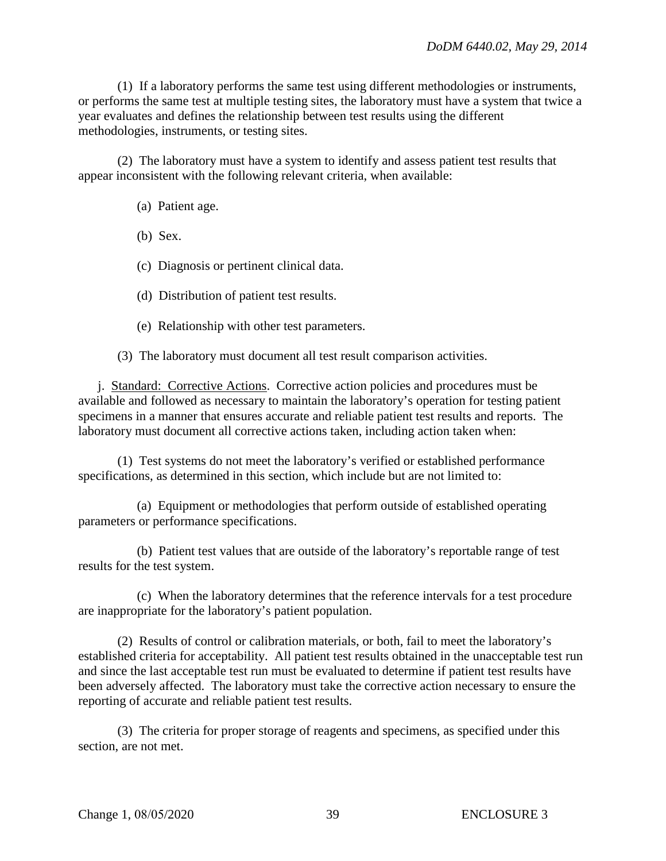(1) If a laboratory performs the same test using different methodologies or instruments, or performs the same test at multiple testing sites, the laboratory must have a system that twice a year evaluates and defines the relationship between test results using the different methodologies, instruments, or testing sites.

(2) The laboratory must have a system to identify and assess patient test results that appear inconsistent with the following relevant criteria, when available:

- (a) Patient age.
- (b) Sex.
- (c) Diagnosis or pertinent clinical data.
- (d) Distribution of patient test results.
- (e) Relationship with other test parameters.

(3) The laboratory must document all test result comparison activities.

j. Standard: Corrective Actions. Corrective action policies and procedures must be available and followed as necessary to maintain the laboratory's operation for testing patient specimens in a manner that ensures accurate and reliable patient test results and reports. The laboratory must document all corrective actions taken, including action taken when:

(1) Test systems do not meet the laboratory's verified or established performance specifications, as determined in this section, which include but are not limited to:

(a) Equipment or methodologies that perform outside of established operating parameters or performance specifications.

(b) Patient test values that are outside of the laboratory's reportable range of test results for the test system.

(c) When the laboratory determines that the reference intervals for a test procedure are inappropriate for the laboratory's patient population.

(2) Results of control or calibration materials, or both, fail to meet the laboratory's established criteria for acceptability. All patient test results obtained in the unacceptable test run and since the last acceptable test run must be evaluated to determine if patient test results have been adversely affected. The laboratory must take the corrective action necessary to ensure the reporting of accurate and reliable patient test results.

(3) The criteria for proper storage of reagents and specimens, as specified under this section, are not met.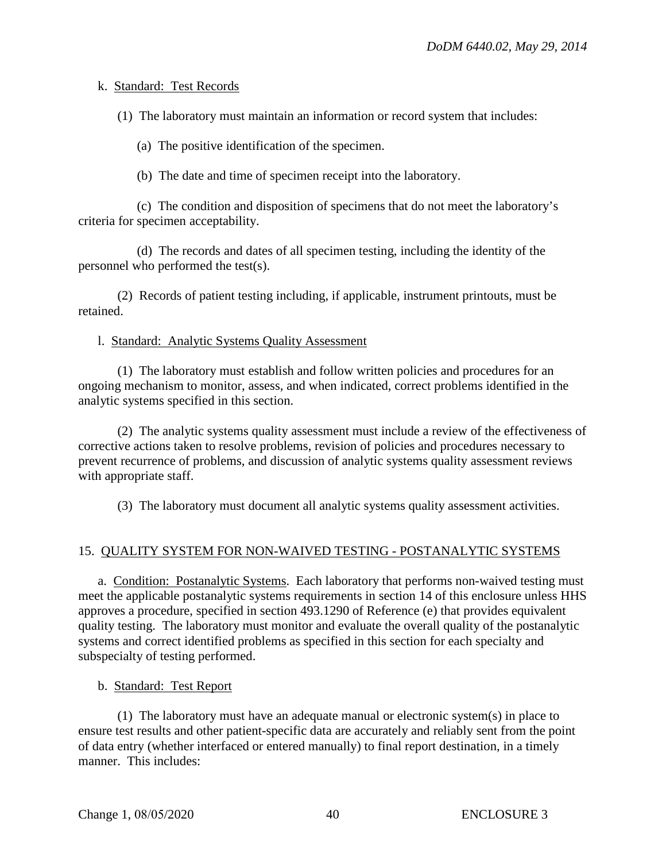## k. Standard: Test Records

(1) The laboratory must maintain an information or record system that includes:

(a) The positive identification of the specimen.

(b) The date and time of specimen receipt into the laboratory.

(c) The condition and disposition of specimens that do not meet the laboratory's criteria for specimen acceptability.

(d) The records and dates of all specimen testing, including the identity of the personnel who performed the test(s).

(2) Records of patient testing including, if applicable, instrument printouts, must be retained.

#### l. Standard: Analytic Systems Quality Assessment

(1) The laboratory must establish and follow written policies and procedures for an ongoing mechanism to monitor, assess, and when indicated, correct problems identified in the analytic systems specified in this section.

(2) The analytic systems quality assessment must include a review of the effectiveness of corrective actions taken to resolve problems, revision of policies and procedures necessary to prevent recurrence of problems, and discussion of analytic systems quality assessment reviews with appropriate staff.

(3) The laboratory must document all analytic systems quality assessment activities.

## 15. QUALITY SYSTEM FOR NON-WAIVED TESTING - POSTANALYTIC SYSTEMS

a. Condition: Postanalytic Systems. Each laboratory that performs non-waived testing must meet the applicable postanalytic systems requirements in section 14 of this enclosure unless HHS approves a procedure, specified in section 493.1290 of Reference (e) that provides equivalent quality testing. The laboratory must monitor and evaluate the overall quality of the postanalytic systems and correct identified problems as specified in this section for each specialty and subspecialty of testing performed.

b. Standard: Test Report

(1) The laboratory must have an adequate manual or electronic system(s) in place to ensure test results and other patient-specific data are accurately and reliably sent from the point of data entry (whether interfaced or entered manually) to final report destination, in a timely manner. This includes: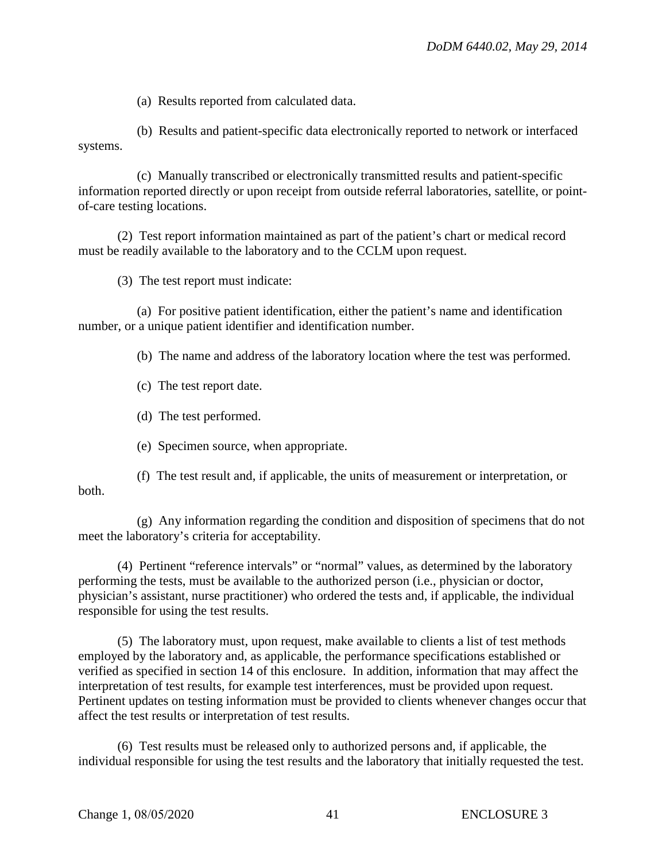(a) Results reported from calculated data.

(b) Results and patient-specific data electronically reported to network or interfaced systems.

(c) Manually transcribed or electronically transmitted results and patient-specific information reported directly or upon receipt from outside referral laboratories, satellite, or pointof-care testing locations.

(2) Test report information maintained as part of the patient's chart or medical record must be readily available to the laboratory and to the CCLM upon request.

(3) The test report must indicate:

(a) For positive patient identification, either the patient's name and identification number, or a unique patient identifier and identification number.

(b) The name and address of the laboratory location where the test was performed.

(c) The test report date.

(d) The test performed.

(e) Specimen source, when appropriate.

(f) The test result and, if applicable, the units of measurement or interpretation, or both.

(g) Any information regarding the condition and disposition of specimens that do not meet the laboratory's criteria for acceptability.

(4) Pertinent "reference intervals" or "normal" values, as determined by the laboratory performing the tests, must be available to the authorized person (i.e., physician or doctor, physician's assistant, nurse practitioner) who ordered the tests and, if applicable, the individual responsible for using the test results.

(5) The laboratory must, upon request, make available to clients a list of test methods employed by the laboratory and, as applicable, the performance specifications established or verified as specified in section 14 of this enclosure. In addition, information that may affect the interpretation of test results, for example test interferences, must be provided upon request. Pertinent updates on testing information must be provided to clients whenever changes occur that affect the test results or interpretation of test results.

(6) Test results must be released only to authorized persons and, if applicable, the individual responsible for using the test results and the laboratory that initially requested the test.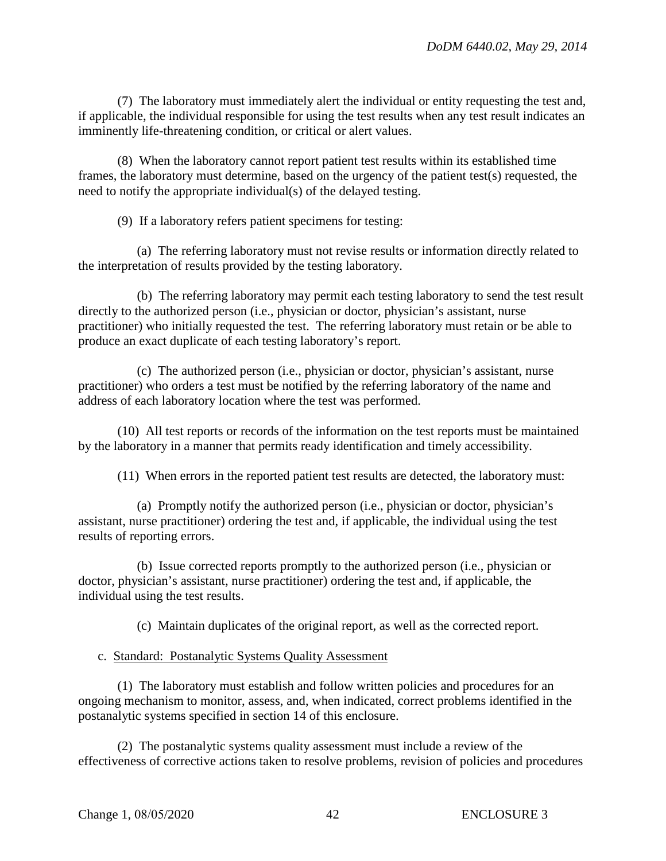(7) The laboratory must immediately alert the individual or entity requesting the test and, if applicable, the individual responsible for using the test results when any test result indicates an imminently life-threatening condition, or critical or alert values.

(8) When the laboratory cannot report patient test results within its established time frames, the laboratory must determine, based on the urgency of the patient test(s) requested, the need to notify the appropriate individual(s) of the delayed testing.

(9) If a laboratory refers patient specimens for testing:

(a) The referring laboratory must not revise results or information directly related to the interpretation of results provided by the testing laboratory.

(b) The referring laboratory may permit each testing laboratory to send the test result directly to the authorized person (i.e., physician or doctor, physician's assistant, nurse practitioner) who initially requested the test. The referring laboratory must retain or be able to produce an exact duplicate of each testing laboratory's report.

(c) The authorized person (i.e., physician or doctor, physician's assistant, nurse practitioner) who orders a test must be notified by the referring laboratory of the name and address of each laboratory location where the test was performed.

(10) All test reports or records of the information on the test reports must be maintained by the laboratory in a manner that permits ready identification and timely accessibility.

(11) When errors in the reported patient test results are detected, the laboratory must:

(a) Promptly notify the authorized person (i.e., physician or doctor, physician's assistant, nurse practitioner) ordering the test and, if applicable, the individual using the test results of reporting errors.

(b) Issue corrected reports promptly to the authorized person (i.e., physician or doctor, physician's assistant, nurse practitioner) ordering the test and, if applicable, the individual using the test results.

(c) Maintain duplicates of the original report, as well as the corrected report.

#### c. Standard: Postanalytic Systems Quality Assessment

(1) The laboratory must establish and follow written policies and procedures for an ongoing mechanism to monitor, assess, and, when indicated, correct problems identified in the postanalytic systems specified in section 14 of this enclosure.

(2) The postanalytic systems quality assessment must include a review of the effectiveness of corrective actions taken to resolve problems, revision of policies and procedures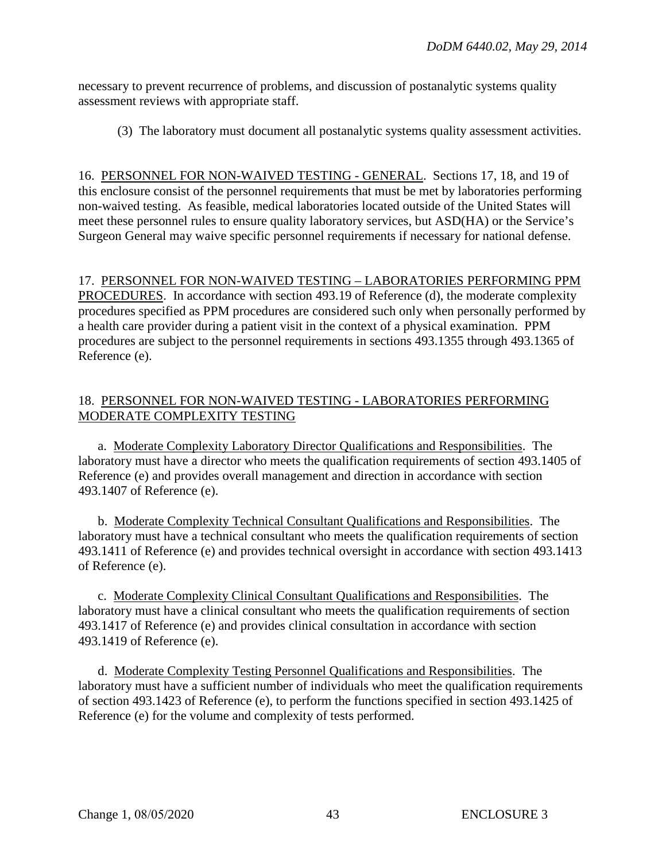necessary to prevent recurrence of problems, and discussion of postanalytic systems quality assessment reviews with appropriate staff.

(3) The laboratory must document all postanalytic systems quality assessment activities.

16. PERSONNEL FOR NON-WAIVED TESTING - GENERAL. Sections 17, 18, and 19 of this enclosure consist of the personnel requirements that must be met by laboratories performing non-waived testing. As feasible, medical laboratories located outside of the United States will meet these personnel rules to ensure quality laboratory services, but ASD(HA) or the Service's Surgeon General may waive specific personnel requirements if necessary for national defense.

17. PERSONNEL FOR NON-WAIVED TESTING – LABORATORIES PERFORMING PPM PROCEDURES. In accordance with section 493.19 of Reference (d), the moderate complexity procedures specified as PPM procedures are considered such only when personally performed by a health care provider during a patient visit in the context of a physical examination. PPM procedures are subject to the personnel requirements in sections 493.1355 through 493.1365 of Reference (e).

## 18. PERSONNEL FOR NON-WAIVED TESTING - LABORATORIES PERFORMING MODERATE COMPLEXITY TESTING

a. Moderate Complexity Laboratory Director Qualifications and Responsibilities. The laboratory must have a director who meets the qualification requirements of section 493.1405 of Reference (e) and provides overall management and direction in accordance with section 493.1407 of Reference (e).

b. Moderate Complexity Technical Consultant Qualifications and Responsibilities. The laboratory must have a technical consultant who meets the qualification requirements of section 493.1411 of Reference (e) and provides technical oversight in accordance with section 493.1413 of Reference (e).

c. Moderate Complexity Clinical Consultant Qualifications and Responsibilities. The laboratory must have a clinical consultant who meets the qualification requirements of section 493.1417 of Reference (e) and provides clinical consultation in accordance with section 493.1419 of Reference (e).

d. Moderate Complexity Testing Personnel Qualifications and Responsibilities. The laboratory must have a sufficient number of individuals who meet the qualification requirements of section 493.1423 of Reference (e), to perform the functions specified in section 493.1425 of Reference (e) for the volume and complexity of tests performed.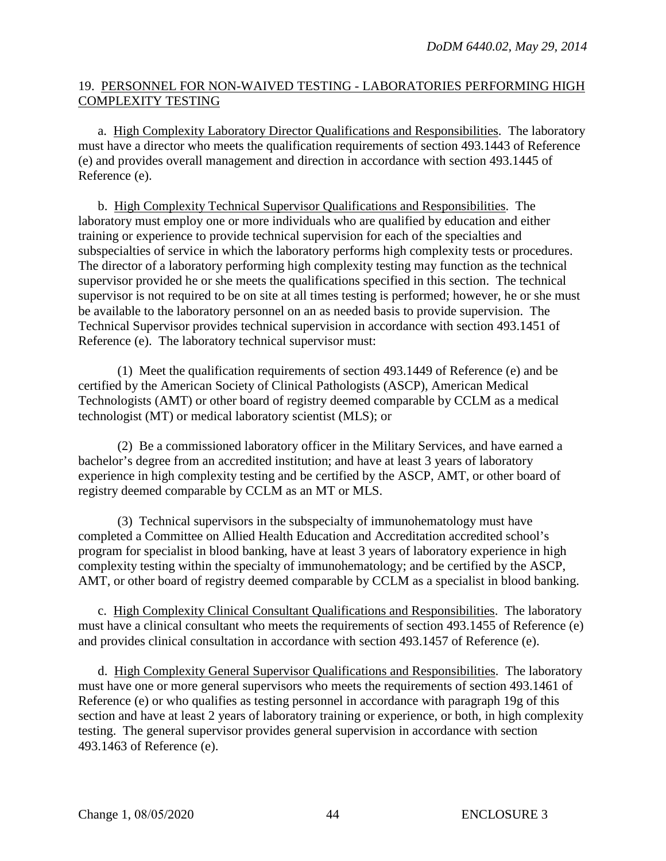## 19. PERSONNEL FOR NON-WAIVED TESTING - LABORATORIES PERFORMING HIGH COMPLEXITY TESTING

a. High Complexity Laboratory Director Qualifications and Responsibilities. The laboratory must have a director who meets the qualification requirements of section 493.1443 of Reference (e) and provides overall management and direction in accordance with section 493.1445 of Reference (e).

b. High Complexity Technical Supervisor Qualifications and Responsibilities. The laboratory must employ one or more individuals who are qualified by education and either training or experience to provide technical supervision for each of the specialties and subspecialties of service in which the laboratory performs high complexity tests or procedures. The director of a laboratory performing high complexity testing may function as the technical supervisor provided he or she meets the qualifications specified in this section. The technical supervisor is not required to be on site at all times testing is performed; however, he or she must be available to the laboratory personnel on an as needed basis to provide supervision. The Technical Supervisor provides technical supervision in accordance with section 493.1451 of Reference (e). The laboratory technical supervisor must:

(1) Meet the qualification requirements of section 493.1449 of Reference (e) and be certified by the American Society of Clinical Pathologists (ASCP), American Medical Technologists (AMT) or other board of registry deemed comparable by CCLM as a medical technologist (MT) or medical laboratory scientist (MLS); or

(2) Be a commissioned laboratory officer in the Military Services, and have earned a bachelor's degree from an accredited institution; and have at least 3 years of laboratory experience in high complexity testing and be certified by the ASCP, AMT, or other board of registry deemed comparable by CCLM as an MT or MLS.

(3) Technical supervisors in the subspecialty of immunohematology must have completed a Committee on Allied Health Education and Accreditation accredited school's program for specialist in blood banking, have at least 3 years of laboratory experience in high complexity testing within the specialty of immunohematology; and be certified by the ASCP, AMT, or other board of registry deemed comparable by CCLM as a specialist in blood banking.

c. High Complexity Clinical Consultant Qualifications and Responsibilities. The laboratory must have a clinical consultant who meets the requirements of section 493.1455 of Reference (e) and provides clinical consultation in accordance with section 493.1457 of Reference (e).

d. High Complexity General Supervisor Qualifications and Responsibilities. The laboratory must have one or more general supervisors who meets the requirements of section 493.1461 of Reference (e) or who qualifies as testing personnel in accordance with paragraph 19g of this section and have at least 2 years of laboratory training or experience, or both, in high complexity testing. The general supervisor provides general supervision in accordance with section 493.1463 of Reference (e).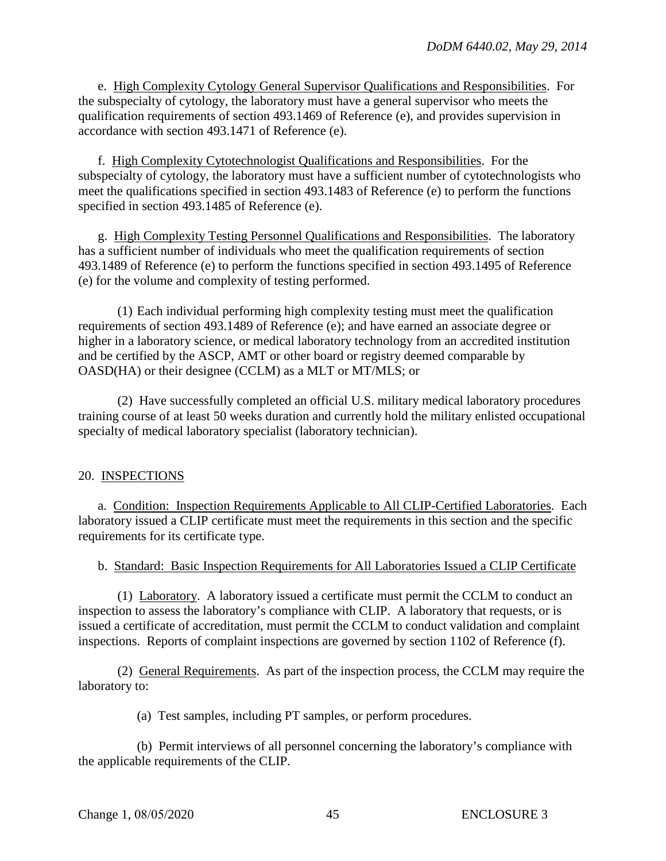e. High Complexity Cytology General Supervisor Qualifications and Responsibilities. For the subspecialty of cytology, the laboratory must have a general supervisor who meets the qualification requirements of section 493.1469 of Reference (e), and provides supervision in accordance with section 493.1471 of Reference (e).

f. High Complexity Cytotechnologist Qualifications and Responsibilities. For the subspecialty of cytology, the laboratory must have a sufficient number of cytotechnologists who meet the qualifications specified in section 493.1483 of Reference (e) to perform the functions specified in section 493.1485 of Reference (e).

g. High Complexity Testing Personnel Qualifications and Responsibilities. The laboratory has a sufficient number of individuals who meet the qualification requirements of section 493.1489 of Reference (e) to perform the functions specified in section 493.1495 of Reference (e) for the volume and complexity of testing performed.

(1) Each individual performing high complexity testing must meet the qualification requirements of section 493.1489 of Reference (e); and have earned an associate degree or higher in a laboratory science, or medical laboratory technology from an accredited institution and be certified by the ASCP, AMT or other board or registry deemed comparable by OASD(HA) or their designee (CCLM) as a MLT or MT/MLS; or

(2) Have successfully completed an official U.S. military medical laboratory procedures training course of at least 50 weeks duration and currently hold the military enlisted occupational specialty of medical laboratory specialist (laboratory technician).

## 20. INSPECTIONS

a. Condition: Inspection Requirements Applicable to All CLIP-Certified Laboratories. Each laboratory issued a CLIP certificate must meet the requirements in this section and the specific requirements for its certificate type.

b. Standard: Basic Inspection Requirements for All Laboratories Issued a CLIP Certificate

(1) Laboratory. A laboratory issued a certificate must permit the CCLM to conduct an inspection to assess the laboratory's compliance with CLIP. A laboratory that requests, or is issued a certificate of accreditation, must permit the CCLM to conduct validation and complaint inspections. Reports of complaint inspections are governed by section 1102 of Reference (f).

(2) General Requirements. As part of the inspection process, the CCLM may require the laboratory to:

(a) Test samples, including PT samples, or perform procedures.

(b) Permit interviews of all personnel concerning the laboratory's compliance with the applicable requirements of the CLIP.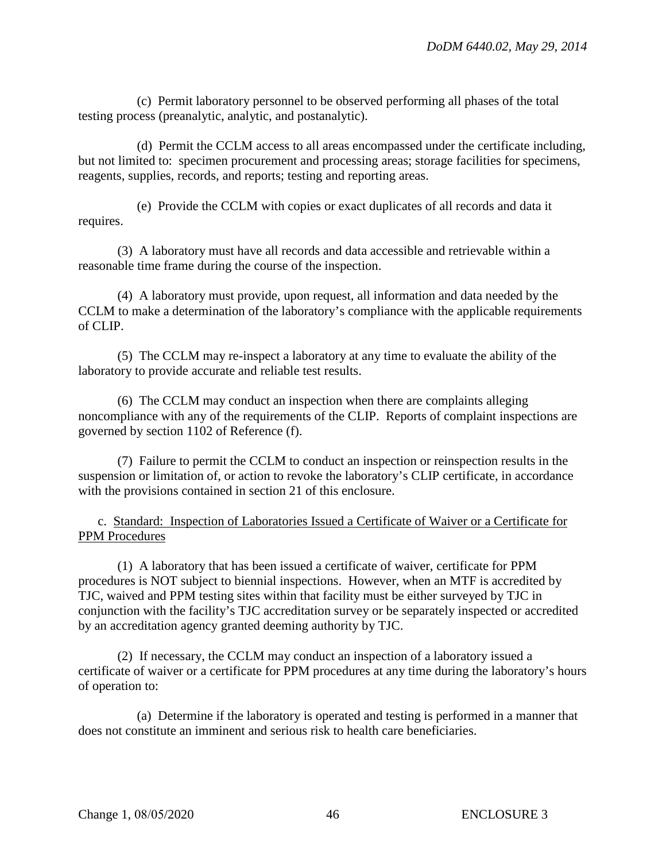(c) Permit laboratory personnel to be observed performing all phases of the total testing process (preanalytic, analytic, and postanalytic).

(d) Permit the CCLM access to all areas encompassed under the certificate including, but not limited to: specimen procurement and processing areas; storage facilities for specimens, reagents, supplies, records, and reports; testing and reporting areas.

(e) Provide the CCLM with copies or exact duplicates of all records and data it requires.

(3) A laboratory must have all records and data accessible and retrievable within a reasonable time frame during the course of the inspection.

(4) A laboratory must provide, upon request, all information and data needed by the CCLM to make a determination of the laboratory's compliance with the applicable requirements of CLIP.

(5) The CCLM may re-inspect a laboratory at any time to evaluate the ability of the laboratory to provide accurate and reliable test results.

(6) The CCLM may conduct an inspection when there are complaints alleging noncompliance with any of the requirements of the CLIP. Reports of complaint inspections are governed by section 1102 of Reference (f).

(7) Failure to permit the CCLM to conduct an inspection or reinspection results in the suspension or limitation of, or action to revoke the laboratory's CLIP certificate, in accordance with the provisions contained in section 21 of this enclosure.

c. Standard: Inspection of Laboratories Issued a Certificate of Waiver or a Certificate for PPM Procedures

(1) A laboratory that has been issued a certificate of waiver, certificate for PPM procedures is NOT subject to biennial inspections. However, when an MTF is accredited by TJC, waived and PPM testing sites within that facility must be either surveyed by TJC in conjunction with the facility's TJC accreditation survey or be separately inspected or accredited by an accreditation agency granted deeming authority by TJC.

(2) If necessary, the CCLM may conduct an inspection of a laboratory issued a certificate of waiver or a certificate for PPM procedures at any time during the laboratory's hours of operation to:

(a) Determine if the laboratory is operated and testing is performed in a manner that does not constitute an imminent and serious risk to health care beneficiaries.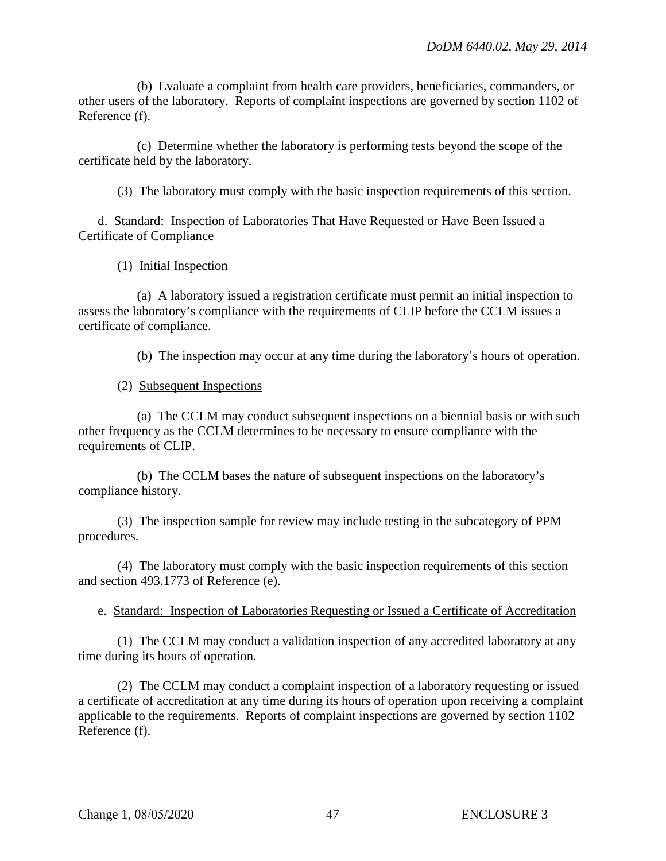(b) Evaluate a complaint from health care providers, beneficiaries, commanders, or other users of the laboratory. Reports of complaint inspections are governed by section 1102 of Reference (f).

(c) Determine whether the laboratory is performing tests beyond the scope of the certificate held by the laboratory.

(3) The laboratory must comply with the basic inspection requirements of this section.

d. Standard: Inspection of Laboratories That Have Requested or Have Been Issued a Certificate of Compliance

(1) Initial Inspection

(a) A laboratory issued a registration certificate must permit an initial inspection to assess the laboratory's compliance with the requirements of CLIP before the CCLM issues a certificate of compliance.

(b) The inspection may occur at any time during the laboratory's hours of operation.

## (2) Subsequent Inspections

(a) The CCLM may conduct subsequent inspections on a biennial basis or with such other frequency as the CCLM determines to be necessary to ensure compliance with the requirements of CLIP.

(b) The CCLM bases the nature of subsequent inspections on the laboratory's compliance history.

(3) The inspection sample for review may include testing in the subcategory of PPM procedures.

(4) The laboratory must comply with the basic inspection requirements of this section and section 493.1773 of Reference (e).

## e. Standard: Inspection of Laboratories Requesting or Issued a Certificate of Accreditation

(1) The CCLM may conduct a validation inspection of any accredited laboratory at any time during its hours of operation.

(2) The CCLM may conduct a complaint inspection of a laboratory requesting or issued a certificate of accreditation at any time during its hours of operation upon receiving a complaint applicable to the requirements. Reports of complaint inspections are governed by section 1102 Reference (f).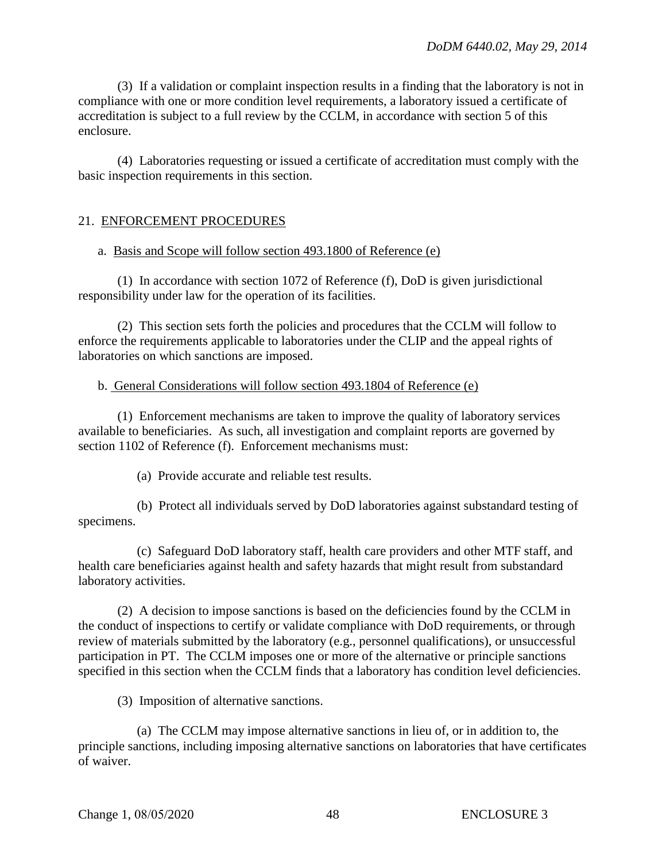(3) If a validation or complaint inspection results in a finding that the laboratory is not in compliance with one or more condition level requirements, a laboratory issued a certificate of accreditation is subject to a full review by the CCLM, in accordance with section 5 of this enclosure.

(4) Laboratories requesting or issued a certificate of accreditation must comply with the basic inspection requirements in this section.

## 21. ENFORCEMENT PROCEDURES

#### a. Basis and Scope will follow section 493.1800 of Reference (e)

(1) In accordance with section 1072 of Reference (f), DoD is given jurisdictional responsibility under law for the operation of its facilities.

(2) This section sets forth the policies and procedures that the CCLM will follow to enforce the requirements applicable to laboratories under the CLIP and the appeal rights of laboratories on which sanctions are imposed.

#### b. General Considerations will follow section 493.1804 of Reference (e)

(1) Enforcement mechanisms are taken to improve the quality of laboratory services available to beneficiaries. As such, all investigation and complaint reports are governed by section 1102 of Reference (f). Enforcement mechanisms must:

(a) Provide accurate and reliable test results.

(b) Protect all individuals served by DoD laboratories against substandard testing of specimens.

(c) Safeguard DoD laboratory staff, health care providers and other MTF staff, and health care beneficiaries against health and safety hazards that might result from substandard laboratory activities.

(2) A decision to impose sanctions is based on the deficiencies found by the CCLM in the conduct of inspections to certify or validate compliance with DoD requirements, or through review of materials submitted by the laboratory (e.g., personnel qualifications), or unsuccessful participation in PT. The CCLM imposes one or more of the alternative or principle sanctions specified in this section when the CCLM finds that a laboratory has condition level deficiencies.

(3) Imposition of alternative sanctions.

(a) The CCLM may impose alternative sanctions in lieu of, or in addition to, the principle sanctions, including imposing alternative sanctions on laboratories that have certificates of waiver.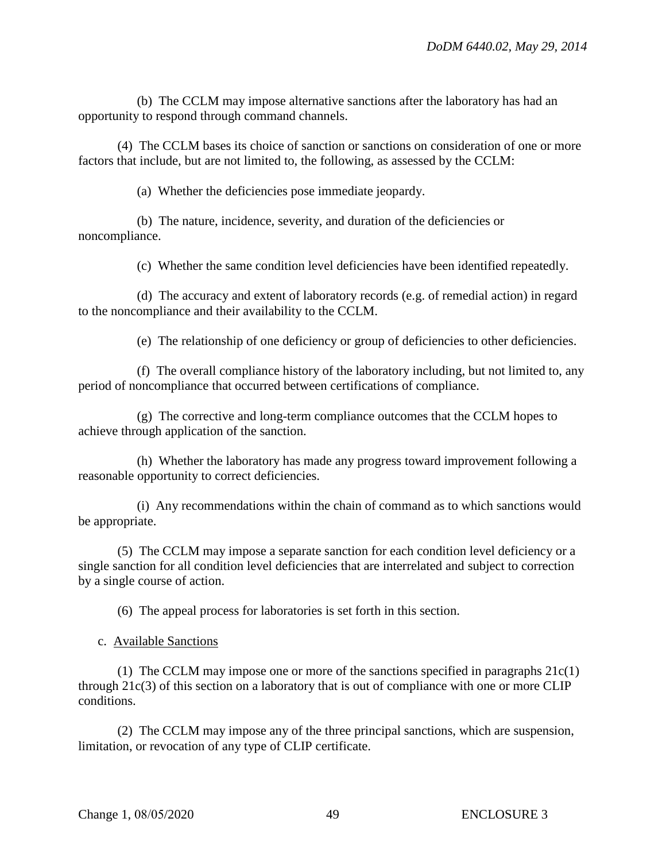(b) The CCLM may impose alternative sanctions after the laboratory has had an opportunity to respond through command channels.

(4) The CCLM bases its choice of sanction or sanctions on consideration of one or more factors that include, but are not limited to, the following, as assessed by the CCLM:

(a) Whether the deficiencies pose immediate jeopardy.

(b) The nature, incidence, severity, and duration of the deficiencies or noncompliance.

(c) Whether the same condition level deficiencies have been identified repeatedly.

(d) The accuracy and extent of laboratory records (e.g. of remedial action) in regard to the noncompliance and their availability to the CCLM.

(e) The relationship of one deficiency or group of deficiencies to other deficiencies.

(f) The overall compliance history of the laboratory including, but not limited to, any period of noncompliance that occurred between certifications of compliance.

(g) The corrective and long-term compliance outcomes that the CCLM hopes to achieve through application of the sanction.

(h) Whether the laboratory has made any progress toward improvement following a reasonable opportunity to correct deficiencies.

(i) Any recommendations within the chain of command as to which sanctions would be appropriate.

(5) The CCLM may impose a separate sanction for each condition level deficiency or a single sanction for all condition level deficiencies that are interrelated and subject to correction by a single course of action.

(6) The appeal process for laboratories is set forth in this section.

c. Available Sanctions

(1) The CCLM may impose one or more of the sanctions specified in paragraphs  $21c(1)$ through 21c(3) of this section on a laboratory that is out of compliance with one or more CLIP conditions.

(2) The CCLM may impose any of the three principal sanctions, which are suspension, limitation, or revocation of any type of CLIP certificate.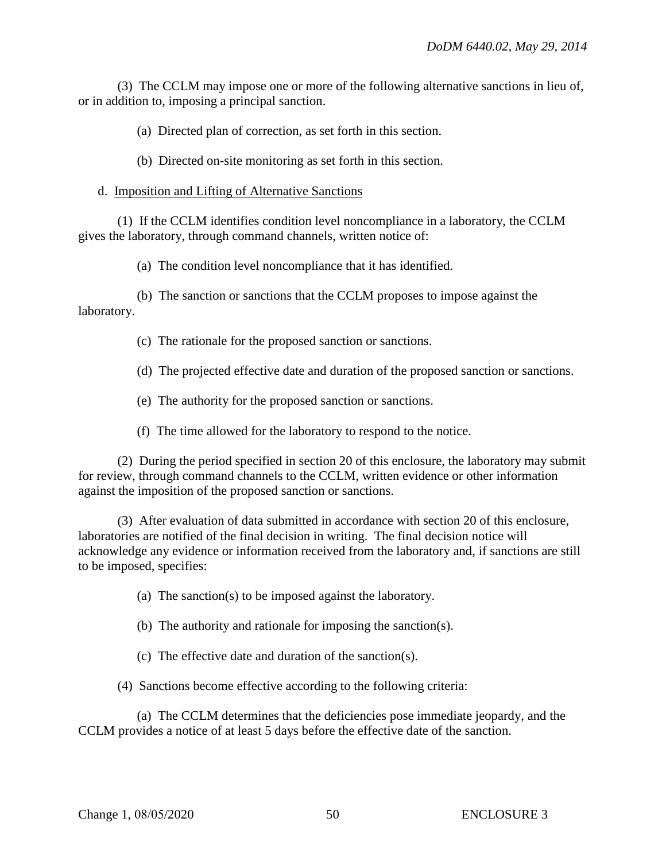(3) The CCLM may impose one or more of the following alternative sanctions in lieu of, or in addition to, imposing a principal sanction.

(a) Directed plan of correction, as set forth in this section.

(b) Directed on-site monitoring as set forth in this section.

## d. Imposition and Lifting of Alternative Sanctions

(1) If the CCLM identifies condition level noncompliance in a laboratory, the CCLM gives the laboratory, through command channels, written notice of:

(a) The condition level noncompliance that it has identified.

(b) The sanction or sanctions that the CCLM proposes to impose against the laboratory.

(c) The rationale for the proposed sanction or sanctions.

(d) The projected effective date and duration of the proposed sanction or sanctions.

(e) The authority for the proposed sanction or sanctions.

(f) The time allowed for the laboratory to respond to the notice.

(2) During the period specified in section 20 of this enclosure, the laboratory may submit for review, through command channels to the CCLM, written evidence or other information against the imposition of the proposed sanction or sanctions.

(3) After evaluation of data submitted in accordance with section 20 of this enclosure, laboratories are notified of the final decision in writing. The final decision notice will acknowledge any evidence or information received from the laboratory and, if sanctions are still to be imposed, specifies:

(a) The sanction(s) to be imposed against the laboratory.

(b) The authority and rationale for imposing the sanction(s).

(c) The effective date and duration of the sanction(s).

(4) Sanctions become effective according to the following criteria:

(a) The CCLM determines that the deficiencies pose immediate jeopardy, and the CCLM provides a notice of at least 5 days before the effective date of the sanction.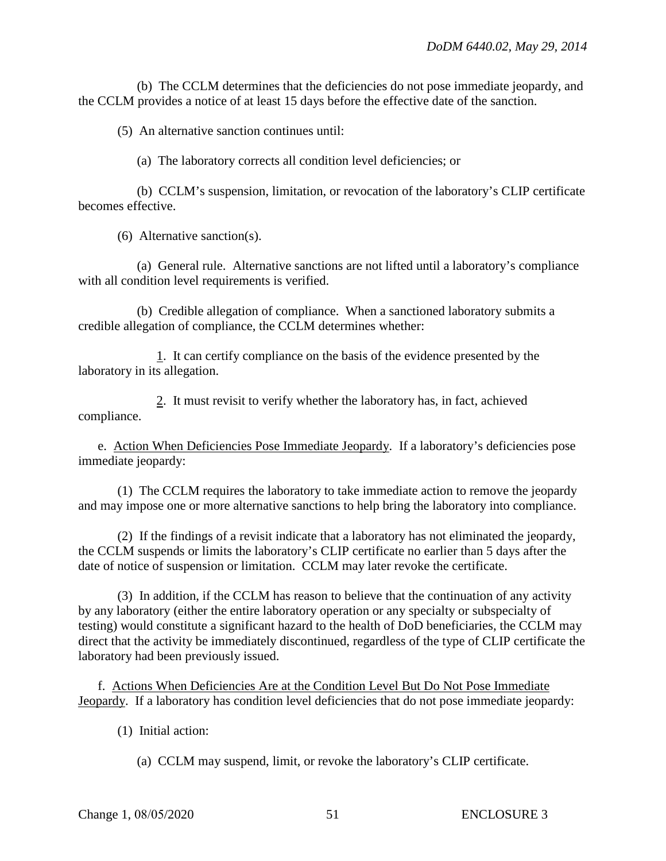(b) The CCLM determines that the deficiencies do not pose immediate jeopardy, and the CCLM provides a notice of at least 15 days before the effective date of the sanction.

(5) An alternative sanction continues until:

(a) The laboratory corrects all condition level deficiencies; or

(b) CCLM's suspension, limitation, or revocation of the laboratory's CLIP certificate becomes effective.

(6) Alternative sanction(s).

(a) General rule. Alternative sanctions are not lifted until a laboratory's compliance with all condition level requirements is verified.

(b) Credible allegation of compliance. When a sanctioned laboratory submits a credible allegation of compliance, the CCLM determines whether:

1. It can certify compliance on the basis of the evidence presented by the laboratory in its allegation.

2. It must revisit to verify whether the laboratory has, in fact, achieved compliance.

e. Action When Deficiencies Pose Immediate Jeopardy. If a laboratory's deficiencies pose immediate jeopardy:

(1) The CCLM requires the laboratory to take immediate action to remove the jeopardy and may impose one or more alternative sanctions to help bring the laboratory into compliance.

(2) If the findings of a revisit indicate that a laboratory has not eliminated the jeopardy, the CCLM suspends or limits the laboratory's CLIP certificate no earlier than 5 days after the date of notice of suspension or limitation. CCLM may later revoke the certificate.

(3) In addition, if the CCLM has reason to believe that the continuation of any activity by any laboratory (either the entire laboratory operation or any specialty or subspecialty of testing) would constitute a significant hazard to the health of DoD beneficiaries, the CCLM may direct that the activity be immediately discontinued, regardless of the type of CLIP certificate the laboratory had been previously issued.

f. Actions When Deficiencies Are at the Condition Level But Do Not Pose Immediate Jeopardy. If a laboratory has condition level deficiencies that do not pose immediate jeopardy:

(1) Initial action:

(a) CCLM may suspend, limit, or revoke the laboratory's CLIP certificate.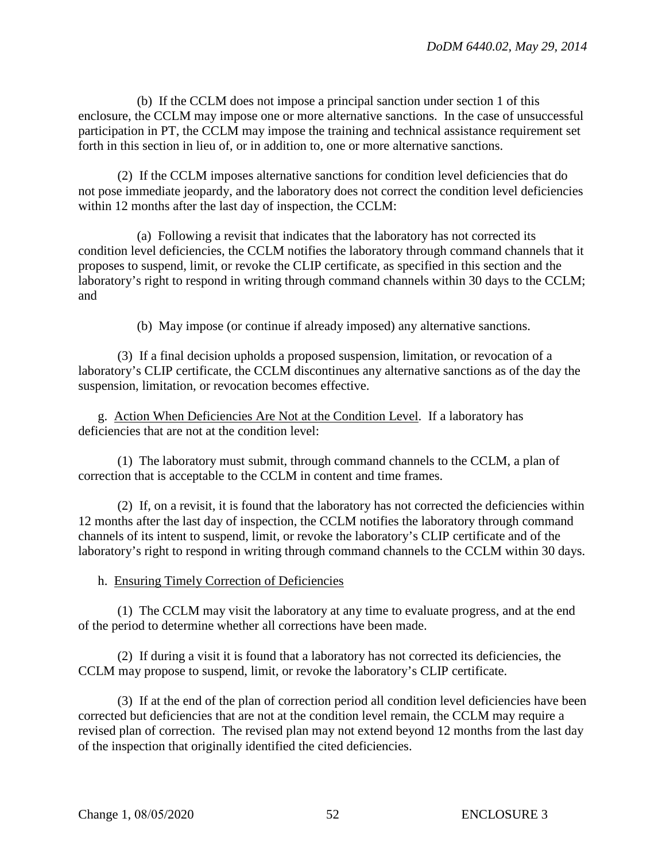(b) If the CCLM does not impose a principal sanction under section 1 of this enclosure, the CCLM may impose one or more alternative sanctions. In the case of unsuccessful participation in PT, the CCLM may impose the training and technical assistance requirement set forth in this section in lieu of, or in addition to, one or more alternative sanctions.

(2) If the CCLM imposes alternative sanctions for condition level deficiencies that do not pose immediate jeopardy, and the laboratory does not correct the condition level deficiencies within 12 months after the last day of inspection, the CCLM:

(a) Following a revisit that indicates that the laboratory has not corrected its condition level deficiencies, the CCLM notifies the laboratory through command channels that it proposes to suspend, limit, or revoke the CLIP certificate, as specified in this section and the laboratory's right to respond in writing through command channels within 30 days to the CCLM; and

(b) May impose (or continue if already imposed) any alternative sanctions.

(3) If a final decision upholds a proposed suspension, limitation, or revocation of a laboratory's CLIP certificate, the CCLM discontinues any alternative sanctions as of the day the suspension, limitation, or revocation becomes effective.

g. Action When Deficiencies Are Not at the Condition Level. If a laboratory has deficiencies that are not at the condition level:

(1) The laboratory must submit, through command channels to the CCLM, a plan of correction that is acceptable to the CCLM in content and time frames.

(2) If, on a revisit, it is found that the laboratory has not corrected the deficiencies within 12 months after the last day of inspection, the CCLM notifies the laboratory through command channels of its intent to suspend, limit, or revoke the laboratory's CLIP certificate and of the laboratory's right to respond in writing through command channels to the CCLM within 30 days.

h. Ensuring Timely Correction of Deficiencies

(1) The CCLM may visit the laboratory at any time to evaluate progress, and at the end of the period to determine whether all corrections have been made.

(2) If during a visit it is found that a laboratory has not corrected its deficiencies, the CCLM may propose to suspend, limit, or revoke the laboratory's CLIP certificate.

(3) If at the end of the plan of correction period all condition level deficiencies have been corrected but deficiencies that are not at the condition level remain, the CCLM may require a revised plan of correction. The revised plan may not extend beyond 12 months from the last day of the inspection that originally identified the cited deficiencies.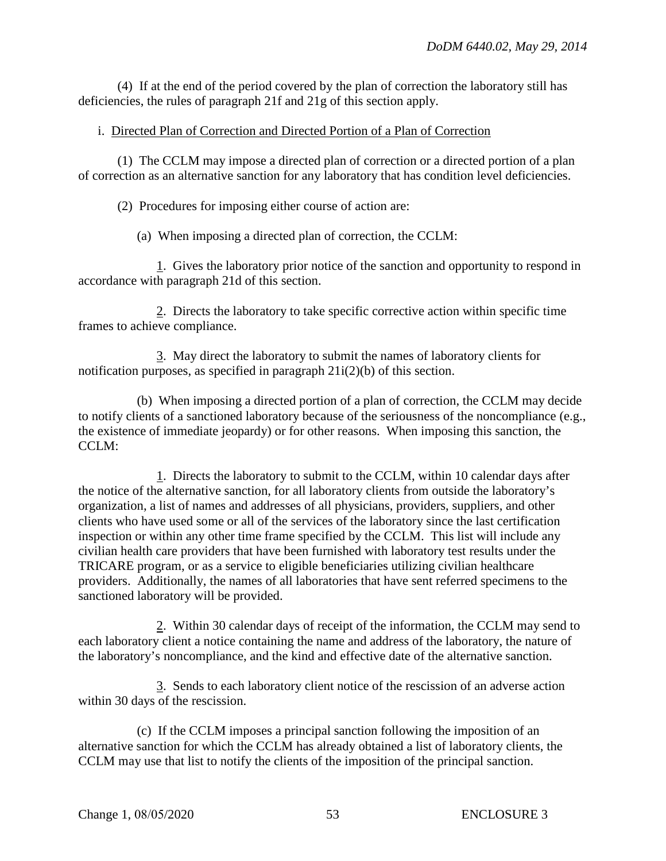(4) If at the end of the period covered by the plan of correction the laboratory still has deficiencies, the rules of paragraph 21f and 21g of this section apply.

## i. Directed Plan of Correction and Directed Portion of a Plan of Correction

(1) The CCLM may impose a directed plan of correction or a directed portion of a plan of correction as an alternative sanction for any laboratory that has condition level deficiencies.

(2) Procedures for imposing either course of action are:

(a) When imposing a directed plan of correction, the CCLM:

1. Gives the laboratory prior notice of the sanction and opportunity to respond in accordance with paragraph 21d of this section.

2. Directs the laboratory to take specific corrective action within specific time frames to achieve compliance.

3. May direct the laboratory to submit the names of laboratory clients for notification purposes, as specified in paragraph 21i(2)(b) of this section.

(b) When imposing a directed portion of a plan of correction, the CCLM may decide to notify clients of a sanctioned laboratory because of the seriousness of the noncompliance (e.g., the existence of immediate jeopardy) or for other reasons. When imposing this sanction, the CCLM:

1. Directs the laboratory to submit to the CCLM, within 10 calendar days after the notice of the alternative sanction, for all laboratory clients from outside the laboratory's organization, a list of names and addresses of all physicians, providers, suppliers, and other clients who have used some or all of the services of the laboratory since the last certification inspection or within any other time frame specified by the CCLM. This list will include any civilian health care providers that have been furnished with laboratory test results under the TRICARE program, or as a service to eligible beneficiaries utilizing civilian healthcare providers. Additionally, the names of all laboratories that have sent referred specimens to the sanctioned laboratory will be provided.

2. Within 30 calendar days of receipt of the information, the CCLM may send to each laboratory client a notice containing the name and address of the laboratory, the nature of the laboratory's noncompliance, and the kind and effective date of the alternative sanction.

3. Sends to each laboratory client notice of the rescission of an adverse action within 30 days of the rescission.

(c) If the CCLM imposes a principal sanction following the imposition of an alternative sanction for which the CCLM has already obtained a list of laboratory clients, the CCLM may use that list to notify the clients of the imposition of the principal sanction.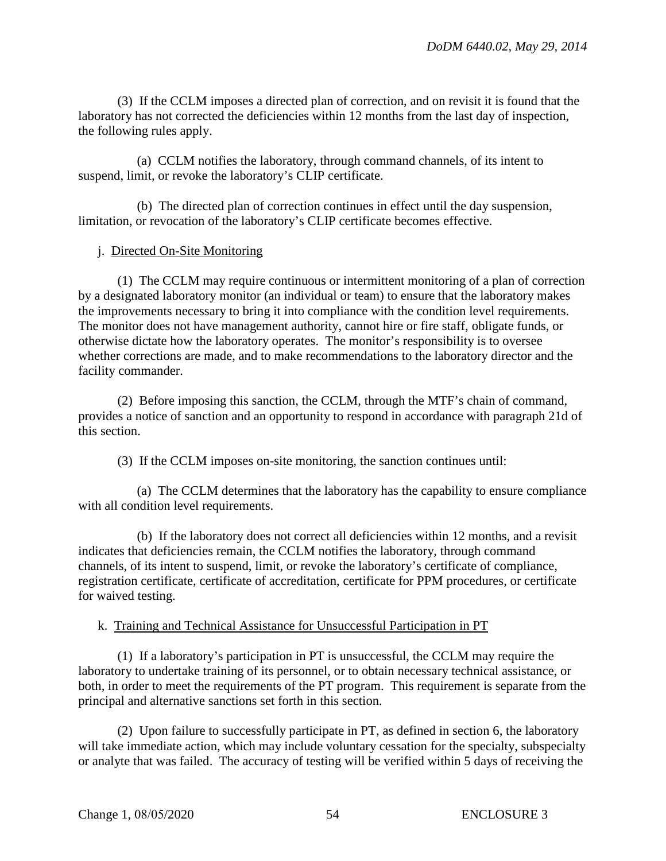(3) If the CCLM imposes a directed plan of correction, and on revisit it is found that the laboratory has not corrected the deficiencies within 12 months from the last day of inspection, the following rules apply.

(a) CCLM notifies the laboratory, through command channels, of its intent to suspend, limit, or revoke the laboratory's CLIP certificate.

(b) The directed plan of correction continues in effect until the day suspension, limitation, or revocation of the laboratory's CLIP certificate becomes effective.

## j. Directed On-Site Monitoring

(1) The CCLM may require continuous or intermittent monitoring of a plan of correction by a designated laboratory monitor (an individual or team) to ensure that the laboratory makes the improvements necessary to bring it into compliance with the condition level requirements. The monitor does not have management authority, cannot hire or fire staff, obligate funds, or otherwise dictate how the laboratory operates. The monitor's responsibility is to oversee whether corrections are made, and to make recommendations to the laboratory director and the facility commander.

(2) Before imposing this sanction, the CCLM, through the MTF's chain of command, provides a notice of sanction and an opportunity to respond in accordance with paragraph 21d of this section.

(3) If the CCLM imposes on-site monitoring, the sanction continues until:

(a) The CCLM determines that the laboratory has the capability to ensure compliance with all condition level requirements.

(b) If the laboratory does not correct all deficiencies within 12 months, and a revisit indicates that deficiencies remain, the CCLM notifies the laboratory, through command channels, of its intent to suspend, limit, or revoke the laboratory's certificate of compliance, registration certificate, certificate of accreditation, certificate for PPM procedures, or certificate for waived testing.

## k. Training and Technical Assistance for Unsuccessful Participation in PT

(1) If a laboratory's participation in PT is unsuccessful, the CCLM may require the laboratory to undertake training of its personnel, or to obtain necessary technical assistance, or both, in order to meet the requirements of the PT program. This requirement is separate from the principal and alternative sanctions set forth in this section.

(2) Upon failure to successfully participate in PT, as defined in section 6, the laboratory will take immediate action, which may include voluntary cessation for the specialty, subspecialty or analyte that was failed. The accuracy of testing will be verified within 5 days of receiving the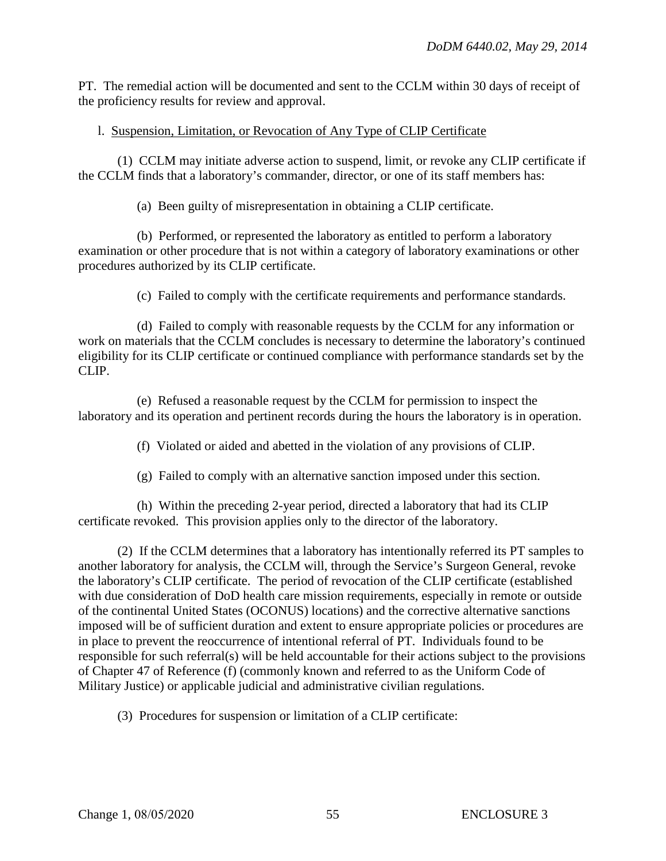PT. The remedial action will be documented and sent to the CCLM within 30 days of receipt of the proficiency results for review and approval.

# l. Suspension, Limitation, or Revocation of Any Type of CLIP Certificate

(1) CCLM may initiate adverse action to suspend, limit, or revoke any CLIP certificate if the CCLM finds that a laboratory's commander, director, or one of its staff members has:

(a) Been guilty of misrepresentation in obtaining a CLIP certificate.

(b) Performed, or represented the laboratory as entitled to perform a laboratory examination or other procedure that is not within a category of laboratory examinations or other procedures authorized by its CLIP certificate.

(c) Failed to comply with the certificate requirements and performance standards.

(d) Failed to comply with reasonable requests by the CCLM for any information or work on materials that the CCLM concludes is necessary to determine the laboratory's continued eligibility for its CLIP certificate or continued compliance with performance standards set by the CLIP.

(e) Refused a reasonable request by the CCLM for permission to inspect the laboratory and its operation and pertinent records during the hours the laboratory is in operation.

(f) Violated or aided and abetted in the violation of any provisions of CLIP.

(g) Failed to comply with an alternative sanction imposed under this section.

(h) Within the preceding 2-year period, directed a laboratory that had its CLIP certificate revoked. This provision applies only to the director of the laboratory.

(2) If the CCLM determines that a laboratory has intentionally referred its PT samples to another laboratory for analysis, the CCLM will, through the Service's Surgeon General, revoke the laboratory's CLIP certificate. The period of revocation of the CLIP certificate (established with due consideration of DoD health care mission requirements, especially in remote or outside of the continental United States (OCONUS) locations) and the corrective alternative sanctions imposed will be of sufficient duration and extent to ensure appropriate policies or procedures are in place to prevent the reoccurrence of intentional referral of PT. Individuals found to be responsible for such referral(s) will be held accountable for their actions subject to the provisions of Chapter 47 of Reference (f) (commonly known and referred to as the Uniform Code of Military Justice) or applicable judicial and administrative civilian regulations.

(3) Procedures for suspension or limitation of a CLIP certificate: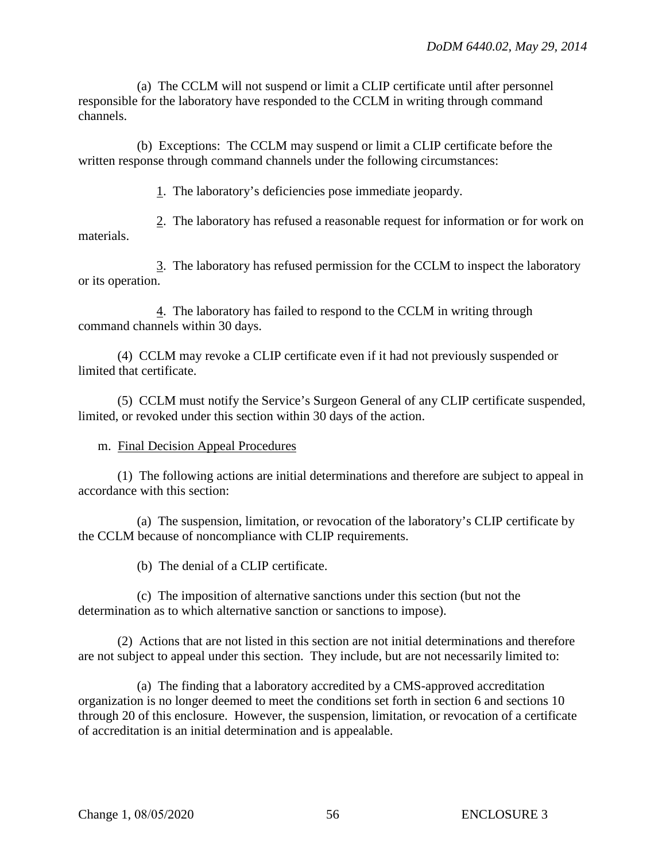(a) The CCLM will not suspend or limit a CLIP certificate until after personnel responsible for the laboratory have responded to the CCLM in writing through command channels.

(b) Exceptions: The CCLM may suspend or limit a CLIP certificate before the written response through command channels under the following circumstances:

1. The laboratory's deficiencies pose immediate jeopardy.

2. The laboratory has refused a reasonable request for information or for work on materials.

3. The laboratory has refused permission for the CCLM to inspect the laboratory or its operation.

4. The laboratory has failed to respond to the CCLM in writing through command channels within 30 days.

(4) CCLM may revoke a CLIP certificate even if it had not previously suspended or limited that certificate.

(5) CCLM must notify the Service's Surgeon General of any CLIP certificate suspended, limited, or revoked under this section within 30 days of the action.

m. Final Decision Appeal Procedures

(1) The following actions are initial determinations and therefore are subject to appeal in accordance with this section:

(a) The suspension, limitation, or revocation of the laboratory's CLIP certificate by the CCLM because of noncompliance with CLIP requirements.

(b) The denial of a CLIP certificate.

(c) The imposition of alternative sanctions under this section (but not the determination as to which alternative sanction or sanctions to impose).

(2) Actions that are not listed in this section are not initial determinations and therefore are not subject to appeal under this section. They include, but are not necessarily limited to:

(a) The finding that a laboratory accredited by a CMS-approved accreditation organization is no longer deemed to meet the conditions set forth in section 6 and sections 10 through 20 of this enclosure. However, the suspension, limitation, or revocation of a certificate of accreditation is an initial determination and is appealable.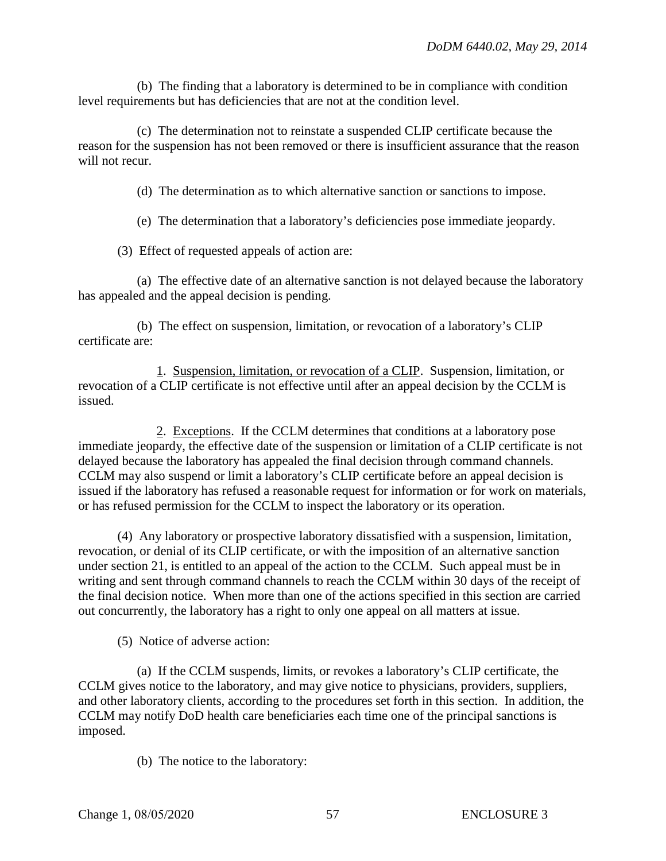(b) The finding that a laboratory is determined to be in compliance with condition level requirements but has deficiencies that are not at the condition level.

(c) The determination not to reinstate a suspended CLIP certificate because the reason for the suspension has not been removed or there is insufficient assurance that the reason will not recur.

(d) The determination as to which alternative sanction or sanctions to impose.

(e) The determination that a laboratory's deficiencies pose immediate jeopardy.

(3) Effect of requested appeals of action are:

(a) The effective date of an alternative sanction is not delayed because the laboratory has appealed and the appeal decision is pending.

(b) The effect on suspension, limitation, or revocation of a laboratory's CLIP certificate are:

1. Suspension, limitation, or revocation of a CLIP. Suspension, limitation, or revocation of a CLIP certificate is not effective until after an appeal decision by the CCLM is issued.

2. Exceptions. If the CCLM determines that conditions at a laboratory pose immediate jeopardy, the effective date of the suspension or limitation of a CLIP certificate is not delayed because the laboratory has appealed the final decision through command channels. CCLM may also suspend or limit a laboratory's CLIP certificate before an appeal decision is issued if the laboratory has refused a reasonable request for information or for work on materials, or has refused permission for the CCLM to inspect the laboratory or its operation.

(4) Any laboratory or prospective laboratory dissatisfied with a suspension, limitation, revocation, or denial of its CLIP certificate, or with the imposition of an alternative sanction under section 21, is entitled to an appeal of the action to the CCLM. Such appeal must be in writing and sent through command channels to reach the CCLM within 30 days of the receipt of the final decision notice. When more than one of the actions specified in this section are carried out concurrently, the laboratory has a right to only one appeal on all matters at issue.

(5) Notice of adverse action:

(a) If the CCLM suspends, limits, or revokes a laboratory's CLIP certificate, the CCLM gives notice to the laboratory, and may give notice to physicians, providers, suppliers, and other laboratory clients, according to the procedures set forth in this section. In addition, the CCLM may notify DoD health care beneficiaries each time one of the principal sanctions is imposed.

(b) The notice to the laboratory: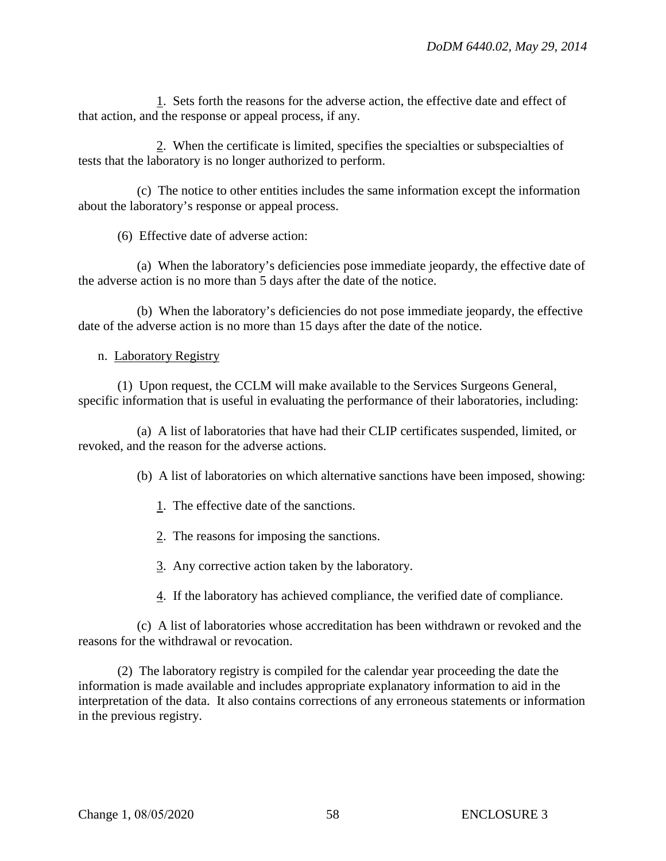1. Sets forth the reasons for the adverse action, the effective date and effect of that action, and the response or appeal process, if any.

2. When the certificate is limited, specifies the specialties or subspecialties of tests that the laboratory is no longer authorized to perform.

(c) The notice to other entities includes the same information except the information about the laboratory's response or appeal process.

(6) Effective date of adverse action:

(a) When the laboratory's deficiencies pose immediate jeopardy, the effective date of the adverse action is no more than 5 days after the date of the notice.

(b) When the laboratory's deficiencies do not pose immediate jeopardy, the effective date of the adverse action is no more than 15 days after the date of the notice.

## n. Laboratory Registry

(1) Upon request, the CCLM will make available to the Services Surgeons General, specific information that is useful in evaluating the performance of their laboratories, including:

(a) A list of laboratories that have had their CLIP certificates suspended, limited, or revoked, and the reason for the adverse actions.

(b) A list of laboratories on which alternative sanctions have been imposed, showing:

- 1. The effective date of the sanctions.
- 2. The reasons for imposing the sanctions.
- 3. Any corrective action taken by the laboratory.
- 4. If the laboratory has achieved compliance, the verified date of compliance.

(c) A list of laboratories whose accreditation has been withdrawn or revoked and the reasons for the withdrawal or revocation.

(2) The laboratory registry is compiled for the calendar year proceeding the date the information is made available and includes appropriate explanatory information to aid in the interpretation of the data. It also contains corrections of any erroneous statements or information in the previous registry.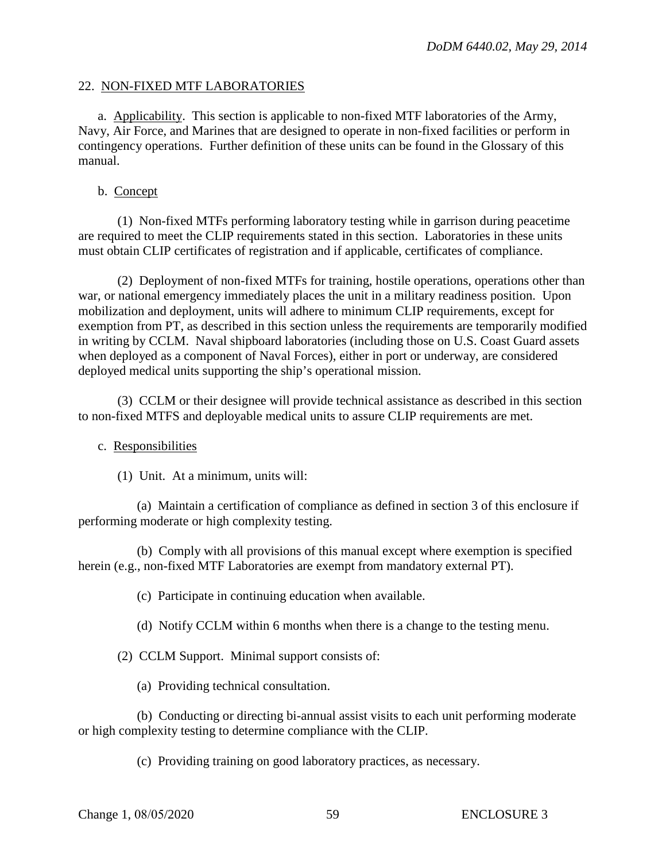#### 22. NON-FIXED MTF LABORATORIES

a. Applicability. This section is applicable to non-fixed MTF laboratories of the Army, Navy, Air Force, and Marines that are designed to operate in non-fixed facilities or perform in contingency operations. Further definition of these units can be found in the Glossary of this manual.

#### b. Concept

(1) Non-fixed MTFs performing laboratory testing while in garrison during peacetime are required to meet the CLIP requirements stated in this section. Laboratories in these units must obtain CLIP certificates of registration and if applicable, certificates of compliance.

(2) Deployment of non-fixed MTFs for training, hostile operations, operations other than war, or national emergency immediately places the unit in a military readiness position. Upon mobilization and deployment, units will adhere to minimum CLIP requirements, except for exemption from PT, as described in this section unless the requirements are temporarily modified in writing by CCLM. Naval shipboard laboratories (including those on U.S. Coast Guard assets when deployed as a component of Naval Forces), either in port or underway, are considered deployed medical units supporting the ship's operational mission.

(3) CCLM or their designee will provide technical assistance as described in this section to non-fixed MTFS and deployable medical units to assure CLIP requirements are met.

## c. Responsibilities

(1) Unit. At a minimum, units will:

(a) Maintain a certification of compliance as defined in section 3 of this enclosure if performing moderate or high complexity testing.

(b) Comply with all provisions of this manual except where exemption is specified herein (e.g., non-fixed MTF Laboratories are exempt from mandatory external PT).

(c) Participate in continuing education when available.

(d) Notify CCLM within 6 months when there is a change to the testing menu.

(2) CCLM Support. Minimal support consists of:

(a) Providing technical consultation.

(b) Conducting or directing bi-annual assist visits to each unit performing moderate or high complexity testing to determine compliance with the CLIP.

(c) Providing training on good laboratory practices, as necessary.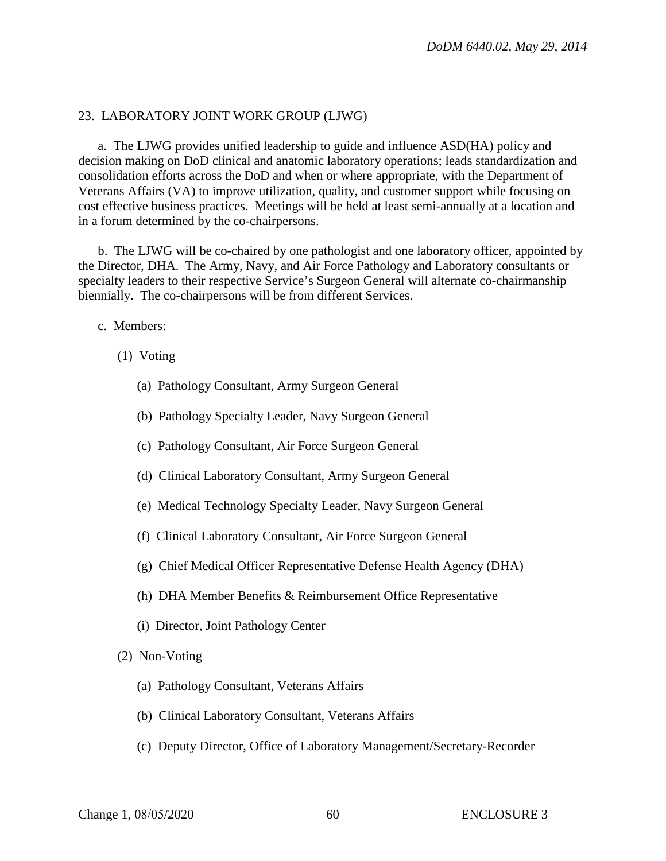#### 23. LABORATORY JOINT WORK GROUP (LJWG)

a. The LJWG provides unified leadership to guide and influence ASD(HA) policy and decision making on DoD clinical and anatomic laboratory operations; leads standardization and consolidation efforts across the DoD and when or where appropriate, with the Department of Veterans Affairs (VA) to improve utilization, quality, and customer support while focusing on cost effective business practices. Meetings will be held at least semi-annually at a location and in a forum determined by the co-chairpersons.

b. The LJWG will be co-chaired by one pathologist and one laboratory officer, appointed by the Director, DHA. The Army, Navy, and Air Force Pathology and Laboratory consultants or specialty leaders to their respective Service's Surgeon General will alternate co-chairmanship biennially. The co-chairpersons will be from different Services.

c. Members:

- (1) Voting
	- (a) Pathology Consultant, Army Surgeon General
	- (b) Pathology Specialty Leader, Navy Surgeon General
	- (c) Pathology Consultant, Air Force Surgeon General
	- (d) Clinical Laboratory Consultant, Army Surgeon General
	- (e) Medical Technology Specialty Leader, Navy Surgeon General
	- (f) Clinical Laboratory Consultant, Air Force Surgeon General
	- (g) Chief Medical Officer Representative Defense Health Agency (DHA)
	- (h) DHA Member Benefits & Reimbursement Office Representative
	- (i) Director, Joint Pathology Center
- (2) Non-Voting
	- (a) Pathology Consultant, Veterans Affairs
	- (b) Clinical Laboratory Consultant, Veterans Affairs
	- (c) Deputy Director, Office of Laboratory Management/Secretary-Recorder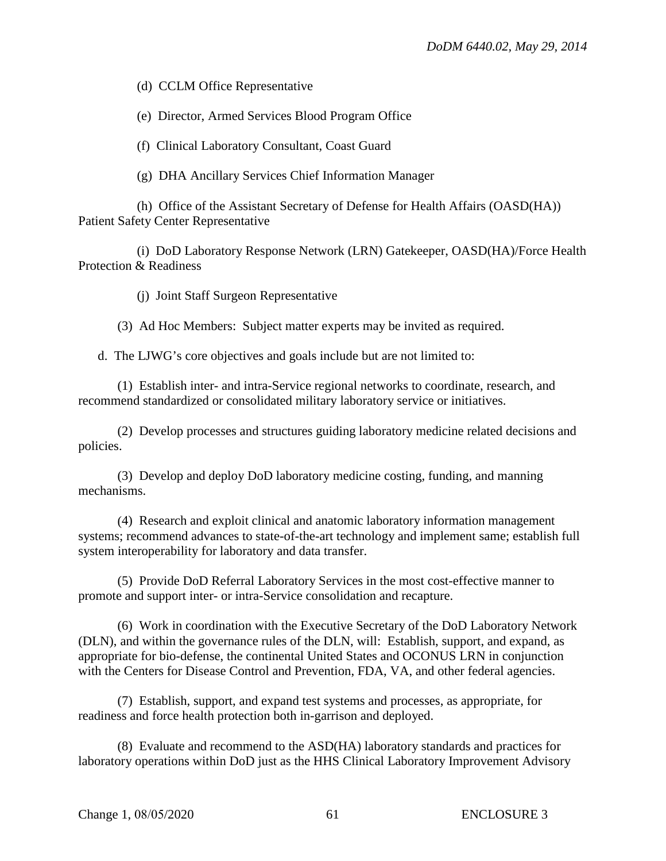(d) CCLM Office Representative

(e) Director, Armed Services Blood Program Office

(f) Clinical Laboratory Consultant, Coast Guard

(g) DHA Ancillary Services Chief Information Manager

(h) Office of the Assistant Secretary of Defense for Health Affairs (OASD(HA)) Patient Safety Center Representative

(i) DoD Laboratory Response Network (LRN) Gatekeeper, OASD(HA)/Force Health Protection & Readiness

(j) Joint Staff Surgeon Representative

(3) Ad Hoc Members: Subject matter experts may be invited as required.

d. The LJWG's core objectives and goals include but are not limited to:

(1) Establish inter- and intra-Service regional networks to coordinate, research, and recommend standardized or consolidated military laboratory service or initiatives.

(2) Develop processes and structures guiding laboratory medicine related decisions and policies.

(3) Develop and deploy DoD laboratory medicine costing, funding, and manning mechanisms.

(4) Research and exploit clinical and anatomic laboratory information management systems; recommend advances to state-of-the-art technology and implement same; establish full system interoperability for laboratory and data transfer.

(5) Provide DoD Referral Laboratory Services in the most cost-effective manner to promote and support inter- or intra-Service consolidation and recapture.

(6) Work in coordination with the Executive Secretary of the DoD Laboratory Network (DLN), and within the governance rules of the DLN, will: Establish, support, and expand, as appropriate for bio-defense, the continental United States and OCONUS LRN in conjunction with the Centers for Disease Control and Prevention, FDA, VA, and other federal agencies.

(7) Establish, support, and expand test systems and processes, as appropriate, for readiness and force health protection both in-garrison and deployed.

(8) Evaluate and recommend to the ASD(HA) laboratory standards and practices for laboratory operations within DoD just as the HHS Clinical Laboratory Improvement Advisory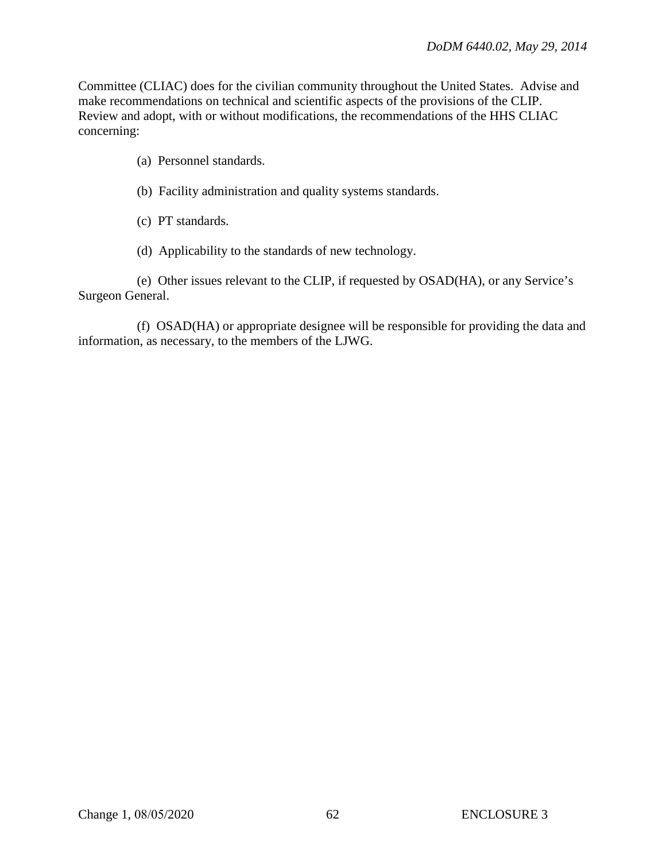Committee (CLIAC) does for the civilian community throughout the United States. Advise and make recommendations on technical and scientific aspects of the provisions of the CLIP. Review and adopt, with or without modifications, the recommendations of the HHS CLIAC concerning:

- (a) Personnel standards.
- (b) Facility administration and quality systems standards.
- (c) PT standards.
- (d) Applicability to the standards of new technology.

(e) Other issues relevant to the CLIP, if requested by OSAD(HA), or any Service's Surgeon General.

(f) OSAD(HA) or appropriate designee will be responsible for providing the data and information, as necessary, to the members of the LJWG.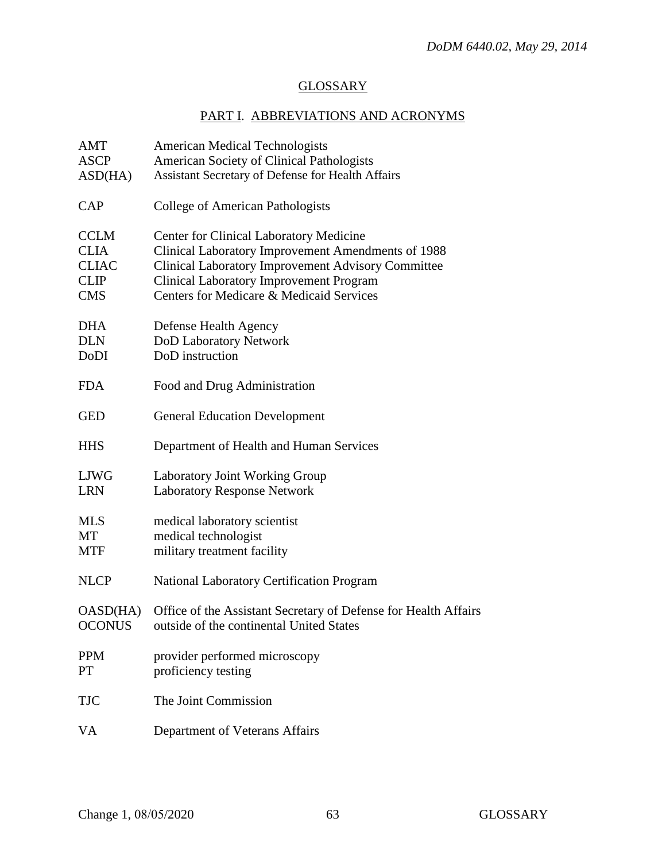# **GLOSSARY**

# PART I. ABBREVIATIONS AND ACRONYMS

| AMT           | <b>American Medical Technologists</b>                           |
|---------------|-----------------------------------------------------------------|
| <b>ASCP</b>   | American Society of Clinical Pathologists                       |
| ASD(HA)       | Assistant Secretary of Defense for Health Affairs               |
| CAP           | College of American Pathologists                                |
| <b>CCLM</b>   | <b>Center for Clinical Laboratory Medicine</b>                  |
| <b>CLIA</b>   | Clinical Laboratory Improvement Amendments of 1988              |
| <b>CLIAC</b>  | <b>Clinical Laboratory Improvement Advisory Committee</b>       |
| <b>CLIP</b>   | <b>Clinical Laboratory Improvement Program</b>                  |
| <b>CMS</b>    | Centers for Medicare & Medicaid Services                        |
| <b>DHA</b>    | Defense Health Agency                                           |
| <b>DLN</b>    | DoD Laboratory Network                                          |
| DoDI          | DoD instruction                                                 |
| <b>FDA</b>    | Food and Drug Administration                                    |
| <b>GED</b>    | <b>General Education Development</b>                            |
| <b>HHS</b>    | Department of Health and Human Services                         |
| <b>LJWG</b>   | <b>Laboratory Joint Working Group</b>                           |
| <b>LRN</b>    | <b>Laboratory Response Network</b>                              |
| <b>MLS</b>    | medical laboratory scientist                                    |
| MT            | medical technologist                                            |
| <b>MTF</b>    | military treatment facility                                     |
| <b>NLCP</b>   | <b>National Laboratory Certification Program</b>                |
| OASD(HA)      | Office of the Assistant Secretary of Defense for Health Affairs |
| <b>OCONUS</b> | outside of the continental United States                        |
| <b>PPM</b>    | provider performed microscopy                                   |
| PT            | proficiency testing                                             |
| <b>TJC</b>    | The Joint Commission                                            |
| <b>VA</b>     | Department of Veterans Affairs                                  |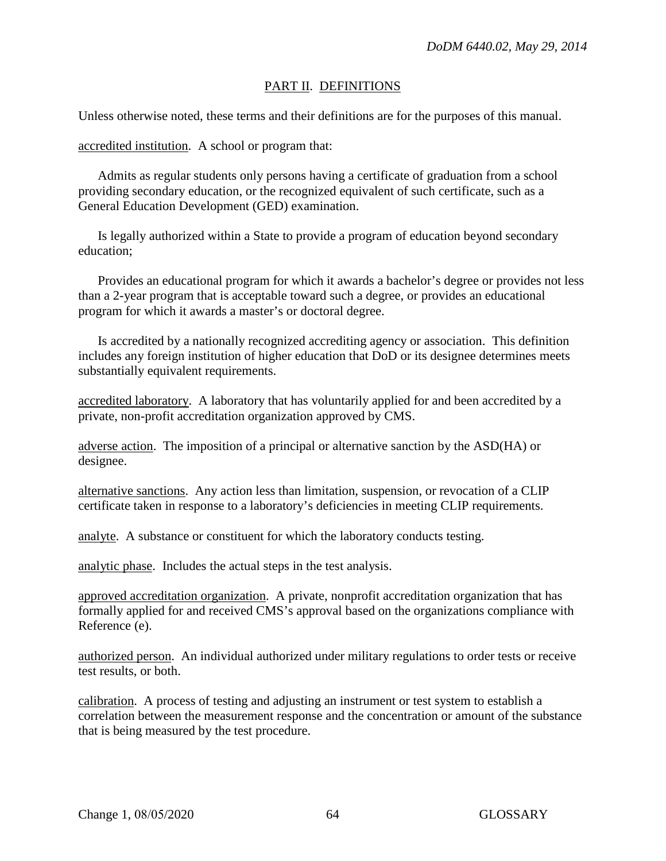## PART II. DEFINITIONS

Unless otherwise noted, these terms and their definitions are for the purposes of this manual.

accredited institution. A school or program that:

 Admits as regular students only persons having a certificate of graduation from a school providing secondary education, or the recognized equivalent of such certificate, such as a General Education Development (GED) examination.

Is legally authorized within a State to provide a program of education beyond secondary education;

Provides an educational program for which it awards a bachelor's degree or provides not less than a 2-year program that is acceptable toward such a degree, or provides an educational program for which it awards a master's or doctoral degree.

Is accredited by a nationally recognized accrediting agency or association. This definition includes any foreign institution of higher education that DoD or its designee determines meets substantially equivalent requirements.

accredited laboratory. A laboratory that has voluntarily applied for and been accredited by a private, non-profit accreditation organization approved by CMS.

adverse action. The imposition of a principal or alternative sanction by the ASD(HA) or designee.

alternative sanctions. Any action less than limitation, suspension, or revocation of a CLIP certificate taken in response to a laboratory's deficiencies in meeting CLIP requirements.

analyte. A substance or constituent for which the laboratory conducts testing.

analytic phase. Includes the actual steps in the test analysis.

approved accreditation organization. A private, nonprofit accreditation organization that has formally applied for and received CMS's approval based on the organizations compliance with Reference (e).

authorized person. An individual authorized under military regulations to order tests or receive test results, or both.

calibration. A process of testing and adjusting an instrument or test system to establish a correlation between the measurement response and the concentration or amount of the substance that is being measured by the test procedure.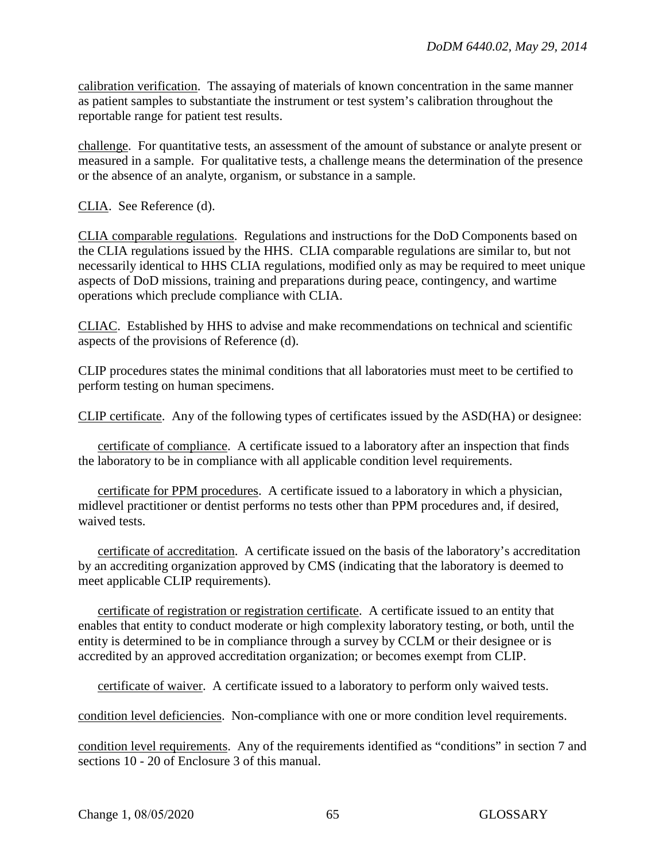calibration verification. The assaying of materials of known concentration in the same manner as patient samples to substantiate the instrument or test system's calibration throughout the reportable range for patient test results.

challenge. For quantitative tests, an assessment of the amount of substance or analyte present or measured in a sample. For qualitative tests, a challenge means the determination of the presence or the absence of an analyte, organism, or substance in a sample.

CLIA. See Reference (d).

CLIA comparable regulations. Regulations and instructions for the DoD Components based on the CLIA regulations issued by the HHS. CLIA comparable regulations are similar to, but not necessarily identical to HHS CLIA regulations, modified only as may be required to meet unique aspects of DoD missions, training and preparations during peace, contingency, and wartime operations which preclude compliance with CLIA.

CLIAC. Established by HHS to advise and make recommendations on technical and scientific aspects of the provisions of Reference (d).

CLIP procedures states the minimal conditions that all laboratories must meet to be certified to perform testing on human specimens.

CLIP certificate. Any of the following types of certificates issued by the ASD(HA) or designee:

certificate of compliance. A certificate issued to a laboratory after an inspection that finds the laboratory to be in compliance with all applicable condition level requirements.

certificate for PPM procedures. A certificate issued to a laboratory in which a physician, midlevel practitioner or dentist performs no tests other than PPM procedures and, if desired, waived tests.

certificate of accreditation. A certificate issued on the basis of the laboratory's accreditation by an accrediting organization approved by CMS (indicating that the laboratory is deemed to meet applicable CLIP requirements).

certificate of registration or registration certificate. A certificate issued to an entity that enables that entity to conduct moderate or high complexity laboratory testing, or both, until the entity is determined to be in compliance through a survey by CCLM or their designee or is accredited by an approved accreditation organization; or becomes exempt from CLIP.

certificate of waiver. A certificate issued to a laboratory to perform only waived tests.

condition level deficiencies. Non-compliance with one or more condition level requirements.

condition level requirements. Any of the requirements identified as "conditions" in section 7 and sections 10 - 20 of Enclosure 3 of this manual.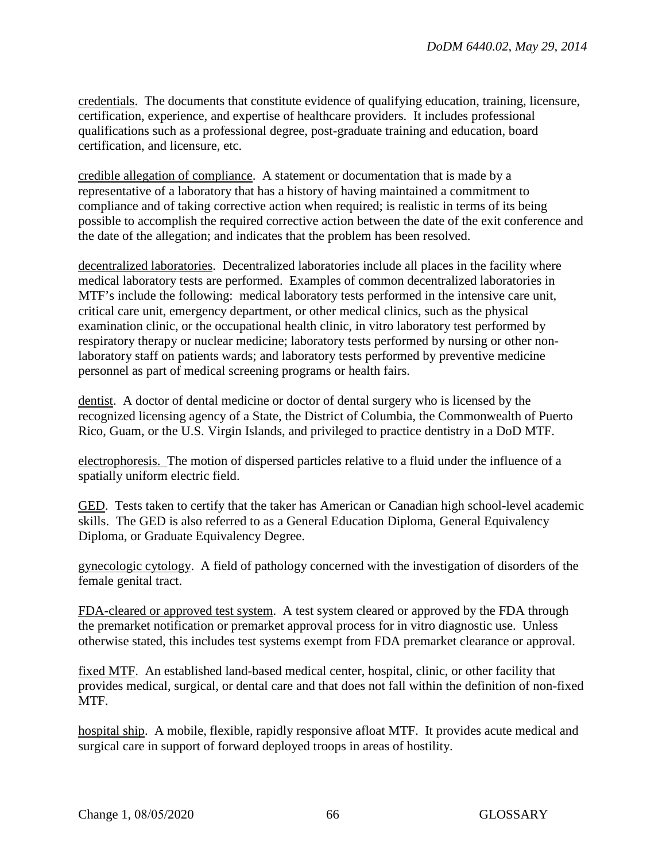credentials. The documents that constitute evidence of qualifying education, training, licensure, certification, experience, and expertise of healthcare providers. It includes professional qualifications such as a professional degree, post-graduate training and education, board certification, and licensure, etc.

credible allegation of compliance. A statement or documentation that is made by a representative of a laboratory that has a history of having maintained a commitment to compliance and of taking corrective action when required; is realistic in terms of its being possible to accomplish the required corrective action between the date of the exit conference and the date of the allegation; and indicates that the problem has been resolved.

decentralized laboratories. Decentralized laboratories include all places in the facility where medical laboratory tests are performed. Examples of common decentralized laboratories in MTF's include the following: medical laboratory tests performed in the intensive care unit, critical care unit, emergency department, or other medical clinics, such as the physical examination clinic, or the occupational health clinic, in vitro laboratory test performed by respiratory therapy or nuclear medicine; laboratory tests performed by nursing or other nonlaboratory staff on patients wards; and laboratory tests performed by preventive medicine personnel as part of medical screening programs or health fairs.

dentist. A doctor of dental medicine or doctor of dental surgery who is licensed by the recognized licensing agency of a State, the District of Columbia, the Commonwealth of Puerto Rico, Guam, or the U.S. Virgin Islands, and privileged to practice dentistry in a DoD MTF.

electrophoresis. The motion of dispersed particles relative to a fluid under the influence of a spatially uniform electric field.

GED. Tests taken to certify that the taker has American or Canadian high school-level academic skills. The GED is also referred to as a General Education Diploma, General Equivalency Diploma, or Graduate Equivalency Degree.

gynecologic cytology. A field of pathology concerned with the investigation of disorders of the female genital tract.

FDA-cleared or approved test system. A test system cleared or approved by the FDA through the premarket notification or premarket approval process for in vitro diagnostic use. Unless otherwise stated, this includes test systems exempt from FDA premarket clearance or approval.

fixed MTF. An established land-based medical center, hospital, clinic, or other facility that provides medical, surgical, or dental care and that does not fall within the definition of non-fixed MTF.

hospital ship. A mobile, flexible, rapidly responsive afloat MTF. It provides acute medical and surgical care in support of forward deployed troops in areas of hostility.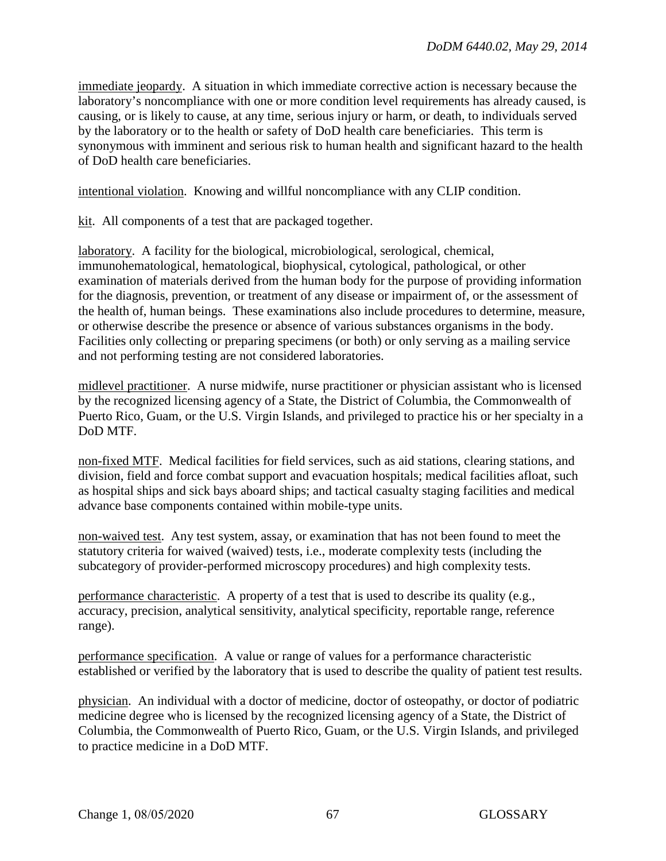immediate jeopardy. A situation in which immediate corrective action is necessary because the laboratory's noncompliance with one or more condition level requirements has already caused, is causing, or is likely to cause, at any time, serious injury or harm, or death, to individuals served by the laboratory or to the health or safety of DoD health care beneficiaries. This term is synonymous with imminent and serious risk to human health and significant hazard to the health of DoD health care beneficiaries.

intentional violation. Knowing and willful noncompliance with any CLIP condition.

kit. All components of a test that are packaged together.

laboratory. A facility for the biological, microbiological, serological, chemical, immunohematological, hematological, biophysical, cytological, pathological, or other examination of materials derived from the human body for the purpose of providing information for the diagnosis, prevention, or treatment of any disease or impairment of, or the assessment of the health of, human beings. These examinations also include procedures to determine, measure, or otherwise describe the presence or absence of various substances organisms in the body. Facilities only collecting or preparing specimens (or both) or only serving as a mailing service and not performing testing are not considered laboratories.

midlevel practitioner. A nurse midwife, nurse practitioner or physician assistant who is licensed by the recognized licensing agency of a State, the District of Columbia, the Commonwealth of Puerto Rico, Guam, or the U.S. Virgin Islands, and privileged to practice his or her specialty in a DoD MTF.

non-fixed MTF. Medical facilities for field services, such as aid stations, clearing stations, and division, field and force combat support and evacuation hospitals; medical facilities afloat, such as hospital ships and sick bays aboard ships; and tactical casualty staging facilities and medical advance base components contained within mobile-type units.

non-waived test. Any test system, assay, or examination that has not been found to meet the statutory criteria for waived (waived) tests, i.e., moderate complexity tests (including the subcategory of provider-performed microscopy procedures) and high complexity tests.

performance characteristic. A property of a test that is used to describe its quality (e.g., accuracy, precision, analytical sensitivity, analytical specificity, reportable range, reference range).

performance specification. A value or range of values for a performance characteristic established or verified by the laboratory that is used to describe the quality of patient test results.

physician. An individual with a doctor of medicine, doctor of osteopathy, or doctor of podiatric medicine degree who is licensed by the recognized licensing agency of a State, the District of Columbia, the Commonwealth of Puerto Rico, Guam, or the U.S. Virgin Islands, and privileged to practice medicine in a DoD MTF.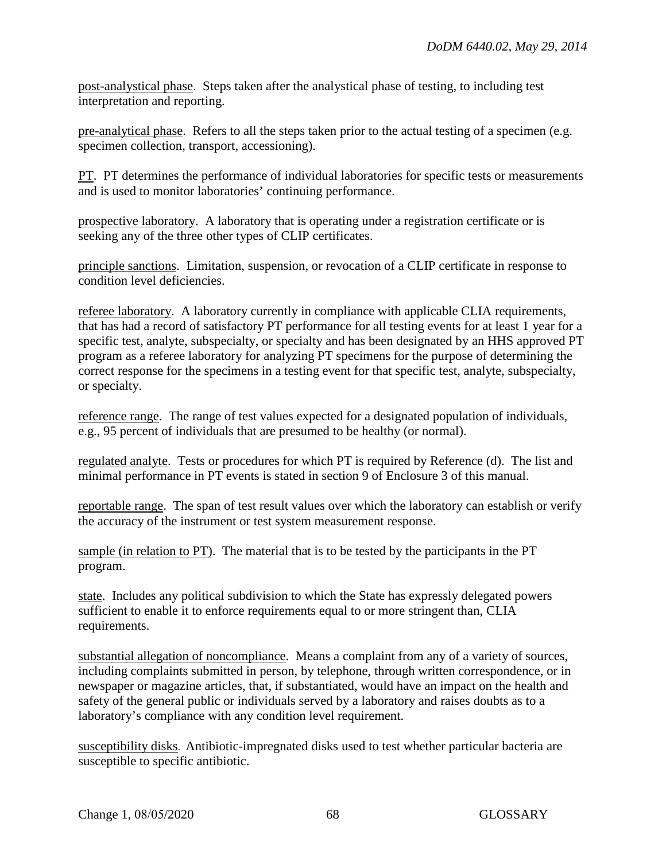post-analystical phase. Steps taken after the analystical phase of testing, to including test interpretation and reporting.

pre-analytical phase. Refers to all the steps taken prior to the actual testing of a specimen (e.g. specimen collection, transport, accessioning).

PT. PT determines the performance of individual laboratories for specific tests or measurements and is used to monitor laboratories' continuing performance.

prospective laboratory. A laboratory that is operating under a registration certificate or is seeking any of the three other types of CLIP certificates.

principle sanctions. Limitation, suspension, or revocation of a CLIP certificate in response to condition level deficiencies.

referee laboratory. A laboratory currently in compliance with applicable CLIA requirements, that has had a record of satisfactory PT performance for all testing events for at least 1 year for a specific test, analyte, subspecialty, or specialty and has been designated by an HHS approved PT program as a referee laboratory for analyzing PT specimens for the purpose of determining the correct response for the specimens in a testing event for that specific test, analyte, subspecialty, or specialty.

reference range. The range of test values expected for a designated population of individuals, e.g., 95 percent of individuals that are presumed to be healthy (or normal).

regulated analyte. Tests or procedures for which PT is required by Reference (d). The list and minimal performance in PT events is stated in section 9 of Enclosure 3 of this manual.

reportable range. The span of test result values over which the laboratory can establish or verify the accuracy of the instrument or test system measurement response.

sample (in relation to PT). The material that is to be tested by the participants in the PT program.

state. Includes any political subdivision to which the State has expressly delegated powers sufficient to enable it to enforce requirements equal to or more stringent than, CLIA requirements.

substantial allegation of noncompliance. Means a complaint from any of a variety of sources, including complaints submitted in person, by telephone, through written correspondence, or in newspaper or magazine articles, that, if substantiated, would have an impact on the health and safety of the general public or individuals served by a laboratory and raises doubts as to a laboratory's compliance with any condition level requirement.

susceptibility disks. Antibiotic-impregnated disks used to test whether particular bacteria are susceptible to specific antibiotic.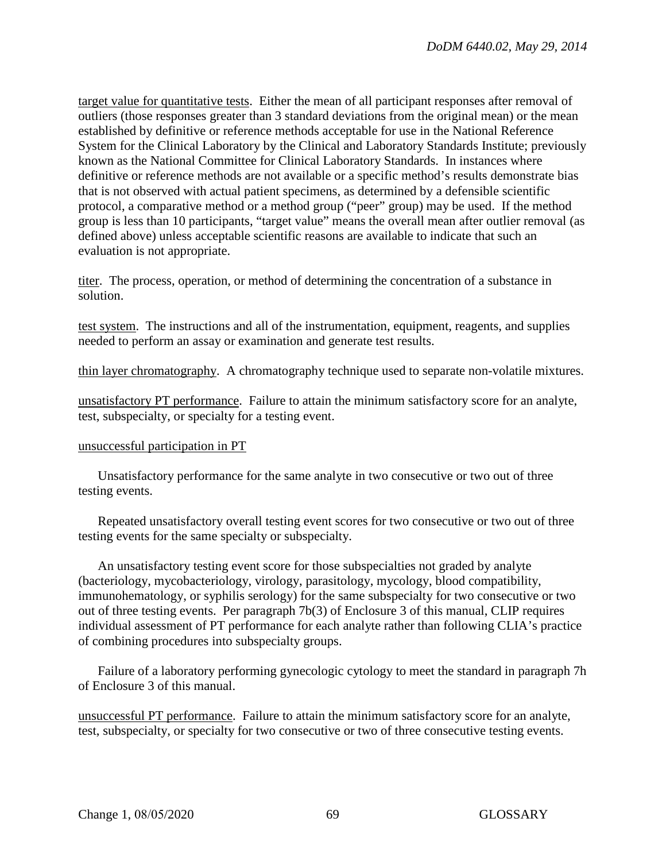target value for quantitative tests. Either the mean of all participant responses after removal of outliers (those responses greater than 3 standard deviations from the original mean) or the mean established by definitive or reference methods acceptable for use in the National Reference System for the Clinical Laboratory by the Clinical and Laboratory Standards Institute; previously known as the National Committee for Clinical Laboratory Standards. In instances where definitive or reference methods are not available or a specific method's results demonstrate bias that is not observed with actual patient specimens, as determined by a defensible scientific protocol, a comparative method or a method group ("peer" group) may be used. If the method group is less than 10 participants, "target value" means the overall mean after outlier removal (as defined above) unless acceptable scientific reasons are available to indicate that such an evaluation is not appropriate.

titer. The process, operation, or method of determining the concentration of a substance in solution.

test system. The instructions and all of the instrumentation, equipment, reagents, and supplies needed to perform an assay or examination and generate test results.

thin layer chromatography. A chromatography technique used to separate non-volatile mixtures.

unsatisfactory PT performance. Failure to attain the minimum satisfactory score for an analyte, test, subspecialty, or specialty for a testing event.

#### unsuccessful participation in PT

Unsatisfactory performance for the same analyte in two consecutive or two out of three testing events.

 Repeated unsatisfactory overall testing event scores for two consecutive or two out of three testing events for the same specialty or subspecialty.

 An unsatisfactory testing event score for those subspecialties not graded by analyte (bacteriology, mycobacteriology, virology, parasitology, mycology, blood compatibility, immunohematology, or syphilis serology) for the same subspecialty for two consecutive or two out of three testing events. Per paragraph 7b(3) of Enclosure 3 of this manual, CLIP requires individual assessment of PT performance for each analyte rather than following CLIA's practice of combining procedures into subspecialty groups.

Failure of a laboratory performing gynecologic cytology to meet the standard in paragraph 7h of Enclosure 3 of this manual.

unsuccessful PT performance. Failure to attain the minimum satisfactory score for an analyte, test, subspecialty, or specialty for two consecutive or two of three consecutive testing events.